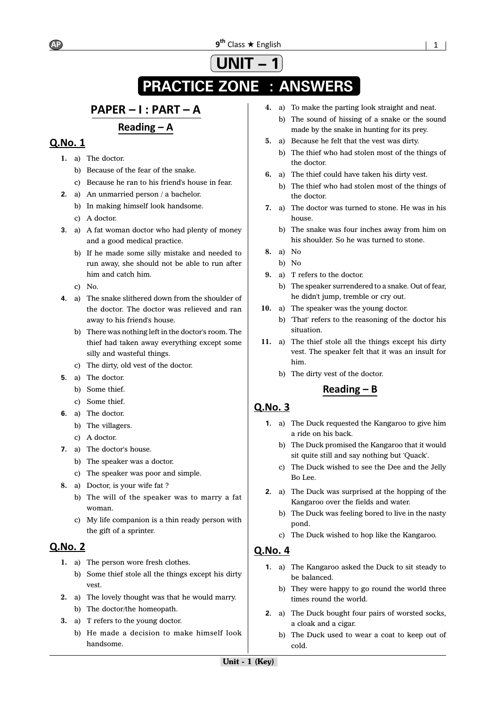# **UNIT – 1 PRACTICE ZONE : ANSWERS**

# PAPER - I : PART - A

Reading  $-$  A

# **Q.No. 1**

- **1.** a) The doctor.
	- b) Because of the fear of the snake.
	- c) Because he ran to his friend's house in fear.
- **2.** a) An unmarried person / a bachelor.
	- b) In making himself look handsome.
	- c) A doctor.
- **3.** a) A fat woman doctor who had plenty of money and a good medical practice.
	- b) If he made some silly mistake and needed to run away, she should not be able to run after him and catch him.
	- c) No.
- **4.** a) The snake slithered down from the shoulder of the doctor. The doctor was relieved and ran away to his friend's house.
	- b) There was nothing left in the doctor's room. The thief had taken away everything except some silly and wasteful things.
	- c) The dirty, old vest of the doctor.
- **5.** a) The doctor.
	- b) Some thief.
	- c) Some thief.
- **6.** a) The doctor.
	- b) The villagers.
	- c) A doctor.
- **7.** a) The doctor's house.
	- b) The speaker was a doctor.
	- c) The speaker was poor and simple.
- **8.** a) Doctor, is your wife fat ?
	- b) The will of the speaker was to marry a fat woman.
	- c) My life companion is a thin ready person with the gift of a sprinter.

# **Q.No. 2**

- **1.** a) The person wore fresh clothes.
	- b) Some thief stole all the things except his dirty vest.
- **2.** a) The lovely thought was that he would marry.
	- b) The doctor/the homeopath.
- **3.** a) 'I' refers to the young doctor.
	- b) He made a decision to make himself look handsome.
- **4.** a) To make the parting look straight and neat.
	- b) The sound of hissing of a snake or the sound made by the snake in hunting for its prey.
- **5.** a) Because he felt that the vest was dirty.
	- b) The thief who had stolen most of the things of the doctor.
- **6.** a) The thief could have taken his dirty vest.
	- b) The thief who had stolen most of the things of the doctor.
- **7.** a) The doctor was turned to stone. He was in his house.
	- b) The snake was four inches away from him on his shoulder. So he was turned to stone.
- **8.** a) No
- b) No
- **9.** a) 'I' refers to the doctor.
	- b) The speaker surrendered to a snake. Out of fear, he didn't jump, tremble or cry out.
- **10.** a) The speaker was the young doctor.
	- b) 'That' refers to the reasoning of the doctor his situation.
- **11.** a) The thief stole all the things except his dirty vest. The speaker felt that it was an insult for him.
	- b) The dirty vest of the doctor.

# Reading  $- B$

# Q.No. 3

- **1.** a) The Duck requested the Kangaroo to give him a ride on his back.
	- b) The Duck promised the Kangaroo that it would sit quite still and say nothing but 'Quack'.
	- c) The Duck wished to see the Dee and the Jelly Bo Lee.
- **2.** a) The Duck was surprised at the hopping of the Kangaroo over the fields and water.
	- b) The Duck was feeling bored to live in the nasty pond.
	- c) The Duck wished to hop like the Kangaroo.

- **1.** a) The Kangaroo asked the Duck to sit steady to be balanced.
	- b) They were happy to go round the world three times round the world.
- **2.** a) The Duck bought four pairs of worsted socks, a cloak and a cigar.
	- b) The Duck used to wear a coat to keep out of cold.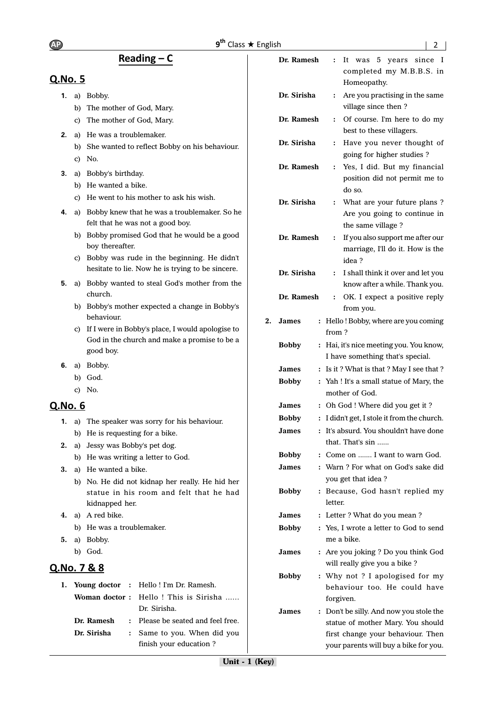# Reading  $- C$

# Q.No. 5

- **1.** a) Bobby.
	- b) The mother of God, Mary.
	- c) The mother of God, Mary.
- **2.** a) He was a troublemaker.
	- b) She wanted to reflect Bobby on his behaviour.
	- c) No.
- **3.** a) Bobby's birthday.
	- b) He wanted a bike.
	- c) He went to his mother to ask his wish.
- **4.** a) Bobby knew that he was a troublemaker. So he felt that he was not a good boy.
	- b) Bobby promised God that he would be a good boy thereafter.
	- c) Bobby was rude in the beginning. He didn't hesitate to lie. Now he is trying to be sincere.
- **5.** a) Bobby wanted to steal God's mother from the church.
	- b) Bobby's mother expected a change in Bobby's behaviour.
	- c) If I were in Bobby's place, I would apologise to God in the church and make a promise to be a good boy.
- **6.** a) Bobby.
	- b) God.
	- c) No.

# Q.No. 6

- **1.** a) The speaker was sorry for his behaviour.
	- b) He is requesting for a bike.
- **2.** a) Jessy was Bobby's pet dog.
	- b) He was writing a letter to God.
- **3.** a) He wanted a bike.
	- b) No. He did not kidnap her really. He hid her statue in his room and felt that he had kidnapped her.
- **4.** a) A red bike.
	- b) He was a troublemaker.
- **5.** a) Bobby.
	- b) God.

# Q.No. 7 & 8

|             | 1. Young doctor : Hello! I'm Dr. Ramesh. |
|-------------|------------------------------------------|
|             | Woman doctor: Hello ! This is Sirisha    |
|             | Dr. Sirisha.                             |
| Dr. Ramesh  | : Please be seated and feel free.        |
| Dr. Sirisha | : Same to you. When did you              |
|             | finish your education?                   |

|    | Dr. Ramesh                     | $\ddot{\cdot}$       | was 5 years since I<br>It                                                        |
|----|--------------------------------|----------------------|----------------------------------------------------------------------------------|
|    |                                |                      | completed my M.B.B.S. in                                                         |
|    |                                |                      | Homeopathy.                                                                      |
|    | Dr. Sirisha                    | $\ddot{\cdot}$       | Are you practising in the same<br>village since then?                            |
|    | Dr. Ramesh                     | $\ddot{\cdot}$       | Of course. I'm here to do my<br>best to these villagers.                         |
|    | Dr. Sirisha                    | ፡                    | Have you never thought of                                                        |
|    |                                |                      | going for higher studies ?                                                       |
|    | Dr. Ramesh                     | $\ddot{\cdot}$       | Yes, I did. But my financial                                                     |
|    |                                |                      | position did not permit me to<br>do so.                                          |
|    | Dr. Sirisha                    | ፡                    | What are your future plans?<br>Are you going to continue in<br>the same village? |
|    | Dr. Ramesh                     | $\ddot{\phantom{0}}$ | If you also support me after our                                                 |
|    |                                |                      | marriage, I'll do it. How is the<br>idea?                                        |
|    | Dr. Sirisha                    | $\colon$             | I shall think it over and let you                                                |
|    |                                |                      | know after a while. Thank you.                                                   |
|    | Dr. Ramesh                     | $\ddot{\cdot}$       | OK. I expect a positive reply                                                    |
|    |                                |                      | from you.                                                                        |
| 2. | <b>James</b><br>$\ddot{\cdot}$ |                      | Hello! Bobby, where are you coming                                               |
|    | <b>Bobby</b>                   | from?                | : Hai, it's nice meeting you. You know,                                          |
|    |                                |                      | I have something that's special.                                                 |
|    | James                          |                      | : Is it? What is that? May I see that?                                           |
|    | <b>Bobby</b><br>$\ddot{\cdot}$ |                      | Yah ! It's a small statue of Mary, the                                           |
|    |                                |                      | mother of God.                                                                   |
|    | James                          |                      | : Oh God ! Where did you get it ?                                                |
|    | <b>Bobby</b><br>$\colon$       |                      | I didn't get, I stole it from the church.                                        |
|    | <b>James</b><br>$\ddot{\cdot}$ |                      | It's absurd. You shouldn't have done<br>that. That's sin                         |
|    | <b>Bobby</b>                   |                      | : Come on  I want to warn God.                                                   |
|    | James                          |                      | : Warn ? For what on God's sake did                                              |
|    | <b>Bobby</b>                   |                      | you get that idea?<br>: Because, God hasn't replied my                           |
|    |                                | letter.              |                                                                                  |
|    | James<br>፡                     |                      | Letter ? What do you mean ?                                                      |
|    | <b>Bobby</b>                   |                      | : Yes, I wrote a letter to God to send                                           |
|    |                                |                      | me a bike.                                                                       |
|    | James                          |                      | : Are you joking ? Do you think God<br>will really give you a bike?              |
|    | <b>Bobby</b><br>፡              |                      | Why not ? I apologised for my                                                    |
|    |                                |                      | behaviour too. He could have                                                     |
|    |                                |                      | forgiven.                                                                        |
|    | James                          |                      | : Don't be silly. And now you stole the                                          |
|    |                                |                      | statue of mother Mary. You should<br>first change your behaviour. Then           |

your parents will buy a bike for you.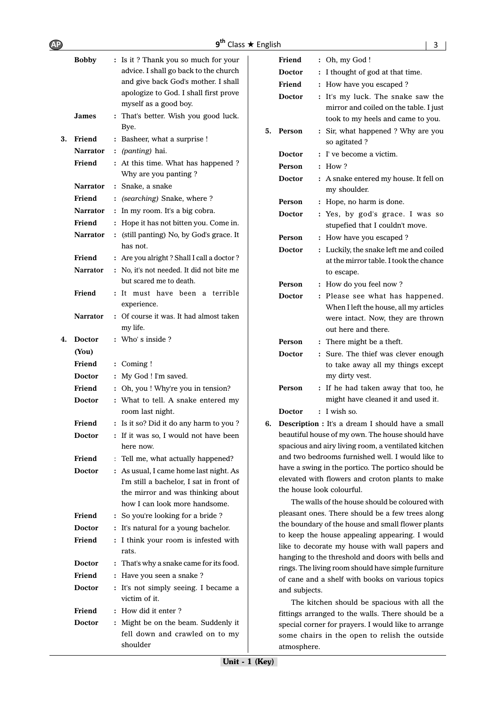| <b>AP</b> |                              | $9^{th}$ Class $\star$ English                                                                                                                                                                                                |    |                                             |                                                                                                                                                                                                      | 3 |
|-----------|------------------------------|-------------------------------------------------------------------------------------------------------------------------------------------------------------------------------------------------------------------------------|----|---------------------------------------------|------------------------------------------------------------------------------------------------------------------------------------------------------------------------------------------------------|---|
|           | <b>Bobby</b><br><b>James</b> | : Is it? Thank you so much for your<br>advice. I shall go back to the church<br>and give back God's mother. I shall<br>apologize to God. I shall first prove<br>myself as a good boy.<br>: That's better. Wish you good luck. |    | Friend<br>Doctor<br>Friend<br><b>Doctor</b> | $:$ Oh, my God !<br>: I thought of god at that time.<br>: How have you escaped ?<br>: It's my luck. The snake saw the<br>mirror and coiled on the table. I just<br>took to my heels and came to you. |   |
| 3.        | Friend                       | Bye.<br>: Basheer, what a surprise !                                                                                                                                                                                          | 5. | Person                                      | : Sir, what happened ? Why are you<br>so agitated ?                                                                                                                                                  |   |
|           | <b>Narrator</b>              | : (panting) hai.                                                                                                                                                                                                              |    | <b>Doctor</b>                               | : I've become a victim.                                                                                                                                                                              |   |
|           | Friend                       | : At this time. What has happened ?                                                                                                                                                                                           |    | Person                                      | $:$ How ?                                                                                                                                                                                            |   |
|           |                              | Why are you panting?                                                                                                                                                                                                          |    | Doctor                                      | : A snake entered my house. It fell on                                                                                                                                                               |   |
|           | <b>Narrator</b>              | : Snake, a snake                                                                                                                                                                                                              |    |                                             | my shoulder.                                                                                                                                                                                         |   |
|           | Friend                       | : (searching) Snake, where?                                                                                                                                                                                                   |    | Person                                      | : Hope, no harm is done.                                                                                                                                                                             |   |
|           | <b>Narrator</b>              | : In my room. It's a big cobra.                                                                                                                                                                                               |    | <b>Doctor</b>                               | : Yes, by god's grace. I was so                                                                                                                                                                      |   |
|           | Friend                       | : Hope it has not bitten you. Come in.                                                                                                                                                                                        |    |                                             | stupefied that I couldn't move.                                                                                                                                                                      |   |
|           | <b>Narrator</b>              | : (still panting) No, by God's grace. It<br>has not.                                                                                                                                                                          |    | Person<br><b>Doctor</b>                     | : How have you escaped ?<br>: Luckily, the snake left me and coiled                                                                                                                                  |   |
|           | Friend                       | : Are you alright ? Shall I call a doctor ?                                                                                                                                                                                   |    |                                             | at the mirror table. I took the chance                                                                                                                                                               |   |
|           | Narrator                     | : No, it's not needed. It did not bite me                                                                                                                                                                                     |    |                                             | to escape.                                                                                                                                                                                           |   |
|           |                              | but scared me to death.                                                                                                                                                                                                       |    | Person                                      | : How do you feel now?                                                                                                                                                                               |   |
|           | Friend                       | : It must have been a terrible<br>experience.                                                                                                                                                                                 |    | <b>Doctor</b>                               | : Please see what has happened.<br>When I left the house, all my articles                                                                                                                            |   |
|           | <b>Narrator</b>              | : Of course it was. It had almost taken<br>my life.                                                                                                                                                                           |    |                                             | were intact. Now, they are thrown<br>out here and there.                                                                                                                                             |   |
| 4.        | <b>Doctor</b>                | : Who's inside?                                                                                                                                                                                                               |    | Person                                      | : There might be a theft.                                                                                                                                                                            |   |
|           | (You)                        |                                                                                                                                                                                                                               |    | <b>Doctor</b>                               | : Sure. The thief was clever enough                                                                                                                                                                  |   |
|           | Friend                       | $:$ Coming !                                                                                                                                                                                                                  |    |                                             | to take away all my things except                                                                                                                                                                    |   |
|           | <b>Doctor</b>                | : My God ! I'm saved.                                                                                                                                                                                                         |    |                                             | my dirty vest.                                                                                                                                                                                       |   |
|           | Friend                       | : Oh, you ! Why're you in tension?                                                                                                                                                                                            |    | Person                                      | : If he had taken away that too, he                                                                                                                                                                  |   |
|           | <b>Doctor</b>                | : What to tell. A snake entered my                                                                                                                                                                                            |    |                                             | might have cleaned it and used it.                                                                                                                                                                   |   |
|           |                              | room last night.                                                                                                                                                                                                              |    | <b>Doctor</b>                               | $:$ I wish so.                                                                                                                                                                                       |   |
|           | Friend                       | : Is it so? Did it do any harm to you?                                                                                                                                                                                        |    |                                             | 6. Description : It's a dream I should have a small                                                                                                                                                  |   |
|           | <b>Doctor</b>                | : If it was so, I would not have been<br>here now.                                                                                                                                                                            |    |                                             | beautiful house of my own. The house should have<br>spacious and airy living room, a ventilated kitchen                                                                                              |   |
|           | Friend                       | : Tell me, what actually happened?                                                                                                                                                                                            |    |                                             | and two bedrooms furnished well. I would like to                                                                                                                                                     |   |
|           | <b>Doctor</b>                | : As usual, I came home last night. As                                                                                                                                                                                        |    |                                             | have a swing in the portico. The portico should be<br>elevated with flowers and croton plants to make                                                                                                |   |
|           |                              | I'm still a bachelor, I sat in front of<br>the mirror and was thinking about                                                                                                                                                  |    |                                             | the house look colourful.                                                                                                                                                                            |   |
|           |                              | how I can look more handsome.                                                                                                                                                                                                 |    |                                             | The walls of the house should be coloured with                                                                                                                                                       |   |
|           | Friend                       | : So you're looking for a bride?                                                                                                                                                                                              |    |                                             | pleasant ones. There should be a few trees along                                                                                                                                                     |   |
|           | <b>Doctor</b>                | : It's natural for a young bachelor.                                                                                                                                                                                          |    |                                             | the boundary of the house and small flower plants                                                                                                                                                    |   |
|           | Friend                       | : I think your room is infested with                                                                                                                                                                                          |    |                                             | to keep the house appealing appearing. I would                                                                                                                                                       |   |
|           |                              | rats.                                                                                                                                                                                                                         |    |                                             | like to decorate my house with wall papers and                                                                                                                                                       |   |
|           | <b>Doctor</b>                | : That's why a snake came for its food.                                                                                                                                                                                       |    |                                             | hanging to the threshold and doors with bells and                                                                                                                                                    |   |
|           | Friend                       | : Have you seen a snake ?                                                                                                                                                                                                     |    |                                             | rings. The living room should have simple furniture<br>of cane and a shelf with books on various topics                                                                                              |   |
|           | <b>Doctor</b>                | : It's not simply seeing. I became a<br>victim of it.                                                                                                                                                                         |    | and subjects.                               |                                                                                                                                                                                                      |   |
|           | Friend                       | : How did it enter?                                                                                                                                                                                                           |    |                                             | The kitchen should be spacious with all the                                                                                                                                                          |   |
|           | <b>Doctor</b>                | : Might be on the beam. Suddenly it                                                                                                                                                                                           |    |                                             | fittings arranged to the walls. There should be a                                                                                                                                                    |   |
|           |                              | fell down and crawled on to my                                                                                                                                                                                                |    |                                             | special corner for prayers. I would like to arrange<br>some chairs in the open to relish the outside                                                                                                 |   |
|           |                              | shoulder                                                                                                                                                                                                                      |    | atmosphere.                                 |                                                                                                                                                                                                      |   |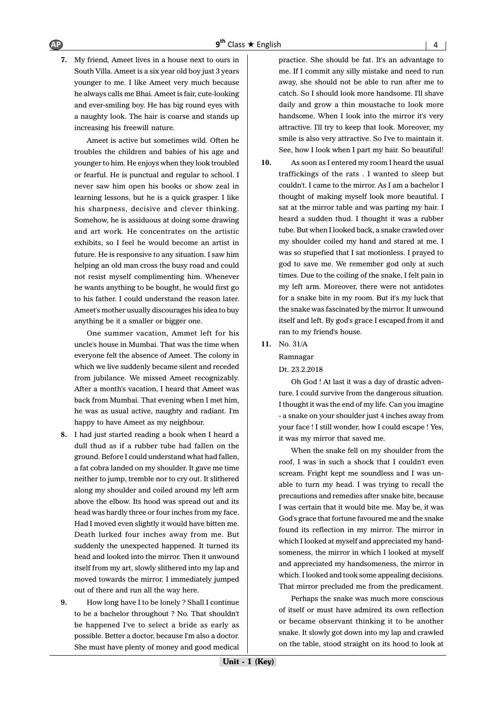**7.** My friend, Ameet lives in a house next to ours in South Villa. Ameet is a six year old boy just 3 years younger to me. I like Ameet very much because he always calls me Bhai. Ameet is fair, cute-looking and ever-smiling boy. He has big round eyes with a naughty look. The hair is coarse and stands up increasing his freewill nature.

Ameet is active but sometimes wild. Often he troubles the children and babies of his age and younger to him. He enjoys when they look troubled or fearful. He is punctual and regular to school. I never saw him open his books or show zeal in learning lessons, but he is a quick grasper. I like his sharpness, decisive and clever thinking. Somehow, he is assiduous at doing some drawing and art work. He concentrates on the artistic exhibits, so I feel he would become an artist in future. He is responsive to any situation. I saw him helping an old man cross the busy road and could not resist myself complimenting him. Whenever he wants anything to be bought, he would first go to his father. I could understand the reason later. Ameet's mother usually discourages his idea to buy anything be it a smaller or bigger one.

One summer vacation, Ammet left for his uncle's house in Mumbai. That was the time when everyone felt the absence of Ameet. The colony in which we live suddenly became silent and receded from jubilance. We missed Ameet recognizably. After a month's vacation, I heard that Ameet was back from Mumbai. That evening when I met him, he was as usual active, naughty and radiant. I'm happy to have Ameet as my neighbour.

- **8.** I had just started reading a book when I heard a dull thud as if a rubber tube had fallen on the ground. Before I could understand what had fallen, a fat cobra landed on my shoulder. It gave me time neither to jump, tremble nor to cry out. It slithered along my shoulder and coiled around my left arm above the elbow. Its hood was spread out and its head was hardly three or four inches from my face. Had I moved even slightly it would have bitten me. Death lurked four inches away from me. But suddenly the unexpected happened. It turned its head and looked into the mirror. Then it unwound itself from my art, slowly slithered into my lap and moved towards the mirror. I immediately jumped out of there and run all the way here.
- **9.** How long have I to be lonely ? Shall I continue to be a bachelor throughout ? No. That shouldn't be happened I've to select a bride as early as possible. Better a doctor, because I'm also a doctor. She must have plenty of money and good medical

practice. She should be fat. It's an advantage to me. If I commit any silly mistake and need to run away, she should not be able to run after me to catch. So I should look more handsome. I'll shave daily and grow a thin moustache to look more handsome. When I look into the mirror it's very attractive. I'll try to keep that look. Moreover, my smile is also very attractive. So I've to maintain it. See, how I look when I part my hair. So beautiful!

- **10.** As soon as I entered my room I heard the usual traffickings of the rats . I wanted to sleep but couldn't. I came to the mirror. As I am a bachelor I thought of making myself look more beautiful. I sat at the mirror table and was parting my hair. I heard a sudden thud. I thought it was a rubber tube. But when I looked back, a snake crawled over my shoulder coiled my hand and stared at me. I was so stupefied that I sat motionless. I prayed to god to save me. We remember god only at such times. Due to the coiling of the snake, I felt pain in my left arm. Moreover, there were not antidotes for a snake bite in my room. But it's my luck that the snake was fascinated by the mirror. It unwound itself and left. By god's grace I escaped from it and ran to my friend's house.
- **11.** No. 31/A

Ramnagar

Dt. 23.2.2018

Oh God ! At last it was a day of drastic adventure. I could survive from the dangerous situation. I thought it was the end of my life. Can you imagine - a snake on your shoulder just 4 inches away from your face ! I still wonder, how I could escape ! Yes, it was my mirror that saved me.

When the snake fell on my shoulder from the roof, I was in such a shock that I couldn't even scream. Fright kept me soundless and I was unable to turn my head. I was trying to recall the precautions and remedies after snake bite, because I was certain that it would bite me. May be, it was God's grace that fortune favoured me and the snake found its reflection in my mirror. The mirror in which I looked at myself and appreciated my handsomeness, the mirror in which I looked at myself and appreciated my handsomeness, the mirror in which. I looked and took some appealing decisions. That mirror precluded me from the predicament.

Perhaps the snake was much more conscious of itself or must have admired its own reflection or became observant thinking it to be another snake. It slowly got down into my lap and crawled on the table, stood straight on its hood to look at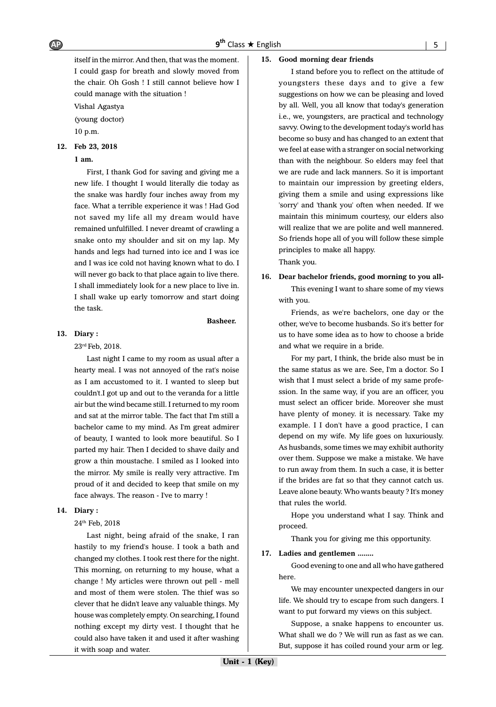itself in the mirror. And then, that was the moment. I could gasp for breath and slowly moved from the chair. Oh Gosh ! I still cannot believe how I could manage with the situation !

Vishal Agastya (young doctor)

10 p.m.

#### **12. Feb 23, 2018**

#### **1 am.**

First, I thank God for saving and giving me a new life. I thought I would literally die today as the snake was hardly four inches away from my face. What a terrible experience it was ! Had God not saved my life all my dream would have remained unfulfilled. I never dreamt of crawling a snake onto my shoulder and sit on my lap. My hands and legs had turned into ice and I was ice and I was ice cold not having known what to do. I will never go back to that place again to live there. I shall immediately look for a new place to live in. I shall wake up early tomorrow and start doing the task.

#### **Basheer.**

#### **13. Diary :**

23rd Feb, 2018.

Last night I came to my room as usual after a hearty meal. I was not annoyed of the rat's noise as I am accustomed to it. I wanted to sleep but couldn't.I got up and out to the veranda for a little air but the wind became still. I returned to my room and sat at the mirror table. The fact that I'm still a bachelor came to my mind. As I'm great admirer of beauty, I wanted to look more beautiful. So I parted my hair. Then I decided to shave daily and grow a thin moustache. I smiled as I looked into the mirror. My smile is really very attractive. I'm proud of it and decided to keep that smile on my face always. The reason - I've to marry !

#### **14. Diary :**

24th Feb, 2018

Last night, being afraid of the snake, I ran hastily to my friend's house. I took a bath and changed my clothes. I took rest there for the night. This morning, on returning to my house, what a change ! My articles were thrown out pell - mell and most of them were stolen. The thief was so clever that he didn't leave any valuable things. My house was completely empty. On searching, I found nothing except my dirty vest. I thought that he could also have taken it and used it after washing it with soap and water.

#### **15. Good morning dear friends**

I stand before you to reflect on the attitude of youngsters these days and to give a few suggestions on how we can be pleasing and loved by all. Well, you all know that today's generation i.e., we, youngsters, are practical and technology savvy. Owing to the development today's world has become so busy and has changed to an extent that we feel at ease with a stranger on social networking than with the neighbour. So elders may feel that we are rude and lack manners. So it is important to maintain our impression by greeting elders, giving them a smile and using expressions like 'sorry' and 'thank you' often when needed. If we maintain this minimum courtesy, our elders also will realize that we are polite and well mannered. So friends hope all of you will follow these simple principles to make all happy. Thank you.

#### **16. Dear bachelor friends, good morning to you all-**

This evening I want to share some of my views with you.

Friends, as we're bachelors, one day or the other, we've to become husbands. So it's better for us to have some idea as to how to choose a bride and what we require in a bride.

For my part, I think, the bride also must be in the same status as we are. See, I'm a doctor. So I wish that I must select a bride of my same profession. In the same way, if you are an officer, you must select an officer bride. Moreover she must have plenty of money. it is necessary. Take my example. I I don't have a good practice, I can depend on my wife. My life goes on luxuriously. As husbands, some times we may exhibit authority over them. Suppose we make a mistake. We have to run away from them. In such a case, it is better if the brides are fat so that they cannot catch us. Leave alone beauty. Who wants beauty ? It's money that rules the world.

Hope you understand what I say. Think and proceed.

Thank you for giving me this opportunity.

#### **17. Ladies and gentlemen ........**

Good evening to one and all who have gathered here.

We may encounter unexpected dangers in our life. We should try to escape from such dangers. I want to put forward my views on this subject.

Suppose, a snake happens to encounter us. What shall we do ? We will run as fast as we can. But, suppose it has coiled round your arm or leg.

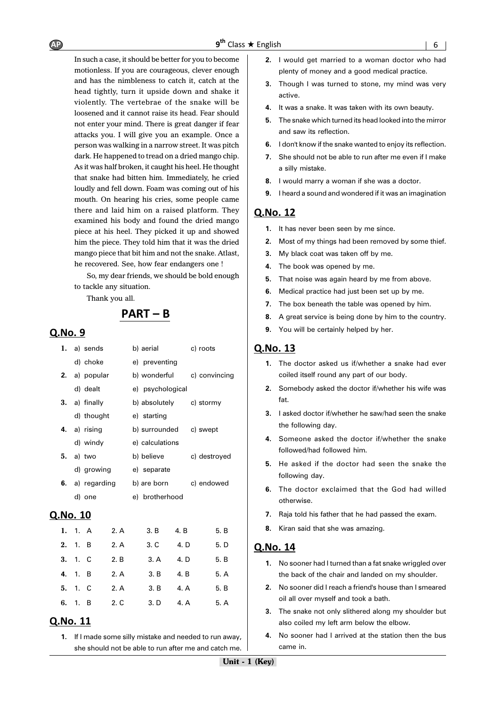In such a case, it should be better for you to become motionless. If you are courageous, clever enough and has the nimbleness to catch it, catch at the head tightly, turn it upside down and shake it violently. The vertebrae of the snake will be loosened and it cannot raise its head. Fear should not enter your mind. There is great danger if fear attacks you. I will give you an example. Once a person was walking in a narrow street. It was pitch dark. He happened to tread on a dried mango chip. As it was half broken, it caught his heel. He thought that snake had bitten him. Immediately, he cried loudly and fell down. Foam was coming out of his mouth. On hearing his cries, some people came there and laid him on a raised platform. They examined his body and found the dried mango piece at his heel. They picked it up and showed him the piece. They told him that it was the dried mango piece that bit him and not the snake. Atlast, he recovered. See, how fear endangers one !

So, my dear friends, we should be bold enough to tackle any situation.

Thank you all.

# $PART - B$

#### Q.No. 9

|    | 1. a) sends     | b) aerial        | c) roots      |
|----|-----------------|------------------|---------------|
|    | d) choke        | e) preventing    |               |
|    | 2. a) popular   | b) wonderful     | c) convincing |
|    | d) dealt        | e) psychological |               |
|    | $3. a)$ finally | b) absolutely    | c) stormy     |
|    | d) thought      | e) starting      |               |
|    | 4. a) rising    | b) surrounded    | c) swept      |
|    | d) windy        | e) calculations  |               |
| 5. | a) two          | b) believe       | c) destroyed  |
|    | d) growing      | e) separate      |               |
| 6. | a) regarding    | b) are born      | c) endowed    |
|    | d) one          | e) brotherhood   |               |
|    |                 |                  |               |

# Q.No. 10

|    | 1. $1. A$ | 2. A | 3. B | 4. B | 5. B |
|----|-----------|------|------|------|------|
| 2. | 1. B      | 2. A | 3. C | 4. D | 5. D |
|    | 3. 1. C   | 2. B | 3. A | 4. D | 5. B |
|    | 4. 1. B   | 2. A | 3. B | 4. B | 5. A |
|    | 5. 1. C   | 2. A | 3. B | 4. A | 5. B |
| 6. | 1. B      | 2. C | 3. D | 4. A | 5. A |

#### Q.No. 11

**1.** If I made some silly mistake and needed to run away, she should not be able to run after me and catch me.

- **2.** I would get married to a woman doctor who had plenty of money and a good medical practice.
- **3.** Though I was turned to stone, my mind was very active.
- **4.** It was a snake. It was taken with its own beauty.
- **5.** The snake which turned its head looked into the mirror and saw its reflection.
- **6.** I don't know if the snake wanted to enjoy its reflection.
- **7.** She should not be able to run after me even if I make a silly mistake.
- **8.** I would marry a woman if she was a doctor.
- **9.** I heard a sound and wondered if it was an imagination

#### Q.No. 12

- **1.** It has never been seen by me since.
- **2.** Most of my things had been removed by some thief.
- **3.** My black coat was taken off by me.
- **4.** The book was opened by me.
- **5.** That noise was again heard by me from above.
- **6.** Medical practice had just been set up by me.
- **7.** The box beneath the table was opened by him.
- **8.** A great service is being done by him to the country.
- **9.** You will be certainly helped by her.

#### Q.No. 13

- **1.** The doctor asked us if/whether a snake had ever coiled itself round any part of our body.
- **2.** Somebody asked the doctor if/whether his wife was fat.
- **3.** I asked doctor if/whether he saw/had seen the snake the following day.
- **4.** Someone asked the doctor if/whether the snake followed/had followed him.
- **5.** He asked if the doctor had seen the snake the following day.
- **6.** The doctor exclaimed that the God had willed otherwise.
- **7.** Raja told his father that he had passed the exam.
- **8.** Kiran said that she was amazing.

- **1.** No sooner had I turned than a fat snake wriggled over the back of the chair and landed on my shoulder.
- **2.** No sooner did I reach a friend's house than I smeared oil all over myself and took a bath.
- **3.** The snake not only slithered along my shoulder but also coiled my left arm below the elbow.
- **4.** No sooner had I arrived at the station then the bus came in.

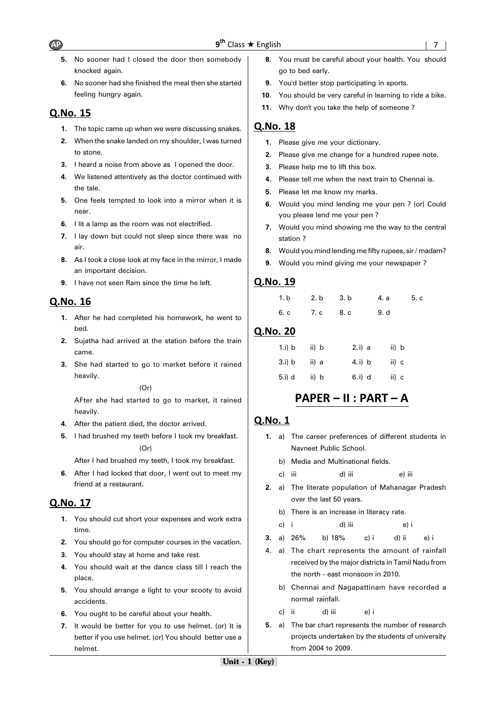- **5.** No sooner had I closed the door then somebody knocked again.
- **6.** No sooner had she finished the meal then she started feeling hungry again.

# Q.No. 15

- **1.** The topic came up when we were discussing snakes.
- **2.** When the snake landed on my shoulder, I was turned to stone.
- **3.** I heard a noise from above as I opened the door.
- **4.** We listened attentively as the doctor continued with the tale.
- **5.** One feels tempted to look into a mirror when it is near.
- **6.** I lit a lamp as the room was not electrified.
- **7.** I lay down but could not sleep since there was no air.
- **8.** As I took a close look at my face in the mirror, I made an important decision.
- **9.** I have not seen Ram since the time he left.

# Q.No. 16

- **1.** After he had completed his homework, he went to bed.
- **2.** Sujatha had arrived at the station before the train came.
- **3.** She had started to go to market before it rained heavily.

(Or)

AFter she had started to go to market, it rained heavily.

- **4.** After the patient died, the doctor arrived.
- **5.** I had brushed my teeth before I took my breakfast.

(Or)

After I had brushed my teeth, I took my breakfast.

**6.** After I had locked that door, I went out to meet my friend at a restaurant.

# Q.No. 17

- **1.** You should cut short your expenses and work extra time.
- **2.** You should go for computer courses in the vacation.
- **3.** You should stay at home and take rest.
- **4.** You should wait at the dance class till I reach the place.
- **5.** You should arrange a light to your scooty to avoid accidents.
- **6.** You ought to be careful about your health.
- **7.** It would be better for you to use helmet. (or) It is better if you use helmet. (or) You should better use a helmet.
- **8.** You must be careful about your health. You should go to bed early.
- **9.** You'd better stop participating in sports.
- **10.** You should be very careful in learning to ride a bike.
- **11.** Why don't you take the help of someone ?

# Q.No. 18

- **1.** Please give me your dictionary.
- **2.** Please give me change for a hundred rupee note.
- **3.** Please help me to lift this box.
- **4.** Please tell me when the next train to Chennai is.
- **5.** Please let me know my marks.
- **6**. Would you mind lending me your pen ? (or) Could you please lend me your pen ?
- **7.** Would you mind showing me the way to the central station ?
- **8.** Would you mind lending me fifty rupees, sir / madam?
- **9.** Would you mind giving me your newspaper ?

# Q.No. 19

|  |                     | 1.b 2.b 3.b 4.a 5.c |  |
|--|---------------------|---------------------|--|
|  | 6. c 7. c 8. c 9. d |                     |  |

# Q.No. 20

| 1.i) b | ii) b | 2. i) a | ii) b |
|--------|-------|---------|-------|
| 3.i) b | ii) a | 4. i) b | ii) c |
| 5.i) d | ii) b | 6.i) d  | ii) c |

# PAPER - II : PART - A

- **1.** a) The career preferences of different students in Navneet Public School.
	- b) Media and Multinational fields.
	- c) iii d) iii e) iii
- **2.** a) The literate population of Mahanagar Pradesh over the last 50 years.
	- b) There is an increase in literacy rate.

| c) i | d) iii | e) i |
|------|--------|------|
|      |        |      |

- **3.** a) 26% b) 18% c) i d) ii e) i
- 4. a) The chart represents the amount of rainfall received by the major districts in Tamil Nadu from the north - east monsoon in 2010.
	- b) Chennai and Nagapattinam have recorded a normal rainfall.
	- c) ii d) iii e) i
- **5.** a) The bar chart represents the number of research projects undertaken by the students of university from 2004 to 2009.

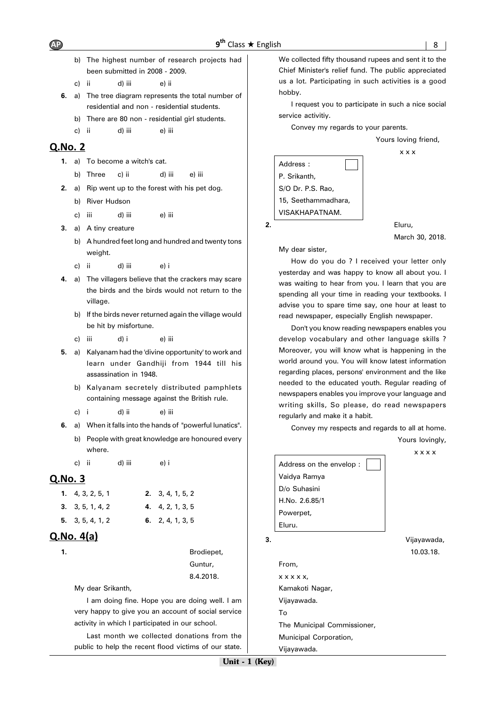- b) The highest number of research projects had been submitted in 2008 - 2009.
- c) ii d) iii e) ii
- **6.** a) The tree diagram represents the total number of residential and non - residential students.
	- b) There are 80 non residential girl students.
	- c) ii d) iii e) iii

## $O.No. 2$

- **1.** a) To become a witch's cat.
	- b) Three c) ii d) iii e) iii
- **2.** a) Rip went up to the forest with his pet dog.
	- b) River Hudson
	- c) iii d) iii e) iii
- **3.** a) A tiny creature
	- b) A hundred feet long and hundred and twenty tons weight.
	- c) ii d) iii e) i
- **4.** a) The villagers believe that the crackers may scare the birds and the birds would not return to the village.
	- b) If the birds never returned again the village would be hit by misfortune.
	- c) iii d) i e) iii
- **5.** a) Kalyanam had the 'divine opportunity' to work and learn under Gandhiji from 1944 till his assassination in 1948.
	- b) Kalyanam secretely distributed pamphlets containing message against the British rule.
	- c) i d) ii e) iii
- **6.** a) When it falls into the hands of "powerful Iunatics". b) People with great knowledge are honoured every where.
	- c) ii d) iii e) i

# Q.No. 3

| 1. $4, 3, 2, 5, 1$ | 2. 3, 4, 1, 5, 2 |
|--------------------|------------------|
| 3. 3, 5, 1, 4, 2   | 4. 4, 2, 1, 3, 5 |
| 5. 3, 5, 4, 1, 2   | 6. 2, 4, 1, 3, 5 |

# $Q.No. 4(a)$

**1.** Brodiepet, Guntur, 8.4.2018.

My dear Srikanth,

I am doing fine. Hope you are doing well. I am very happy to give you an account of social service activity in which I participated in our school.

Last month we collected donations from the public to help the recent flood victims of our state. We collected fifty thousand rupees and sent it to the Chief Minister's relief fund. The public appreciated us a lot. Participating in such activities is a good hobby.

I request you to participate in such a nice social service activitiy.

Convey my regards to your parents.



My dear sister,

How do you do ? I received your letter only yesterday and was happy to know all about you. I was waiting to hear from you. I learn that you are spending all your time in reading your textbooks. I advise you to spare time say, one hour at least to read newspaper, especially English newspaper.

Don't you know reading newspapers enables you develop vocabulary and other language skills ? Moreover, you will know what is happening in the world around you. You will know latest information regarding places, persons' environment and the like needed to the educated youth. Regular reading of newspapers enables you improve your language and writing skills, So please, do read newspapers regularly and make it a habit.

Convey my respects and regards to all at home.

Yours lovingly,

|    |                             | <b>x x x x</b> |
|----|-----------------------------|----------------|
|    | Address on the envelop :    |                |
|    | Vaidya Ramya                |                |
|    | D/o Suhasini                |                |
|    | H.No. 2.6.85/1              |                |
|    | Powerpet,                   |                |
|    | Eluru.                      |                |
| 3. |                             | Vijayawada,    |
|    |                             | 10.03.18.      |
|    | From,                       |                |
|    | x x x x x,                  |                |
|    | Kamakoti Nagar,             |                |
|    | Vijayawada.                 |                |
|    | Tο                          |                |
|    | The Municipal Commissioner, |                |
|    | Municipal Corporation,      |                |
|    | Vijayawada.                 |                |
|    |                             |                |

Unit - 1 (Key)

# $AP$   $9<sup>th</sup>$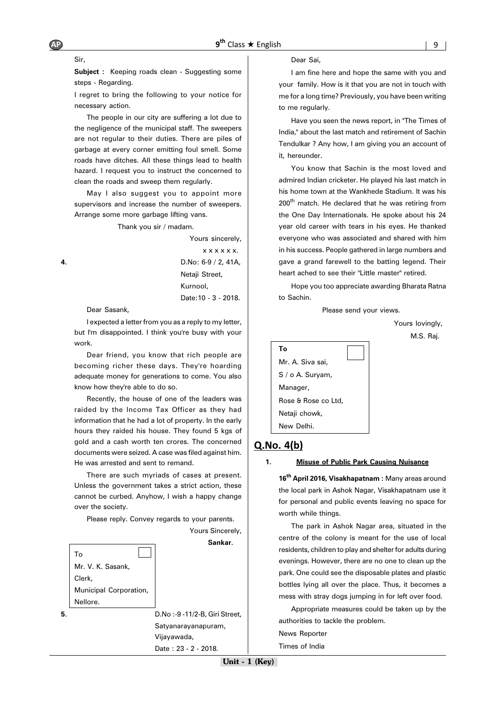**Subject :** Keeping roads clean - Suggesting some steps - Regarding.

I regret to bring the following to your notice for necessary action.

The people in our city are suffering a lot due to the negligence of the municipal staff. The sweepers are not regular to their duties. There are piles of garbage at every corner emitting foul smell. Some roads have ditches. All these things lead to health hazard. I request you to instruct the concerned to clean the roads and sweep them regularly.

May I also suggest you to appoint more supervisors and increase the number of sweepers. Arrange some more garbage lifting vans.

Thank you sir / madam.

Yours sincerely, x x x x x x. **4.** D.No: 6-9 / 2, 41A, Netaji Street, Kurnool, Date:10 - 3 - 2018.

Dear Sasank,

I expected a letter from you as a reply to my letter, but I'm disappointed. I think you're busy with your work.

Dear friend, you know that rich people are becoming richer these days. They're hoarding adequate money for generations to come. You also know how they're able to do so.

Recently, the house of one of the leaders was raided by the Income Tax Officer as they had information that he had a lot of property. In the early hours they raided his house. They found 5 kgs of gold and a cash worth ten crores. The concerned documents were seized. A case was filed against him. He was arrested and sent to remand.

There are such myriads of cases at present. Unless the government takes a strict action, these cannot be curbed. Anyhow, I wish a happy change over the society.

Please reply. Convey regards to your parents.



Dear Sai,

I am fine here and hope the same with you and your family. How is it that you are not in touch with me for a long time? Previously, you have been writing to me regularly.

Have you seen the news report, in "The Times of India," about the last match and retirement of Sachin Tendulkar ? Any how, I am giving you an account of it, hereunder.

You know that Sachin is the most loved and admired Indian cricketer. He played his last match in his home town at the Wankhede Stadium. It was his 200<sup>th</sup> match. He declared that he was retiring from the One Day Internationals. He spoke about his 24 year old career with tears in his eyes. He thanked everyone who was associated and shared with him in his success. People gathered in large numbers and gave a grand farewell to the batting legend. Their heart ached to see their "Little master" retired.

Hope you too appreciate awarding Bharata Ratna to Sachin.

Please send your views.

Yours lovingly,

M.S. Raj.



#### $Q.No. 4(b)$

**1. Misuse of Public Park Causing Nuisance**

**16th April 2016, Visakhapatnam :** Many areas around the local park in Ashok Nagar, Visakhapatnam use it for personal and public events leaving no space for worth while things.

The park in Ashok Nagar area, situated in the centre of the colony is meant for the use of local residents, children to play and shelter for adults during evenings. However, there are no one to clean up the park. One could see the disposable plates and plastic bottles lying all over the place. Thus, it becomes a mess with stray dogs jumping in for left over food.

Appropriate measures could be taken up by the authorities to tackle the problem.

News Reporter

Times of India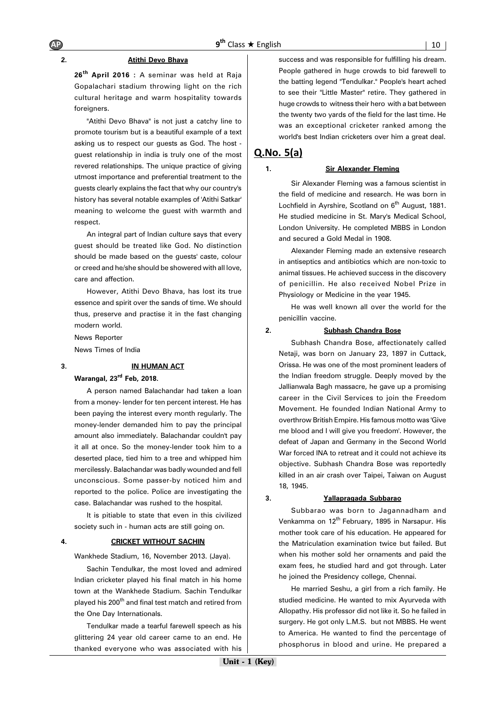#### **2. Atithi Devo Bhava**

**26th April 2016 :** A seminar was held at Raja Gopalachari stadium throwing light on the rich cultural heritage and warm hospitality towards foreigners.

"Atithi Devo Bhava" is not just a catchy line to promote tourism but is a beautiful example of a text asking us to respect our guests as God. The host guest relationship in india is truly one of the most revered relationships. The unique practice of giving utmost importance and preferential treatment to the guests clearly explains the fact that why our country's history has several notable examples of 'Atithi Satkar' meaning to welcome the guest with warmth and respect.

An integral part of Indian culture says that every guest should be treated like God. No distinction should be made based on the guests' caste, colour or creed and he/she should be showered with all love, care and affection.

However, Atithi Devo Bhava, has lost its true essence and spirit over the sands of time. We should thus, preserve and practise it in the fast changing modern world.

News Reporter

News Times of India

# **3. IN HUMAN ACT**

**Warangal, 23rd Feb, 2018.**

A person named Balachandar had taken a loan from a money- lender for ten percent interest. He has been paying the interest every month regularly. The money-lender demanded him to pay the principal amount also immediately. Balachandar couldn't pay it all at once. So the money-lender took him to a deserted place, tied him to a tree and whipped him mercilessly. Balachandar was badly wounded and fell unconscious. Some passer-by noticed him and reported to the police. Police are investigating the case. Balachandar was rushed to the hospital.

It is pitiable to state that even in this civilized society such in - human acts are still going on.

#### **4. CRICKET WITHOUT SACHIN**

Wankhede Stadium, 16, November 2013. (Jaya).

Sachin Tendulkar, the most loved and admired Indian cricketer played his final match in his home town at the Wankhede Stadium. Sachin Tendulkar played his 200<sup>th</sup> and final test match and retired from the One Day Internationals.

Tendulkar made a tearful farewell speech as his glittering 24 year old career came to an end. He thanked everyone who was associated with his success and was responsible for fulfilling his dream. People gathered in huge crowds to bid farewell to the batting legend "Tendulkar." People's heart ached to see their "Little Master" retire. They gathered in huge crowds to witness their hero with a bat between the twenty two yards of the field for the last time. He was an exceptional cricketer ranked among the world's best Indian cricketers over him a great deal.

#### $Q.No. 5(a)$

#### **1. Sir Alexander Fleming**

Sir Alexander Fleming was a famous scientist in the field of medicine and research. He was born in Lochfield in Ayrshire, Scotland on  $6<sup>th</sup>$  August, 1881. He studied medicine in St. Mary's Medical School, London University. He completed MBBS in London and secured a Gold Medal in 1908.

Alexander Fleming made an extensive research in antiseptics and antibiotics which are non-toxic to animal tissues. He achieved success in the discovery of penicillin. He also received Nobel Prize in Physiology or Medicine in the year 1945.

He was well known all over the world for the penicillin vaccine.

#### **2. Subhash Chandra Bose**

Subhash Chandra Bose, affectionately called Netaji, was born on January 23, 1897 in Cuttack, Orissa. He was one of the most prominent leaders of the Indian freedom struggle. Deeply moved by the Jallianwala Bagh massacre, he gave up a promising career in the Civil Services to join the Freedom Movement. He founded Indian National Army to overthrow British Empire. His famous motto was 'Give me blood and I will give you freedom'. However, the defeat of Japan and Germany in the Second World War forced INA to retreat and it could not achieve its objective. Subhash Chandra Bose was reportedly killed in an air crash over Taipei, Taiwan on August 18, 1945.

#### **3. Yallapragada Subbarao**

Subbarao was born to Jagannadham and Venkamma on 12<sup>th</sup> February, 1895 in Narsapur. His mother took care of his education. He appeared for the Matriculation examination twice but failed. But when his mother sold her ornaments and paid the exam fees, he studied hard and got through. Later he joined the Presidency college, Chennai.

He married Seshu, a girl from a rich family. He studied medicine. He wanted to mix Ayurveda with Allopathy. His professor did not like it. So he failed in surgery. He got only L.M.S. but not MBBS. He went to America. He wanted to find the percentage of phosphorus in blood and urine. He prepared a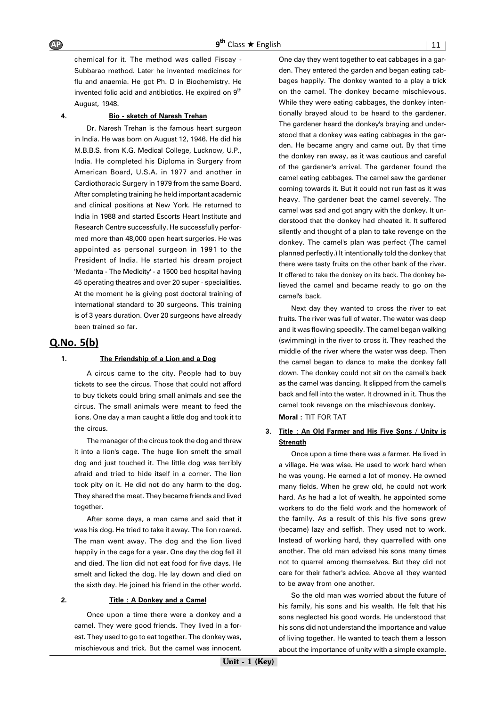chemical for it. The method was called Fiscay - Subbarao method. Later he invented medicines for flu and anaemia. He got Ph. D in Biochemistry. He invented folic acid and antibiotics. He expired on 9<sup>th</sup> August, 1948.

#### **4. Bio - sketch of Naresh Trehan**

Dr. Naresh Trehan is the famous heart surgeon in India. He was born on August 12, 1946. He did his M.B.B.S. from K.G. Medical College, Lucknow, U.P., India. He completed his Diploma in Surgery from American Board, U.S.A. in 1977 and another in Cardiothoracic Surgery in 1979 from the same Board. After completing training he held important academic and clinical positions at New York. He returned to India in 1988 and started Escorts Heart Institute and Research Centre successfully. He successfully performed more than 48,000 open heart surgeries. He was appointed as personal surgeon in 1991 to the President of India. He started his dream project 'Medanta - The Medicity' - a 1500 bed hospital having 45 operating theatres and over 20 super - specialities. At the moment he is giving post doctoral training of international standard to 30 surgeons. This training is of 3 years duration. Over 20 surgeons have already been trained so far.

#### $Q.No. 5(b)$

#### **1. The Friendship of a Lion and a Dog**

A circus came to the city. People had to buy tickets to see the circus. Those that could not afford to buy tickets could bring small animals and see the circus. The small animals were meant to feed the lions. One day a man caught a little dog and took it to the circus.

The manager of the circus took the dog and threw it into a lion's cage. The huge lion smelt the small dog and just touched it. The little dog was terribly afraid and tried to hide itself in a corner. The lion took pity on it. He did not do any harm to the dog. They shared the meat. They became friends and lived together.

After some days, a man came and said that it was his dog. He tried to take it away. The lion roared. The man went away. The dog and the lion lived happily in the cage for a year. One day the dog fell ill and died. The lion did not eat food for five days. He smelt and licked the dog. He lay down and died on the sixth day. He joined his friend in the other world.

#### **2. Title : A Donkey and a Camel**

Once upon a time there were a donkey and a camel. They were good friends. They lived in a forest. They used to go to eat together. The donkey was, mischievous and trick. But the camel was innocent. One day they went together to eat cabbages in a garden. They entered the garden and began eating cabbages happily. The donkey wanted to a play a trick on the camel. The donkey became mischievous. While they were eating cabbages, the donkey intentionally brayed aloud to be heard to the gardener. The gardener heard the donkey's braying and understood that a donkey was eating cabbages in the garden. He became angry and came out. By that time the donkey ran away, as it was cautious and careful of the gardener's arrival. The gardener found the camel eating cabbages. The camel saw the gardener coming towards it. But it could not run fast as it was heavy. The gardener beat the camel severely. The camel was sad and got angry with the donkey. It understood that the donkey had cheated it. It suffered silently and thought of a plan to take revenge on the donkey. The camel's plan was perfect (The camel planned perfectly.) It intentionally told the donkey that there were tasty fruits on the other bank of the river. It offered to take the donkey on its back. The donkey believed the camel and became ready to go on the camel's back.

Next day they wanted to cross the river to eat fruits. The river was full of water. The water was deep and it was flowing speedily. The camel began walking (swimming) in the river to cross it. They reached the middle of the river where the water was deep. Then the camel began to dance to make the donkey fall down. The donkey could not sit on the camel's back as the camel was dancing. It slipped from the camel's back and fell into the water. It drowned in it. Thus the camel took revenge on the mischievous donkey.

**Moral :** TIT FOR TAT

#### **3. Title : An Old Farmer and His Five Sons / Unity is Strength**

Once upon a time there was a farmer. He lived in a village. He was wise. He used to work hard when he was young. He earned a lot of money. He owned many fields. When he grew old, he could not work hard. As he had a lot of wealth, he appointed some workers to do the field work and the homework of the family. As a result of this his five sons grew (became) lazy and selfish. They used not to work. Instead of working hard, they quarrelled with one another. The old man advised his sons many times not to quarrel among themselves. But they did not care for their father's advice. Above all they wanted to be away from one another.

So the old man was worried about the future of his family, his sons and his wealth. He felt that his sons neglected his good words. He understood that his sons did not understand the importance and value of living together. He wanted to teach them a lesson about the importance of unity with a simple example.

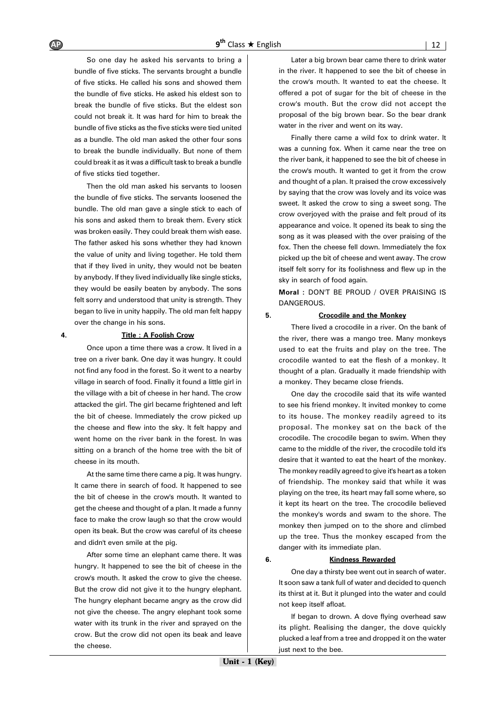So one day he asked his servants to bring a bundle of five sticks. The servants brought a bundle of five sticks. He called his sons and showed them the bundle of five sticks. He asked his eldest son to break the bundle of five sticks. But the eldest son could not break it. It was hard for him to break the bundle of five sticks as the five sticks were tied united as a bundle. The old man asked the other four sons to break the bundle individually. But none of them could break it as it was a difficult task to break a bundle of five sticks tied together.

Then the old man asked his servants to loosen the bundle of five sticks. The servants loosened the bundle. The old man gave a single stick to each of his sons and asked them to break them. Every stick was broken easily. They could break them wish ease. The father asked his sons whether they had known the value of unity and living together. He told them that if they lived in unity, they would not be beaten by anybody. If they lived individually like single sticks, they would be easily beaten by anybody. The sons felt sorry and understood that unity is strength. They began to live in unity happily. The old man felt happy over the change in his sons.

#### **4. Title : A Foolish Crow**

Once upon a time there was a crow. It lived in a tree on a river bank. One day it was hungry. It could not find any food in the forest. So it went to a nearby village in search of food. Finally it found a little girl in the village with a bit of cheese in her hand. The crow attacked the girl. The girl became frightened and left the bit of cheese. Immediately the crow picked up the cheese and flew into the sky. It felt happy and went home on the river bank in the forest. In was sitting on a branch of the home tree with the bit of cheese in its mouth.

At the same time there came a pig. It was hungry. It came there in search of food. It happened to see the bit of cheese in the crow's mouth. It wanted to get the cheese and thought of a plan. It made a funny face to make the crow laugh so that the crow would open its beak. But the crow was careful of its cheese and didn't even smile at the pig.

After some time an elephant came there. It was hungry. It happened to see the bit of cheese in the crow's mouth. It asked the crow to give the cheese. But the crow did not give it to the hungry elephant. The hungry elephant became angry as the crow did not give the cheese. The angry elephant took some water with its trunk in the river and sprayed on the crow. But the crow did not open its beak and leave the cheese.

Later a big brown bear came there to drink water in the river. It happened to see the bit of cheese in the crow's mouth. It wanted to eat the cheese. It offered a pot of sugar for the bit of cheese in the crow's mouth. But the crow did not accept the proposal of the big brown bear. So the bear drank water in the river and went on its way.

Finally there came a wild fox to drink water. It was a cunning fox. When it came near the tree on the river bank, it happened to see the bit of cheese in the crow's mouth. It wanted to get it from the crow and thought of a plan. It praised the crow excessively by saying that the crow was lovely and its voice was sweet. It asked the crow to sing a sweet song. The crow overjoyed with the praise and felt proud of its appearance and voice. It opened its beak to sing the song as it was pleased with the over praising of the fox. Then the cheese fell down. Immediately the fox picked up the bit of cheese and went away. The crow itself felt sorry for its foolishness and flew up in the sky in search of food again.

**Moral :** DON'T BE PROUD / OVER PRAISING IS DANGEROUS.

#### **5. Crocodile and the Monkey**

There lived a crocodile in a river. On the bank of the river, there was a mango tree. Many monkeys used to eat the fruits and play on the tree. The crocodile wanted to eat the flesh of a monkey. It thought of a plan. Gradually it made friendship with a monkey. They became close friends.

One day the crocodile said that its wife wanted to see his friend monkey. It invited monkey to come to its house. The monkey readily agreed to its proposal. The monkey sat on the back of the crocodile. The crocodile began to swim. When they came to the middle of the river, the crocodile told it's desire that it wanted to eat the heart of the monkey. The monkey readily agreed to give it's heart as a token of friendship. The monkey said that while it was playing on the tree, its heart may fall some where, so it kept its heart on the tree. The crocodile believed the monkey's words and swam to the shore. The monkey then jumped on to the shore and climbed up the tree. Thus the monkey escaped from the danger with its immediate plan.

#### **6. Kindness Rewarded**

One day a thirsty bee went out in search of water. It soon saw a tank full of water and decided to quench its thirst at it. But it plunged into the water and could not keep itself afloat.

If began to drown. A dove flying overhead saw its plight. Realising the danger, the dove quickly plucked a leaf from a tree and dropped it on the water just next to the bee.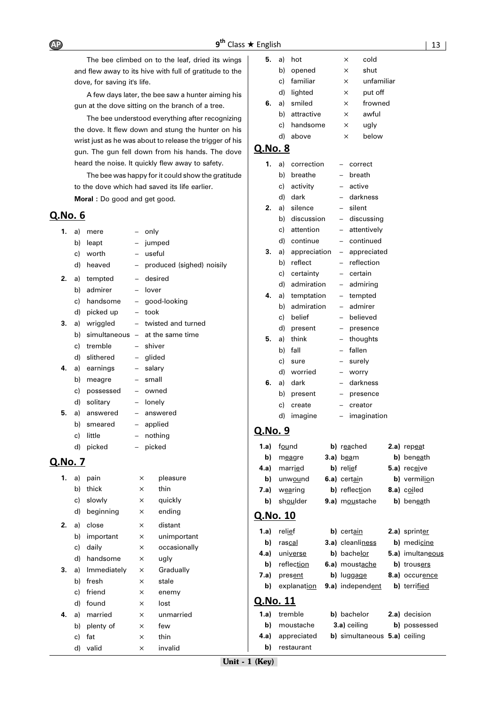The bee climbed on to the leaf, dried its wings and flew away to its hive with full of gratitude to the dove, for saving it's life.

A few days later, the bee saw a hunter aiming his gun at the dove sitting on the branch of a tree.

The bee understood everything after recognizing the dove. It flew down and stung the hunter on his wrist just as he was about to release the trigger of his gun. The gun fell down from his hands. The dove heard the noise. It quickly flew away to safety.

The bee was happy for it could show the gratitude to the dove which had saved its life earlier. **Moral :** Do good and get good.

#### Q.No. 6

| 1.             | a) | mere         |          | only                                 |
|----------------|----|--------------|----------|--------------------------------------|
|                |    | b) leapt     |          | jumped                               |
|                |    | c) worth     |          | - useful                             |
|                |    | d) heaved    | $-$      | produced (sighed) noisily            |
| 2.             |    | a) tempted   | $-$      | desired                              |
|                |    | b) admirer   |          | - lover                              |
|                |    | c) handsome  |          | - good-looking                       |
|                |    | d) picked up | $\equiv$ | took                                 |
| 3.             |    | a) wriggled  | $-$      | twisted and turned                   |
|                |    |              |          | b) simultaneous $-$ at the same time |
|                |    | c) tremble   | $-$      | shiver                               |
|                |    | d) slithered |          | - glided                             |
| 4.             |    | a) earnings  |          | - salary                             |
|                | b) | meagre       |          | - small                              |
|                | c) | possessed    |          | - owned                              |
|                |    | d) solitary  |          | - lonely                             |
| 5.             | a) | answered     | $-$      | answered                             |
|                | b) | smeared      |          | - applied                            |
|                | c) | little       | $-$      | nothing                              |
|                | d) | picked       | $-$      | picked                               |
| <u>Q.No. 7</u> |    |              |          |                                      |
| 1.             |    | a) pain      | ×        | pleasure                             |
|                | b) | thick        | X        | thin                                 |
|                | c) | slowly       | ×        | quickly                              |

d) beginning × ending **2.** a) close  $\times$  distant

b) important x unimportant c) daily  $\times$  occasionally d) handsome  $\times$  ugly **3.** a) Immediately × Gradually b) fresh  $\times$  stale c) friend  $\times$  enemy d) found  $\times$  lost **4.** a) married  $\times$  unmarried b) plenty of  $\times$  few c) fat  $\times$  thin d) valid × invalid

|         | c) | familiar      | X          | unfamiliar |  |
|---------|----|---------------|------------|------------|--|
|         | d) | lighted       | ×          | put off    |  |
| 6.      | a) | smiled        | ×          | frowned    |  |
|         | b) | attractive    | X          | awful      |  |
|         | C) | handsome      | ×          | ugly       |  |
|         | d) | above         | $\times$   | below      |  |
| Q.No. 8 |    |               |            |            |  |
| 1.      |    | a) correction | - correct  |            |  |
|         | b) | breathe       | - breath   |            |  |
|         |    | c) activity   | - active   |            |  |
|         | d) | dark          | - darkness |            |  |
| 2.      |    | a) silence    | – silent   |            |  |

**5.** a) hot  $\times$  cold b) opened  $\times$  shut

b) discussion – discussing c) attention – attentively d) continue – continued **3.** a) appreciation – appreciated b) reflect – reflection c) certainty – certain d) admiration – admiring **4.** a) temptation – tempted

|    |    | b) admiration |     | – admirer  |
|----|----|---------------|-----|------------|
|    | c) | belief        |     | - believed |
|    | d) | present       | $-$ | presence   |
| 5. |    | a) think      |     | - thoughts |
|    |    | b) fall       |     | - fallen   |
|    |    | c) sure       |     | - surely   |
|    |    | d) worried    |     | - worry    |
| 6. | a) | dark          |     | - darkness |
|    | b) | present       | н.  | presence   |
|    | c) | create        |     | – creator  |

#### d) imagine – imagination

#### Q.No. 9

| 1.a) | found        | b) reached     | $2.a)$ repeat |
|------|--------------|----------------|---------------|
| b)   | meagre       | $3.a)$ beam    | b) beneath    |
|      | 4.a) married | b) relief      | 5.a) receive  |
| b)   | unwound      | 6.a) certain   | b) vermilion  |
| 7.a) | wearing      | b) reflection  | 8.a) coiled   |
| b)   | shoulder     | 9.a) moustache | b) beneath    |
|      |              |                |               |

# Q.No. 10

| 1.a)     | relief      |  | b) certain                   |  | 2.a) sprinter    |  |  |
|----------|-------------|--|------------------------------|--|------------------|--|--|
| b)       | rascal      |  | 3.a) cleanliness             |  | b) medicine      |  |  |
| 4.a)     | universe    |  | b) bachelor                  |  | 5.a) imultaneous |  |  |
| b)       | reflection  |  | 6.a) moustache               |  | b) trousers      |  |  |
| 7.a)     | present     |  | b) luggage                   |  | 8.a) occurence   |  |  |
| b)       | explanation |  | <b>9.a)</b> independent      |  | b) terrified     |  |  |
| Q.No. 11 |             |  |                              |  |                  |  |  |
| 1.a)     | tremble     |  | b) bachelor                  |  | 2.a) decision    |  |  |
| b)       | moustache   |  | 3.a) ceiling                 |  | b) possessed     |  |  |
| 4.a)     | appreciated |  | b) simultaneous 5.a) ceiling |  |                  |  |  |

**b)** restaurant

| he  | b) ben <u>ea</u> t |
|-----|--------------------|
|     |                    |
|     | 2.a) sprinte       |
| :SS | b) medici          |
|     | 5.a) imultar       |
| he  | b) trouser         |
|     |                    |

| าeior | <b>2.a</b> ) decision |
|-------|-----------------------|
| iling | b) possesse           |

Unit - 1 (Key)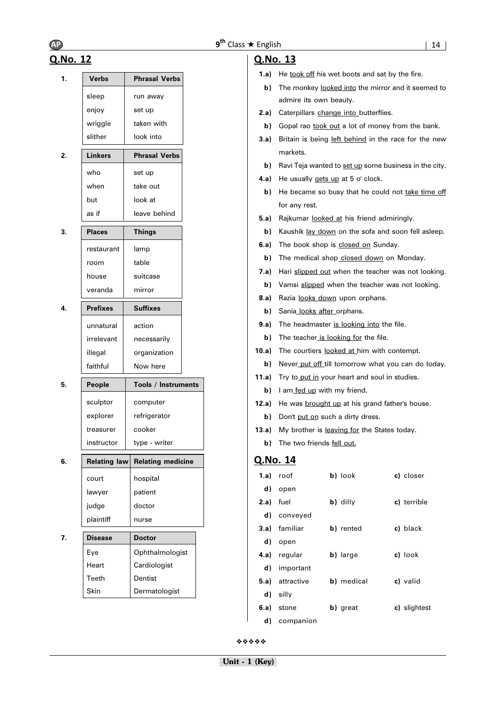# Q.No. 12

| 1. | <b>Verbs</b>    | <b>Phrasal Verbs</b>     |
|----|-----------------|--------------------------|
|    | sleep           | run away                 |
|    | enjoy           | set up                   |
|    | wriggle         | taken with               |
|    | slither         | look into                |
| 2. | Linkers         | <b>Phrasal Verbs</b>     |
|    | who             | set up                   |
|    | when            | take out                 |
|    | but             | look at                  |
|    | as if           | leave behind             |
| 3. | <b>Places</b>   | <b>Things</b>            |
|    | restaurant      | lamp                     |
|    | room            | table                    |
|    | house           | suitcase                 |
|    | veranda         | mirror                   |
| 4. | <b>Prefixes</b> | <b>Suffixes</b>          |
|    | unnatural       | action                   |
|    | irrelevant      | necessarily              |
|    | illegal         | organization             |
|    | faithful        | Now here                 |
| 5. | People          | Tools / Instruments      |
|    | sculptor        | computer                 |
|    | explorer        | refrigerator             |
|    | treasurer       | cooker                   |
|    | instructor      | type - writer            |
| 6. | Relating law    | <b>Relating medicine</b> |
|    | court           | hospital                 |
|    | lawyer          | patient                  |
|    | judge           | doctor                   |
|    | plaintiff       | nurse                    |
| 7. | <b>Disease</b>  | <b>Doctor</b>            |
|    | Eve             | Ophthalmologist          |
|    | Heart           | Cardiologist             |
|    | Teeth           | Dentist                  |
|    | Skin            | Dermatologist            |

## Q.No. 13

- **1.a)** He took off his wet boots and sat by the fire.
- **b**) The monkey looked into the mirror and it seemed to admire its own beauty.
- **2.a)** Caterpillars change into butterflies.
- **b)** Gopal rao took out a lot of money from the bank.
- **3.a)** Britain is being left behind in the race for the new markets.
- **b)** Ravi Teja wanted to set up some business in the city.
- **4.a)** He usually gets up at 5 o' clock.
- **b)** He became so busy that he could not take time off for any rest.
- **5.a)** Rajkumar looked at his friend admiringly.
- **b)** Kaushik lay down on the sofa and soon fell asleep.
- **6.a)** The book shop is **closed on** Sunday.
	- **b)** The medical shop closed down on Monday.
- 7.a) Hari slipped out when the teacher was not looking.
	- **b)** Vamsi slipped when the teacher was not looking.
- **8.a)** Razia looks down upon orphans.
- **b)** Sania looks after orphans.
- **9.a)** The headmaster is looking into the file.
- **b)** The teacher is looking for the file.
- **10.a)** The courtiers looked at him with contempt.
	- **b)** Never put off till tomorrow what you can do today.
- 11.a) Try to put in your heart and soul in studies.
	- **b)** I am fed up with my friend.
- 12.a) He was **brought up** at his grand father's house.
	- **b)** Don't put on such a dirty dress.
- 13.a) My brother is leaving for the States today.
	- **b)** The two friends fell out.

# Q.No. 14

|           | $1.a)$ roof            | b) look    | c) closer    |
|-----------|------------------------|------------|--------------|
|           | d) open                |            |              |
| 2.a) fuel |                        | b) dilly   | c) terrible  |
|           | d) conveyed            |            |              |
|           | 3.a) familiar          | b) rented  | c) black     |
|           | d) open                |            |              |
|           | 4.a) regular           | b) large   | c) look      |
| d)        | important              |            |              |
|           | <b>5.a)</b> attractive | b) medical | c) valid     |
| d)        | silly                  |            |              |
|           | 6.a) stone             | b) great   | c) slightest |
| d)        | companion              |            |              |

❖❖❖❖❖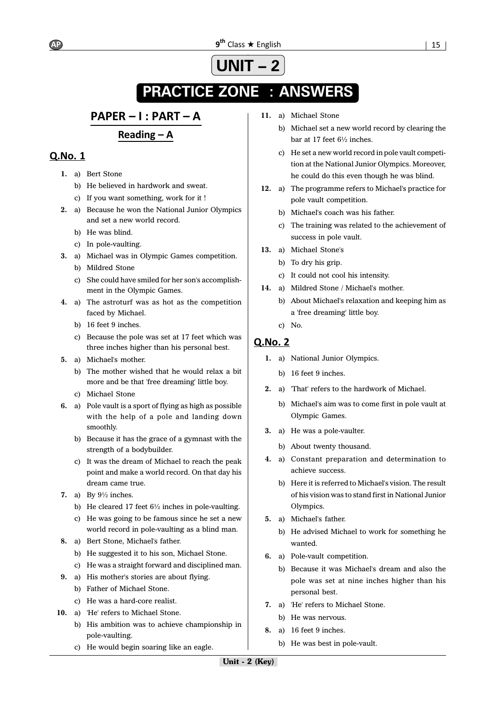# **UNIT – 2**

# **ANSWERS PRACTICE ZONE : ANSWERS**

# PAPER - I : PART - A

# Reading  $-$  A

# Q.No. 1

- **1.** a) Bert Stone
	- b) He believed in hardwork and sweat.
	- c) If you want something, work for it !
- **2.** a) Because he won the National Junior Olympics and set a new world record.
	- b) He was blind.
	- c) In pole-vaulting.
- **3.** a) Michael was in Olympic Games competition.
	- b) Mildred Stone
	- c) She could have smiled for her son's accomplishment in the Olympic Games.
- **4.** a) The astroturf was as hot as the competition faced by Michael.
	- b) 16 feet 9 inches.
	- c) Because the pole was set at 17 feet which was three inches higher than his personal best.
- **5.** a) Michael's mother.
	- b) The mother wished that he would relax a bit more and be that 'free dreaming' little boy.
	- c) Michael Stone
- **6.** a) Pole vault is a sport of flying as high as possible with the help of a pole and landing down smoothly.
	- b) Because it has the grace of a gymnast with the strength of a bodybuilder.
	- c) It was the dream of Michael to reach the peak point and make a world record. On that day his dream came true.
- **7.** a) By 9½ inches.
	- b) He cleared 17 feet 6½ inches in pole-vaulting.
	- c) He was going to be famous since he set a new world record in pole-vaulting as a blind man.
- **8.** a) Bert Stone, Michael's father.
	- b) He suggested it to his son, Michael Stone.
	- c) He was a straight forward and disciplined man.
- **9.** a) His mother's stories are about flying.
	- b) Father of Michael Stone.
	- c) He was a hard-core realist.
- **10.** a) 'He' refers to Michael Stone.
	- b) His ambition was to achieve championship in pole-vaulting.
	- c) He would begin soaring like an eagle.
- **11.** a) Michael Stone
	- b) Michael set a new world record by clearing the bar at 17 feet 6½ inches.
	- c) He set a new world record in pole vault competition at the National Junior Olympics. Moreover, he could do this even though he was blind.
- **12.** a) The programme refers to Michael's practice for pole vault competition.
	- b) Michael's coach was his father.
	- c) The training was related to the achievement of success in pole vault.
- **13.** a) Michael Stone's
	- b) To dry his grip.
	- c) It could not cool his intensity.
- **14.** a) Mildred Stone / Michael's mother.
	- b) About Michael's relaxation and keeping him as a 'free dreaming' little boy.
	- c) No.

- **1.** a) National Junior Olympics.
	- b) 16 feet 9 inches.
- **2.** a) 'That' refers to the hardwork of Michael.
	- b) Michael's aim was to come first in pole vault at Olympic Games.
- **3.** a) He was a pole-vaulter.
	- b) About twenty thousand.
- **4.** a) Constant preparation and determination to achieve success.
	- b) Here it is referred to Michael's vision. The result of his vision was to stand first in National Junior Olympics.
- **5.** a) Michael's father.
	- b) He advised Michael to work for something he wanted.
- **6.** a) Pole-vault competition.
	- b) Because it was Michael's dream and also the pole was set at nine inches higher than his personal best.
- **7.** a) 'He' refers to Michael Stone.
	- b) He was nervous.
- **8.** a) 16 feet 9 inches.
	- b) He was best in pole-vault.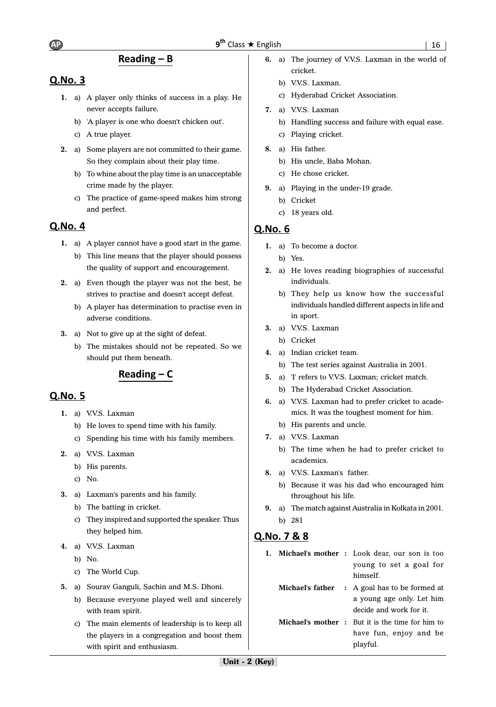# Reading  $- B$

# Q.No. 3

- **1.** a) A player only thinks of success in a play. He never accepts failure.
	- b) 'A player is one who doesn't chicken out'.
	- c) A true player.
- **2.** a) Some players are not committed to their game. So they complain about their play time.
	- b) To whine about the play time is an unacceptable crime made by the player.
	- c) The practice of game-speed makes him strong and perfect.

# Q.No. 4

- **1.** a) A player cannot have a good start in the game.
	- b) This line means that the player should possess the quality of support and encouragement.
- **2.** a) Even though the player was not the best, he strives to practise and doesn't accept defeat.
	- b) A player has determination to practise even in adverse conditions.
- **3.** a) Not to give up at the sight of defeat.
	- b) The mistakes should not be repeated. So we should put them beneath.

# Reading  $- C$

# Q.No. 5

- **1.** a) V.V.S. Laxman
	- b) He loves to spend time with his family.
	- c) Spending his time with his family members.
- **2.** a) V.V.S. Laxman
	- b) His parents.
	- c) No.
- **3.** a) Laxman's parents and his family.
	- b) The batting in cricket.
	- c) They inspired and supported the speaker. Thus they helped him.
- **4.** a) V.V.S. Laxman
	- b) No.
	- c) The World Cup.
- **5.** a) Sourav Ganguli, Sachin and M.S. Dhoni.
	- b) Because everyone played well and sincerely with team spirit.
	- c) The main elements of leadership is to keep all the players in a congregation and boost them with spirit and enthusiasm.
- **6.** a) The journey of V.V.S. Laxman in the world of cricket.
	- b) V.V.S. Laxman.
	- c) Hyderabad Cricket Association.
- **7.** a) V.V.S. Laxman
	- b) Handling success and failure with equal ease.
	- c) Playing cricket.
- **8.** a) His father.
	- b) His uncle, Baba Mohan.
	- c) He chose cricket.
- **9.** a) Playing in the under-19 grade.
	- b) Cricket
	- c) 18 years old.

# Q.No. 6

- **1.** a) To become a doctor.
	- b) Yes.
- **2.** a) He loves reading biographies of successful individuals.
	- b) They help us know how the successful individuals handled different aspects in life and in sport.
- **3.** a) V.V.S. Laxman
	- b) Cricket
- **4.** a) Indian cricket team.
	- b) The test series against Australia in 2001.
- **5.** a) 'I' refers to V.V.S. Laxman; cricket match.
	- b) The Hyderabad Cricket Association.
- **6.** a) V.V.S. Laxman had to prefer cricket to academics. It was the toughest moment for him.
- b) His parents and uncle.
- **7.** a) V.V.S. Laxman
	- b) The time when he had to prefer cricket to academics.
- **8.** a) V.V.S. Laxman's father.
	- b) Because it was his dad who encouraged him throughout his life.
- **9.** a) The match against Australia in Kolkata in 2001. b) 281

# Q.No. 7 & 8

**1. Michael's mother :** Look dear, our son is too young to set a goal for himself. **Michael's father :** A goal has to be formed at a young age only. Let him decide and work for it. **Michael's mother :** But it is the time for him to have fun, enjoy and be playful.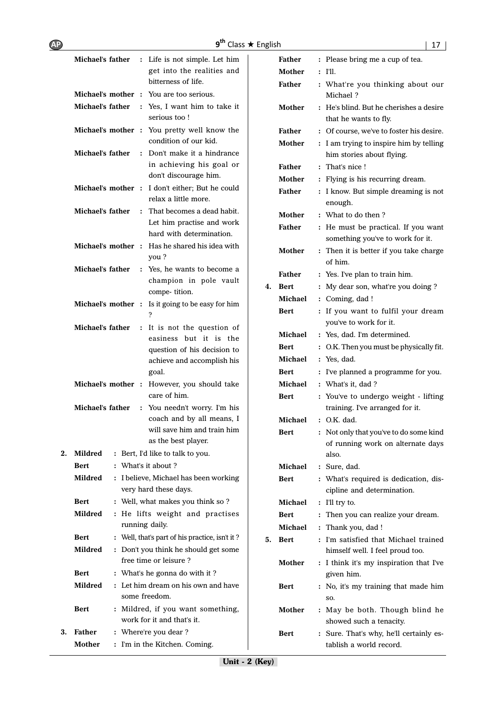|    | Michael's father | : Life is not simple. Let him                                       |    | Father        | : Please bring me a cup of tea.                                            |
|----|------------------|---------------------------------------------------------------------|----|---------------|----------------------------------------------------------------------------|
|    |                  | get into the realities and                                          |    | <b>Mother</b> | $:$ I'll.                                                                  |
|    |                  | bitterness of life.                                                 |    | <b>Father</b> | : What're you thinking about our                                           |
|    |                  | Michael's mother : You are too serious.                             |    |               | Michael?                                                                   |
|    | Michael's father | : Yes, I want him to take it<br>serious too!                        |    | Mother        | : He's blind. But he cherishes a desire<br>that he wants to fly.           |
|    |                  | Michael's mother : You pretty well know the                         |    | Father        | : Of course, we've to foster his desire.                                   |
|    | Michael's father | condition of our kid.<br>: Don't make it a hindrance                |    | Mother        | : I am trying to inspire him by telling<br>him stories about flying.       |
|    |                  | in achieving his goal or                                            |    | Father        | : That's nice!                                                             |
|    |                  | don't discourage him.                                               |    | Mother        | : Flying is his recurring dream.                                           |
|    |                  | Michael's mother : I don't either; But he could                     |    | <b>Father</b> | : I know. But simple dreaming is not                                       |
|    |                  | relax a little more.                                                |    |               | enough.                                                                    |
|    | Michael's father | : That becomes a dead habit.                                        |    | Mother        | : What to do then?                                                         |
|    |                  | Let him practise and work<br>hard with determination.               |    | <b>Father</b> | : He must be practical. If you want                                        |
|    |                  | Michael's mother : Has he shared his idea with                      |    | Mother        | something you've to work for it.<br>: Then it is better if you take charge |
|    |                  | you?                                                                |    |               | of him.                                                                    |
|    | Michael's father | : Yes, he wants to become a                                         |    | <b>Father</b> | : Yes. I've plan to train him.                                             |
|    |                  | champion in pole vault                                              |    | 4. Bert       | : My dear son, what're you doing?                                          |
|    |                  | compe-tition.                                                       |    | Michael       | : Coming, dad!                                                             |
|    |                  | Michael's mother : Is it going to be easy for him<br>$\overline{?}$ |    | Bert          | : If you want to fulfil your dream<br>you've to work for it.               |
|    | Michael's father | : It is not the question of                                         |    | Michael       | : Yes, dad. I'm determined.                                                |
|    |                  | easiness but it is the                                              |    | Bert          | : O.K. Then you must be physically fit.                                    |
|    |                  | question of his decision to                                         |    | Michael       | : Yes, dad.                                                                |
|    |                  | achieve and accomplish his<br>goal.                                 |    | Bert          | : I've planned a programme for you.                                        |
|    |                  | Michael's mother : However, you should take                         |    | Michael       | : What's it, dad?                                                          |
|    |                  | care of him.                                                        |    | Bert          | : You've to undergo weight - lifting                                       |
|    | Michael's father | : You needn't worry. I'm his                                        |    |               | training. I've arranged for it.                                            |
|    |                  | coach and by all means, I                                           |    | Michael       | : O.K. dad.                                                                |
|    |                  | will save him and train him                                         |    | Bert          | : Not only that you've to do some kind                                     |
|    |                  | as the best player.                                                 |    |               | of running work on alternate days                                          |
| 2. | <b>Mildred</b>   | : Bert, I'd like to talk to you.                                    |    |               | also.                                                                      |
|    | <b>Bert</b>      | : What's it about ?                                                 |    | Michael       | : Sure, dad.                                                               |
|    | Mildred          | : I believe, Michael has been working                               |    | Bert          | : What's required is dedication, dis-                                      |
|    |                  | very hard these days.                                               |    |               | cipline and determination.                                                 |
|    | <b>Bert</b>      | : Well, what makes you think so?                                    |    | Michael       | : I'll try to.                                                             |
|    | <b>Mildred</b>   | : He lifts weight and practises<br>running daily.                   |    | Bert          | : Then you can realize your dream.                                         |
|    | <b>Bert</b>      | : Well, that's part of his practice, isn't it?                      |    | Michael       | : Thank you, dad !                                                         |
|    | <b>Mildred</b>   | : Don't you think he should get some                                | 5. | Bert          | : I'm satisfied that Michael trained<br>himself well. I feel proud too.    |
|    |                  | free time or leisure?                                               |    | Mother        | : I think it's my inspiration that I've                                    |
|    | Bert             | : What's he gonna do with it?                                       |    |               | given him.                                                                 |
|    | Mildred          | : Let him dream on his own and have<br>some freedom.                |    | Bert          | : No, it's my training that made him<br>SO.                                |
|    | <b>Bert</b>      | : Mildred, if you want something,<br>work for it and that's it.     |    | Mother        | : May be both. Though blind he<br>showed such a tenacity.                  |
| 3. | <b>Father</b>    | : Where're you dear?                                                |    | Bert          | : Sure. That's why, he'll certainly es-                                    |
|    | Mother           | : I'm in the Kitchen. Coming.                                       |    |               | tablish a world record.                                                    |
|    |                  |                                                                     |    |               |                                                                            |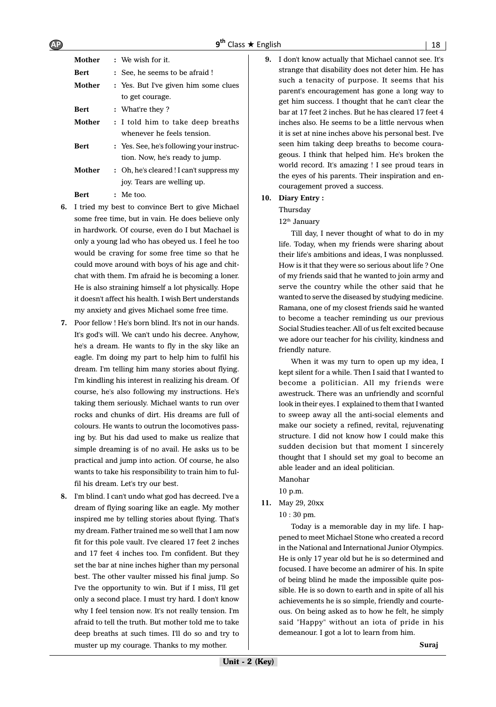9<sup>th</sup> Class ★ Engli

| Mother      | : We wish for it.                                |
|-------------|--------------------------------------------------|
| <b>Bert</b> | : See, he seems to be afraid !                   |
| Mother      | : Yes. But I've given him some clues             |
|             | to get courage.                                  |
| Bert        | : What're they?                                  |
| Mother      | : I told him to take deep breaths                |
|             | whenever he feels tension.                       |
| Bert        | : Yes. See, he's following your instruc-         |
|             | tion. Now, he's ready to jump.                   |
| Mother      | : Oh, he's cleared ! I can't suppress my         |
|             | joy. Tears are welling up.                       |
| Bert        | $:$ Me too.                                      |
|             | I tried my hest to convince Bert to give Michael |

- **6.** I tried my best to convince Bert to give Michael some free time, but in vain. He does believe only in hardwork. Of course, even do I but Machael is only a young lad who has obeyed us. I feel he too would be craving for some free time so that he could move around with boys of his age and chitchat with them. I'm afraid he is becoming a loner. He is also straining himself a lot physically. Hope it doesn't affect his health. I wish Bert understands my anxiety and gives Michael some free time.
- **7.** Poor fellow ! He's born blind. It's not in our hands. It's god's will. We can't undo his decree. Anyhow, he's a dream. He wants to fly in the sky like an eagle. I'm doing my part to help him to fulfil his dream. I'm telling him many stories about flying. I'm kindling his interest in realizing his dream. Of course, he's also following my instructions. He's taking them seriously. Michael wants to run over rocks and chunks of dirt. His dreams are full of colours. He wants to outrun the locomotives passing by. But his dad used to make us realize that simple dreaming is of no avail. He asks us to be practical and jump into action. Of course, he also wants to take his responsibility to train him to fulfil his dream. Let's try our best.
- **8.** I'm blind. I can't undo what god has decreed. I've a dream of flying soaring like an eagle. My mother inspired me by telling stories about flying. That's my dream. Father trained me so well that I am now fit for this pole vault. I've cleared 17 feet 2 inches and 17 feet 4 inches too. I'm confident. But they set the bar at nine inches higher than my personal best. The other vaulter missed his final jump. So I've the opportunity to win. But if I miss, I'll get only a second place. I must try hard. I don't know why I feel tension now. It's not really tension. I'm afraid to tell the truth. But mother told me to take deep breaths at such times. I'll do so and try to muster up my courage. Thanks to my mother.

**9.** I don't know actually that Michael cannot see. It's strange that disability does not deter him. He has such a tenacity of purpose. It seems that his parent's encouragement has gone a long way to get him success. I thought that he can't clear the bar at 17 feet 2 inches. But he has cleared 17 feet 4 inches also. He seems to be a little nervous when it is set at nine inches above his personal best. I've seen him taking deep breaths to become courageous. I think that helped him. He's broken the world record. It's amazing ! I see proud tears in the eyes of his parents. Their inspiration and encouragement proved a success.

#### **10. Diary Entry :**

Thursday

#### 12<sup>th</sup> January

Till day, I never thought of what to do in my life. Today, when my friends were sharing about their life's ambitions and ideas, I was nonplussed. How is it that they were so serious about life ? One of my friends said that he wanted to join army and serve the country while the other said that he wanted to serve the diseased by studying medicine. Ramana, one of my closest friends said he wanted to become a teacher reminding us our previous Social Studies teacher. All of us felt excited because we adore our teacher for his civility, kindness and friendly nature.

When it was my turn to open up my idea, I kept silent for a while. Then I said that I wanted to become a politician. All my friends were awestruck. There was an unfriendly and scornful look in their eyes. I explained to them that I wanted to sweep away all the anti-social elements and make our society a refined, revital, rejuvenating structure. I did not know how I could make this sudden decision but that moment I sincerely thought that I should set my goal to become an able leader and an ideal politician.

Manohar

- 10 p.m.
- **11.** May 29, 20xx
	- 10 : 30 pm.

Today is a memorable day in my life. I happened to meet Michael Stone who created a record in the National and International Junior Olympics. He is only 17 year old but he is so determined and focused. I have become an admirer of his. In spite of being blind he made the impossible quite possible. He is so down to earth and in spite of all his achievements he is so simple, friendly and courteous. On being asked as to how he felt, he simply said "Happy" without an iota of pride in his demeanour. I got a lot to learn from him.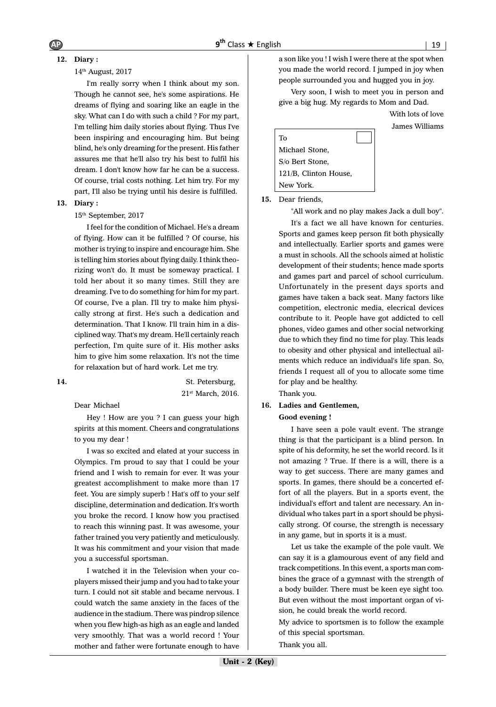# **12. Diary :**

#### 14th August, 2017

I'm really sorry when I think about my son. Though he cannot see, he's some aspirations. He dreams of flying and soaring like an eagle in the sky. What can I do with such a child ? For my part, I'm telling him daily stories about flying. Thus I've been inspiring and encouraging him. But being blind, he's only dreaming for the present. His father assures me that he'll also try his best to fulfil his dream. I don't know how far he can be a success. Of course, trial costs nothing. Let him try. For my part, I'll also be trying until his desire is fulfilled.

#### **13. Diary :**

#### 15th September, 2017

I feel for the condition of Michael. He's a dream of flying. How can it be fulfilled ? Of course, his mother is trying to inspire and encourage him. She is telling him stories about flying daily. I think theorizing won't do. It must be someway practical. I told her about it so many times. Still they are dreaming. I've to do something for him for my part. Of course, I've a plan. I'll try to make him physically strong at first. He's such a dedication and determination. That I know. I'll train him in a disciplined way. That's my dream. He'll certainly reach perfection, I'm quite sure of it. His mother asks him to give him some relaxation. It's not the time for relaxation but of hard work. Let me try.

**14.** St. Petersburg, 21st March, 2016.

Dear Michael

Hey ! How are you ? I can guess your high spirits at this moment. Cheers and congratulations to you my dear !

I was so excited and elated at your success in Olympics. I'm proud to say that I could be your friend and I wish to remain for ever. It was your greatest accomplishment to make more than 17 feet. You are simply superb ! Hat's off to your self discipline, determination and dedication. It's worth you broke the record. I know how you practised to reach this winning past. It was awesome, your father trained you very patiently and meticulously. It was his commitment and your vision that made you a successful sportsman.

I watched it in the Television when your coplayers missed their jump and you had to take your turn. I could not sit stable and became nervous. I could watch the same anxiety in the faces of the audience in the stadium. There was pindrop silence when you flew high-as high as an eagle and landed very smoothly. That was a world record ! Your mother and father were fortunate enough to have a son like you ! I wish I were there at the spot when you made the world record. I jumped in joy when people surrounded you and hugged you in joy.

Very soon, I wish to meet you in person and give a big hug. My regards to Mom and Dad.

> With lots of love James Williams



**15.** Dear friends,

"All work and no play makes Jack a dull boy".

It's a fact we all have known for centuries. Sports and games keep person fit both physically and intellectually. Earlier sports and games were a must in schools. All the schools aimed at holistic development of their students; hence made sports and games part and parcel of school curriculum. Unfortunately in the present days sports and games have taken a back seat. Many factors like competition, electronic media, elecrical devices contribute to it. People have got addicted to cell phones, video games and other social networking due to which they find no time for play. This leads to obesity and other physical and intellectual ailments which reduce an individual's life span. So, friends I request all of you to allocate some time for play and be healthy.

Thank you.

# **16. Ladies and Gentlemen,**

**Good evening !**

I have seen a pole vault event. The strange thing is that the participant is a blind person. In spite of his deformity, he set the world record. Is it not amazing ? True. If there is a will, there is a way to get success. There are many games and sports. In games, there should be a concerted effort of all the players. But in a sports event, the individual's effort and talent are necessary. An individual who takes part in a sport should be physically strong. Of course, the strength is necessary in any game, but in sports it is a must.

Let us take the example of the pole vault. We can say it is a glamourous event of any field and track competitions. In this event, a sports man combines the grace of a gymnast with the strength of a body builder. There must be keen eye sight too. But even without the most important organ of vision, he could break the world record.

My advice to sportsmen is to follow the example of this special sportsman. Thank you all.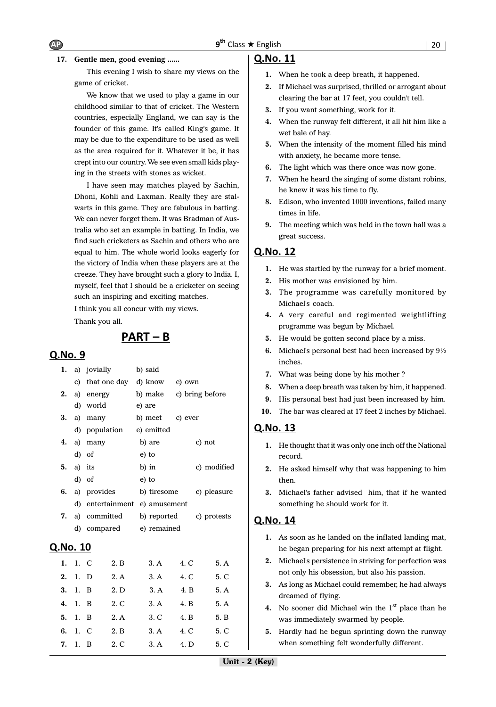#### **17. Gentle men, good evening ......**

This evening I wish to share my views on the game of cricket.

We know that we used to play a game in our childhood similar to that of cricket. The Western countries, especially England, we can say is the founder of this game. It's called King's game. It may be due to the expenditure to be used as well as the area required for it. Whatever it be, it has crept into our country. We see even small kids playing in the streets with stones as wicket.

I have seen may matches played by Sachin, Dhoni, Kohli and Laxman. Really they are stalwarts in this game. They are fabulous in batting. We can never forget them. It was Bradman of Australia who set an example in batting. In India, we find such cricketers as Sachin and others who are equal to him. The whole world looks eagerly for the victory of India when these players are at the creeze. They have brought such a glory to India. I, myself, feel that I should be a cricketer on seeing such an inspiring and exciting matches.

I think you all concur with my views.

Thank you all.

# $PART - B$

#### Q.No. 9

|                 |         | 1. a) jovially |      |        | b) said              |         |                 |
|-----------------|---------|----------------|------|--------|----------------------|---------|-----------------|
|                 | c)      |                |      |        | that one day d) know | e) own  |                 |
| 2.              | a)      | energy         |      |        | b) make              |         | c) bring before |
|                 | d)      | world          |      | e) are |                      |         |                 |
| 3.              |         | a) many        |      |        | b) meet              | c) ever |                 |
|                 |         | d) population  |      |        | e) emitted           |         |                 |
| 4.              |         | a) many        |      |        | b) are               |         | c) not          |
|                 | d)      | of             |      |        | e) to                |         |                 |
| 5.              |         | a) its         |      |        | b) in                |         | c) modified     |
|                 |         | d) of          |      |        | e) to                |         |                 |
|                 |         | a) provides    |      |        | b) tiresome          |         | c) pleasure     |
|                 | d)      | entertainment  |      |        | e) amusement         |         |                 |
| 7.              |         | a) committed   |      |        | b) reported          |         | c) protests     |
|                 | d)      | compared       |      |        | e) remained          |         |                 |
| <u>Q.No. 10</u> |         |                |      |        |                      |         |                 |
| 1.              | 1. C    |                | 2. B |        | 3. A                 | 4. C    | 5. A            |
| 2.              | 1.      | - D            | 2. A |        | 3. A                 | 4. C    | 5. C            |
| 3.              | 1.      | $\overline{B}$ | 2. D |        | 3. A                 | 4. B    | 5. A            |
| 4.              | 1.      | $\overline{B}$ | 2. C |        | 3. A                 | 4. B    | 5. A            |
|                 | 5. 1. B |                | 2. A |        | 3. C                 | 4. B    | 5. B            |

**6.** 1. C 2. B 3. A 4. C 5. C **7.** 1. B 2. C 3. A 4. D 5. C

#### Q.No. 11

- **1.** When he took a deep breath, it happened.
- **2.** If Michael was surprised, thrilled or arrogant about clearing the bar at 17 feet, you couldn't tell.
- **3.** If you want something, work for it.
- **4.** When the runway felt different, it all hit him like a wet bale of hay.
- **5.** When the intensity of the moment filled his mind with anxiety, he became more tense.
- **6.** The light which was there once was now gone.
- **7.** When he heard the singing of some distant robins, he knew it was his time to fly.
- **8.** Edison, who invented 1000 inventions, failed many times in life.
- **9.** The meeting which was held in the town hall was a great success.

## **Q.No. 12**

- **1.** He was startled by the runway for a brief moment.
- **2.** His mother was envisioned by him.
- **3.** The programme was carefully monitored by Michael's coach.
- **4.** A very careful and regimented weightlifting programme was begun by Michael.
- **5.** He would be gotten second place by a miss.
- **6.** Michael's personal best had been increased by 9½ inches.
- **7.** What was being done by his mother ?
- **8.** When a deep breath was taken by him, it happened.
- **9.** His personal best had just been increased by him.
- **10.** The bar was cleared at 17 feet 2 inches by Michael.

#### Q.No. 13

- **1.** He thought that it was only one inch off the National record.
- **2.** He asked himself why that was happening to him then.
- **3.** Michael's father advised him, that if he wanted something he should work for it.

- **1.** As soon as he landed on the inflated landing mat, he began preparing for his next attempt at flight.
- **2.** Michael's persistence in striving for perfection was not only his obsession, but also his passion.
- **3.** As long as Michael could remember, he had always dreamed of flying.
- **4.** No sooner did Michael win the 1<sup>st</sup> place than he was immediately swarmed by people.
- **5.** Hardly had he begun sprinting down the runway when something felt wonderfully different.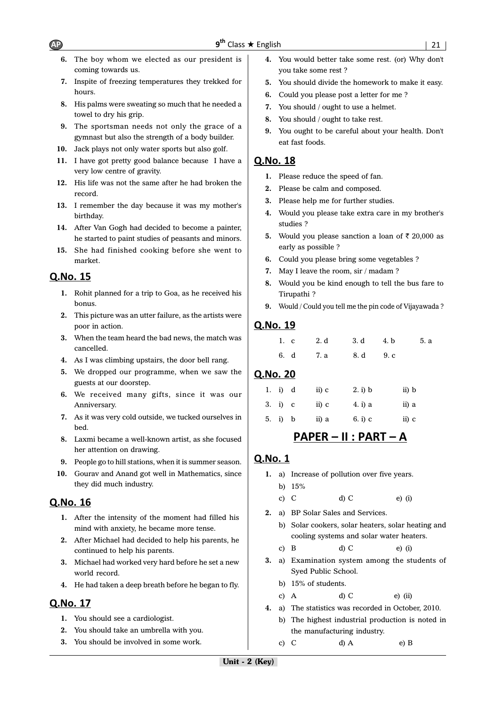- **6.** The boy whom we elected as our president is coming towards us.
- **7.** Inspite of freezing temperatures they trekked for hours.
- **8.** His palms were sweating so much that he needed a towel to dry his grip.
- **9.** The sportsman needs not only the grace of a gymnast but also the strength of a body builder.
- **10.** Jack plays not only water sports but also golf.
- **11.** I have got pretty good balance because I have a very low centre of gravity.
- **12.** His life was not the same after he had broken the record.
- **13.** I remember the day because it was my mother's birthday.
- **14.** After Van Gogh had decided to become a painter, he started to paint studies of peasants and minors.
- **15.** She had finished cooking before she went to market.

# Q.No. 15

- **1.** Rohit planned for a trip to Goa, as he received his bonus.
- **2.** This picture was an utter failure, as the artists were poor in action.
- **3.** When the team heard the bad news, the match was cancelled.
- **4.** As I was climbing upstairs, the door bell rang.
- **5.** We dropped our programme, when we saw the guests at our doorstep.
- **6.** We received many gifts, since it was our Anniversary.
- **7.** As it was very cold outside, we tucked ourselves in bed.
- **8.** Laxmi became a well-known artist, as she focused her attention on drawing.
- **9.** People go to hill stations, when it is summer season.
- **10.** Gourav and Anand got well in Mathematics, since they did much industry.

# Q.No. 16

- **1.** After the intensity of the moment had filled his mind with anxiety, he became more tense.
- **2.** After Michael had decided to help his parents, he continued to help his parents.
- **3.** Michael had worked very hard before he set a new world record.
- **4.** He had taken a deep breath before he began to fly.

# Q.No. 17

- **1.** You should see a cardiologist.
- **2.** You should take an umbrella with you.
- **3.** You should be involved in some work.
- **4.** You would better take some rest. (or) Why don't you take some rest ?
- **5.** You should divide the homework to make it easy.
- **6.** Could you please post a letter for me ?
- **7.** You should / ought to use a helmet.
- **8.** You should / ought to take rest.
- **9.** You ought to be careful about your health. Don't eat fast foods.

# Q.No. 18

- **1.** Please reduce the speed of fan.
- **2.** Please be calm and composed.
- **3.** Please help me for further studies.
- **4.** Would you please take extra care in my brother's studies ?
- **5.** Would you please sanction a loan of  $\bar{\tau}$  20,000 as early as possible ?
- **6.** Could you please bring some vegetables ?
- **7.** May I leave the room, sir / madam ?
- **8.** Would you be kind enough to tell the bus fare to Tirupathi ?
- **9.** Would / Could you tell me the pin code of Vijayawada ?

# Q.No. 19

| 1. c 2.d 3.d 4.b 5.a |  |  |
|----------------------|--|--|
| 6. d 7. a 8. d 9. c  |  |  |

# **Q.No. 20**

|  | 1. i) d | $\mathbf{ii}$ $\mathbf{c}$ | 2. i) b | ii) b |
|--|---------|----------------------------|---------|-------|
|  | 3. i) c | ii) c                      | 4. i) a | ii) a |
|  | 5. i) b | ii) a                      | 6. i) c | ii) c |

# <u> PAPER – II : PART – A</u>

- **1.** a) Increase of pollution over five years. b) 15%
	-
	- c) C d) C e) (i)
- **2.** a) BP Solar Sales and Services.
	- b) Solar cookers, solar heaters, solar heating and cooling systems and solar water heaters.
	- c) B d) C e) (i)
- **3.** a) Examination system among the students of Syed Public School.
	- b) 15% of students.
	- c) A d) C e) (ii)
- **4.** a) The statistics was recorded in October, 2010.
	- b) The highest industrial production is noted in the manufacturing industry.
	- c) C d) A e) B

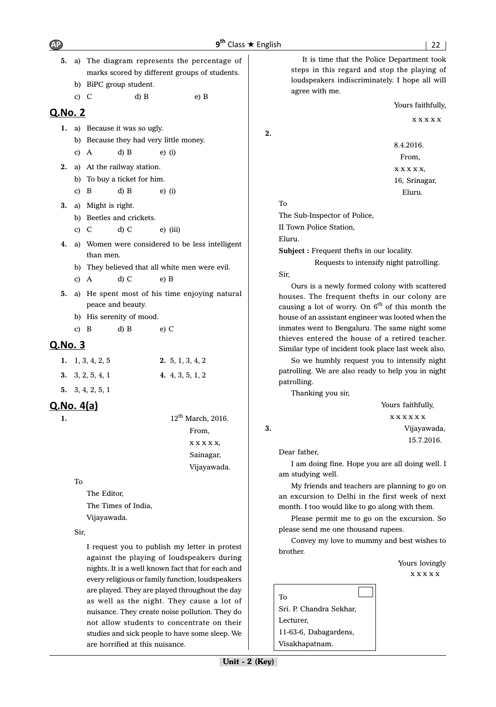9<sup>th</sup> Class ★ Engli

- **5.** a) The diagram represents the percentage of marks scored by different groups of students. b) BiPC group student.
	- c) C d) B e) B

#### **Q.No. 2**

- **1.** a) Because it was so ugly.
	- b) Because they had very little money.
	- c) A d) B e) (i)
- **2.** a) At the railway station.
	- b) To buy a ticket for him.
	- c) B d) B e) (i)
- **3.** a) Might is right.
	- b) Beetles and crickets.
	- c) C d) C e) (iii)
- **4.** a) Women were considered to be less intelligent than men.
	- b) They believed that all white men were evil.

c) A d) C e) B

- **5.** a) He spent most of his time enjoying natural peace and beauty.
	- b) His serenity of mood.

c) B d) B e) C

## Q.No. 3

| 1. 1, 3, 4, 2, 5   | 2.5, 1, 3, 4, 2    |
|--------------------|--------------------|
| 3. $3, 2, 5, 4, 1$ | 4. $4, 3, 5, 1, 2$ |

**5.** 3, 4, 2, 5, 1

# $Q.No. 4(a)$

**1.** 12<sup>th</sup> March, 2016. From, x x x x x, Sainagar, Vijayawada.

#### To

The Editor, The Times of India, Vijayawada.

Sir,

I request you to publish my letter in protest against the playing of loudspeakers during nights. It is a well known fact that for each and every religious or family function, loudspeakers are played. They are played throughout the day as well as the night. They cause a lot of nuisance. They create noise pollution. They do not allow students to concentrate on their studies and sick people to have some sleep. We are horrified at this nuisance.

It is time that the Police Department took steps in this regard and stop the playing of loudspeakers indiscriminately. I hope all will agree with me.

#### Yours faithfully,

x x x x x

8.4.2016. From, x x x x x, 16, Srinagar, Eluru.

To

**2.**

The Sub-Inspector of Police,

II Town Police Station,

Eluru.

**Subject :** Frequent thefts in our locality.

 Requests to intensify night patrolling. Sir,

Ours is a newly formed colony with scattered houses. The frequent thefts in our colony are causing a lot of worry. On  $6<sup>th</sup>$  of this month the house of an assistant engineer was looted when the inmates went to Bengaluru. The same night some thieves entered the house of a retired teacher. Similar type of incident took place last week also.

So we humbly request you to intensify night patrolling. We are also ready to help you in night patrolling.

Thanking you sir,

Yours faithfully, x x x x x x **3.** Vijayawada, 15.7.2016.

Dear father,

I am doing fine. Hope you are all doing well. I am studying well.

My friends and teachers are planning to go on an excursion to Delhi in the first week of next month. I too would like to go along with them.

Please permit me to go on the excursion. So please send me one thousand rupees.

Convey my love to mummy and best wishes to brother.

Yours lovingly

x x x x x

To Sri. P. Chandra Sekhar, Lecturer, 11-63-6, Dabagardens, Visakhapatnam.

Unit - 2 (Key)

#### $AP$   $9<sup>th</sup>$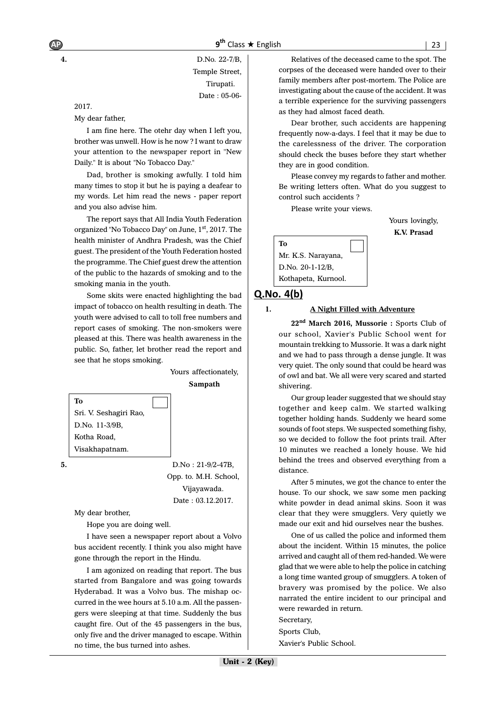**4.** D.No. 22-7/B, Temple Street, Tirupati. Date : 05-06-

2017.

My dear father,

I am fine here. The otehr day when I left you, brother was unwell. How is he now ? I want to draw your attention to the newspaper report in ''New Daily." It is about "No Tobacco Day."

Dad, brother is smoking awfully. I told him many times to stop it but he is paying a deafear to my words. Let him read the news - paper report and you also advise him.

The report says that All India Youth Federation organized "No Tobacco Day" on June, 1st, 2017. The health minister of Andhra Pradesh, was the Chief guest. The president of the Youth Federation hosted the programme. The Chief guest drew the attention of the public to the hazards of smoking and to the smoking mania in the youth.

Some skits were enacted highlighting the bad impact of tobacco on health resulting in death. The youth were advised to call to toll free numbers and report cases of smoking. The non-smokers were pleased at this. There was health awareness in the public. So, father, let brother read the report and see that he stops smoking.

> Yours affectionately, **Sampath**

| Тo                     |                    |
|------------------------|--------------------|
| Sri. V. Seshagiri Rao, |                    |
| D.No. 11-3/9B,         |                    |
| Kotha Road,            |                    |
| Visakhapatnam.         |                    |
|                        | $D.No: 21-9/2-47B$ |

Opp. to. M.H. School, Vijayawada. Date : 03.12.2017.

My dear brother,

Hope you are doing well.

I have seen a newspaper report about a Volvo bus accident recently. I think you also might have gone through the report in the Hindu.

I am agonized on reading that report. The bus started from Bangalore and was going towards Hyderabad. It was a Volvo bus. The mishap occurred in the wee hours at 5.10 a.m. All the passengers were sleeping at that time. Suddenly the bus caught fire. Out of the 45 passengers in the bus, only five and the driver managed to escape. Within no time, the bus turned into ashes.

Relatives of the deceased came to the spot. The corpses of the deceased were handed over to their family members after post-mortem. The Police are investigating about the cause of the accident. It was a terrible experience for the surviving passengers as they had almost faced death.

Dear brother, such accidents are happening frequently now-a-days. I feel that it may be due to the carelessness of the driver. The corporation should check the buses before they start whether they are in good condition.

Please convey my regards to father and mother. Be writing letters often. What do you suggest to control such accidents ?

Please write your views.

Yours lovingly, **K.V. Prasad**



#### $Q$ . No.  $4(b)$

#### **1. A Night Filled with Adventure**

**22nd March 2016, Mussorie :** Sports Club of our school, Xavier's Public School went for mountain trekking to Mussorie. It was a dark night and we had to pass through a dense jungle. It was very quiet. The only sound that could be heard was of owl and bat. We all were very scared and started shivering.

Our group leader suggested that we should stay together and keep calm. We started walking together holding hands. Suddenly we heard some sounds of foot steps. We suspected something fishy, so we decided to follow the foot prints trail. After 10 minutes we reached a lonely house. We hid behind the trees and observed everything from a distance.

After 5 minutes, we got the chance to enter the house. To our shock, we saw some men packing white powder in dead animal skins. Soon it was clear that they were smugglers. Very quietly we made our exit and hid ourselves near the bushes.

One of us called the police and informed them about the incident. Within 15 minutes, the police arrived and caught all of them red-handed. We were glad that we were able to help the police in catching a long time wanted group of smugglers. A token of bravery was promised by the police. We also narrated the entire incident to our principal and were rewarded in return. Secretary, Sports Club, Xavier's Public School.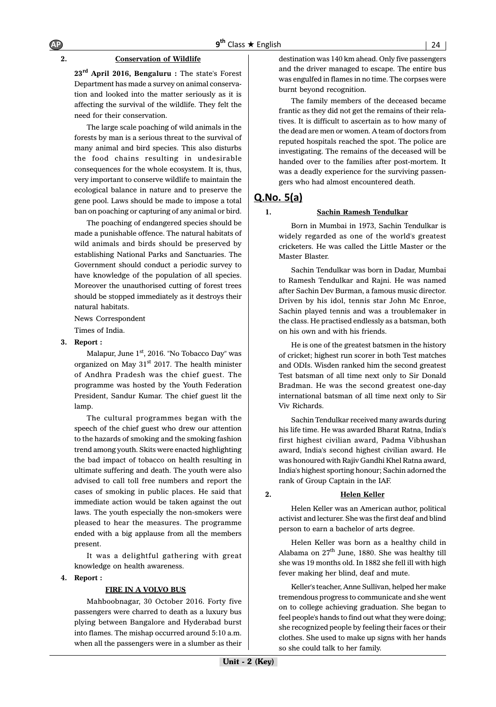#### **2. Conservation of Wildlife**

**23rd April 2016, Bengaluru :** The state's Forest Department has made a survey on animal conservation and looked into the matter seriously as it is affecting the survival of the wildlife. They felt the need for their conservation.

The large scale poaching of wild animals in the forests by man is a serious threat to the survival of many animal and bird species. This also disturbs the food chains resulting in undesirable consequences for the whole ecosystem. It is, thus, very important to conserve wildlife to maintain the ecological balance in nature and to preserve the gene pool. Laws should be made to impose a total ban on poaching or capturing of any animal or bird.

The poaching of endangered species should be made a punishable offence. The natural habitats of wild animals and birds should be preserved by establishing National Parks and Sanctuaries. The Government should conduct a periodic survey to have knowledge of the population of all species. Moreover the unauthorised cutting of forest trees should be stopped immediately as it destroys their natural habitats.

News Correspondent Times of India.

#### **3. Report :**

Malapur, June 1<sup>st</sup>, 2016. "No Tobacco Day" was organized on May  $31<sup>st</sup>$  2017. The health minister of Andhra Pradesh was the chief guest. The programme was hosted by the Youth Federation President, Sandur Kumar. The chief guest lit the lamp.

The cultural programmes began with the speech of the chief guest who drew our attention to the hazards of smoking and the smoking fashion trend among youth. Skits were enacted highlighting the bad impact of tobacco on health resulting in ultimate suffering and death. The youth were also advised to call toll free numbers and report the cases of smoking in public places. He said that immediate action would be taken against the out laws. The youth especially the non-smokers were pleased to hear the measures. The programme ended with a big applause from all the members present.

It was a delightful gathering with great knowledge on health awareness.

**4. Report :**

#### **FIRE IN A VOLVO BUS**

Mahboobnagar, 30 October 2016. Forty five passengers were charred to death as a luxury bus plying between Bangalore and Hyderabad burst into flames. The mishap occurred around 5:10 a.m. when all the passengers were in a slumber as their destination was 140 km ahead. Only five passengers and the driver managed to escape. The entire bus was engulfed in flames in no time. The corpses were burnt beyond recognition.

The family members of the deceased became frantic as they did not get the remains of their relatives. It is difficult to ascertain as to how many of the dead are men or women. A team of doctors from reputed hospitals reached the spot. The police are investigating. The remains of the deceased will be handed over to the families after post-mortem. It was a deadly experience for the surviving passengers who had almost encountered death.

# $Q$ .No.  $5(a)$

#### **1. Sachin Ramesh Tendulkar**

Born in Mumbai in 1973, Sachin Tendulkar is widely regarded as one of the world's greatest cricketers. He was called the Little Master or the Master Blaster.

Sachin Tendulkar was born in Dadar, Mumbai to Ramesh Tendulkar and Rajni. He was named after Sachin Dev Burman, a famous music director. Driven by his idol, tennis star John Mc Enroe, Sachin played tennis and was a troublemaker in the class. He practised endlessly as a batsman, both on his own and with his friends.

He is one of the greatest batsmen in the history of cricket; highest run scorer in both Test matches and ODIs. Wisden ranked him the second greatest Test batsman of all time next only to Sir Donald Bradman. He was the second greatest one-day international batsman of all time next only to Sir Viv Richards.

Sachin Tendulkar received many awards during his life time. He was awarded Bharat Ratna, India's first highest civilian award, Padma Vibhushan award, India's second highest civilian award. He was honoured with Rajiv Gandhi Khel Ratna award, India's highest sporting honour; Sachin adorned the rank of Group Captain in the IAF.

#### **2. Helen Keller**

Helen Keller was an American author, political activist and lecturer. She was the first deaf and blind person to earn a bachelor of arts degree.

Helen Keller was born as a healthy child in Alabama on  $27<sup>th</sup>$  June, 1880. She was healthy till she was 19 months old. In 1882 she fell ill with high fever making her blind, deaf and mute.

Keller's teacher, Anne Sullivan, helped her make tremendous progress to communicate and she went on to college achieving graduation. She began to feel people's hands to find out what they were doing; she recognized people by feeling their faces or their clothes. She used to make up signs with her hands so she could talk to her family.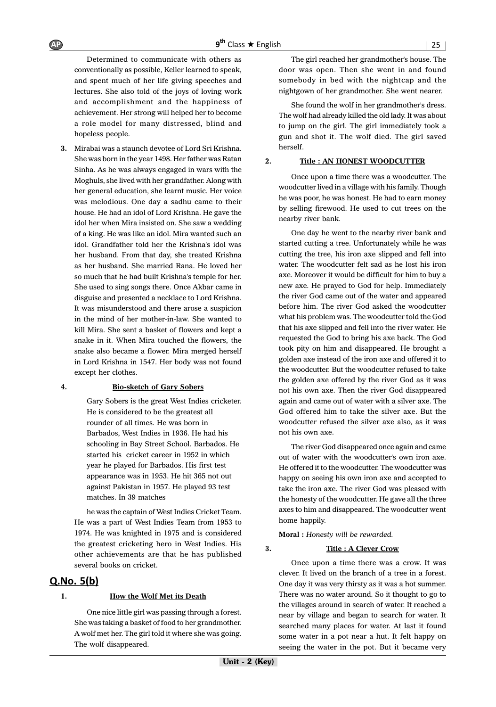Determined to communicate with others as conventionally as possible, Keller learned to speak, and spent much of her life giving speeches and lectures. She also told of the joys of loving work and accomplishment and the happiness of achievement. Her strong will helped her to become a role model for many distressed, blind and hopeless people.

**3.** Mirabai was a staunch devotee of Lord Sri Krishna. She was born in the year 1498. Her father was Ratan Sinha. As he was always engaged in wars with the Moghuls, she lived with her grandfather. Along with her general education, she learnt music. Her voice was melodious. One day a sadhu came to their house. He had an idol of Lord Krishna. He gave the idol her when Mira insisted on. She saw a wedding of a king. He was like an idol. Mira wanted such an idol. Grandfather told her the Krishna's idol was her husband. From that day, she treated Krishna as her husband. She married Rana. He loved her so much that he had built Krishna's temple for her. She used to sing songs there. Once Akbar came in disguise and presented a necklace to Lord Krishna. It was misunderstood and there arose a suspicion in the mind of her mother-in-law. She wanted to kill Mira. She sent a basket of flowers and kept a snake in it. When Mira touched the flowers, the snake also became a flower. Mira merged herself in Lord Krishna in 1547. Her body was not found except her clothes.

#### **4. Bio-sketch of Gary Sobers**

Gary Sobers is the great West Indies cricketer. He is considered to be the greatest all rounder of all times. He was born in Barbados, West Indies in 1936. He had his schooling in Bay Street School. Barbados. He started his cricket career in 1952 in which year he played for Barbados. His first test appearance was in 1953. He hit 365 not out against Pakistan in 1957. He played 93 test matches. In 39 matches

he was the captain of West Indies Cricket Team. He was a part of West Indies Team from 1953 to 1974. He was knighted in 1975 and is considered the greatest cricketing hero in West Indies. His other achievements are that he has published several books on cricket.

#### $Q.No. 5(b)$

#### **1. How the Wolf Met its Death**

One nice little girl was passing through a forest. She was taking a basket of food to her grandmother. A wolf met her. The girl told it where she was going. The wolf disappeared.

The girl reached her grandmother's house. The door was open. Then she went in and found somebody in bed with the nightcap and the nightgown of her grandmother. She went nearer.

She found the wolf in her grandmother's dress. The wolf had already killed the old lady. It was about to jump on the girl. The girl immediately took a gun and shot it. The wolf died. The girl saved herself.

#### **2. Title : AN HONEST WOODCUTTER**

Once upon a time there was a woodcutter. The woodcutter lived in a village with his family. Though he was poor, he was honest. He had to earn money by selling firewood. He used to cut trees on the nearby river bank.

One day he went to the nearby river bank and started cutting a tree. Unfortunately while he was cutting the tree, his iron axe slipped and fell into water. The woodcutter felt sad as he lost his iron axe. Moreover it would be difficult for him to buy a new axe. He prayed to God for help. Immediately the river God came out of the water and appeared before him. The river God asked the woodcutter what his problem was. The woodcutter told the God that his axe slipped and fell into the river water. He requested the God to bring his axe back. The God took pity on him and disappeared. He brought a golden axe instead of the iron axe and offered it to the woodcutter. But the woodcutter refused to take the golden axe offered by the river God as it was not his own axe. Then the river God disappeared again and came out of water with a silver axe. The God offered him to take the silver axe. But the woodcutter refused the silver axe also, as it was not his own axe.

The river God disappeared once again and came out of water with the woodcutter's own iron axe. He offered it to the woodcutter. The woodcutter was happy on seeing his own iron axe and accepted to take the iron axe. The river God was pleased with the honesty of the woodcutter. He gave all the three axes to him and disappeared. The woodcutter went home happily.

**Moral :** *Honesty will be rewarded.*

#### **3. Title : A Clever Crow**

Once upon a time there was a crow. It was clever. It lived on the branch of a tree in a forest. One day it was very thirsty as it was a hot summer. There was no water around. So it thought to go to the villages around in search of water. It reached a near by village and began to search for water. It searched many places for water. At last it found some water in a pot near a hut. It felt happy on seeing the water in the pot. But it became very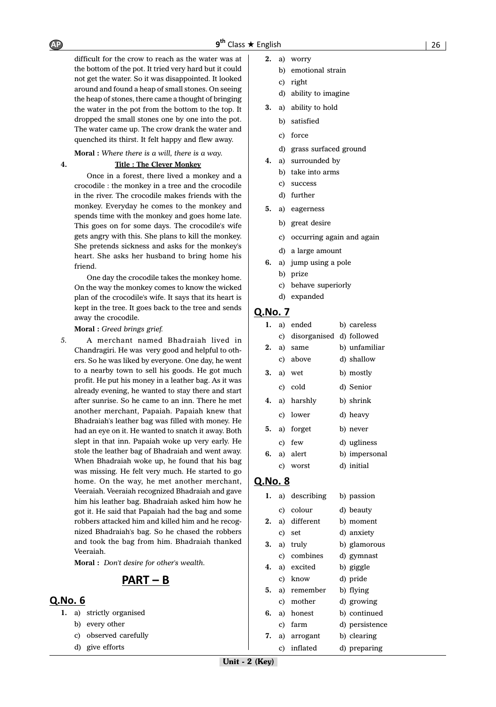difficult for the crow to reach as the water was at the bottom of the pot. It tried very hard but it could not get the water. So it was disappointed. It looked around and found a heap of small stones. On seeing the heap of stones, there came a thought of bringing the water in the pot from the bottom to the top. It dropped the small stones one by one into the pot. The water came up. The crow drank the water and quenched its thirst. It felt happy and flew away.

**Moral :** *Where there is a will, there is a way.*

#### **4. Title : The Clever Monkey**

Once in a forest, there lived a monkey and a crocodile : the monkey in a tree and the crocodile in the river. The crocodile makes friends with the monkey. Everyday he comes to the monkey and spends time with the monkey and goes home late. This goes on for some days. The crocodile's wife gets angry with this. She plans to kill the monkey. She pretends sickness and asks for the monkey's heart. She asks her husband to bring home his friend.

One day the crocodile takes the monkey home. On the way the monkey comes to know the wicked plan of the crocodile's wife. It says that its heart is kept in the tree. It goes back to the tree and sends away the crocodile.

#### **Moral :** *Greed brings grief.*

*5.* A merchant named Bhadraiah lived in Chandragiri. He was very good and helpful to others. So he was liked by everyone. One day, he went to a nearby town to sell his goods. He got much profit. He put his money in a leather bag. As it was already evening, he wanted to stay there and start after sunrise. So he came to an inn. There he met another merchant, Papaiah. Papaiah knew that Bhadraiah's leather bag was filled with money. He had an eye on it. He wanted to snatch it away. Both slept in that inn. Papaiah woke up very early. He stole the leather bag of Bhadraiah and went away. When Bhadraiah woke up, he found that his bag was missing. He felt very much. He started to go home. On the way, he met another merchant, Veeraiah. Veeraiah recognized Bhadraiah and gave him his leather bag. Bhadraiah asked him how he got it. He said that Papaiah had the bag and some robbers attacked him and killed him and he recognized Bhadraiah's bag. So he chased the robbers and took the bag from him. Bhadraiah thanked Veeraiah.

**Moral :** *Don't desire for other's wealth.*

# $PART - B$

#### **Q.No. 6**

- **1.** a) strictly organised
	- b) every other
	- c) observed carefully
	- d) give efforts
- **2.** a) worry
	- b) emotional strain
	- c) right
		- d) ability to imagine
- **3.** a) ability to hold
	- b) satisfied
	- c) force
	- d) grass surfaced ground
- **4.** a) surrounded by
	- b) take into arms
	- c) success
	- d) further
- **5.** a) eagerness
	- b) great desire
	- c) occurring again and again
	- d) a large amount
- **6.** a) jump using a pole
	- b) prize
	- c) behave superiorly
	- d) expanded

#### Q.No. 7

| 1. | a) ended                    | b) careless   |
|----|-----------------------------|---------------|
|    | c) disorganised d) followed |               |
| 2. | a) same                     | b) unfamiliar |
|    | c) above                    | d) shallow    |
| 3. | a) wet                      | b) mostly     |
|    | c) cold                     | d) Senior     |
| 4. | a) harshly                  | b) shrink     |
|    | c) lower                    | d) heavy      |
| 5. | a) forget                   | b) never      |
|    | c) few                      | d) ugliness   |
|    | 6. a) alert                 | b) impersonal |
|    | c) worst                    | d) initial    |

| ı. |    | a) describing | b) passion     |
|----|----|---------------|----------------|
|    |    | c) colour     | d) beauty      |
| 2. |    | a) different  | b) moment      |
|    |    | c) set        | d) anxiety     |
| 3. |    | a) truly      | b) glamorous   |
|    |    | c) combines   | d) gymnast     |
| 4. |    | a) excited    | b) giggle      |
|    |    | c) know       | d) pride       |
| 5. |    | a) remember   | b) flying      |
|    |    | c) mother     | d) growing     |
| 6. |    | a) honest     | b) continued   |
|    |    | c) farm       | d) persistence |
| 7. |    | a) arrogant   | b) clearing    |
|    | C) | inflated      | d) preparing   |
|    |    |               |                |

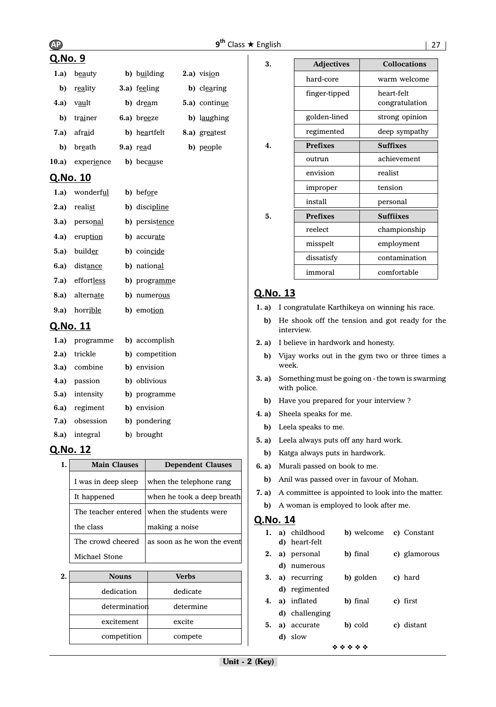# AP 9<sup>th</sup>

### Q.No. 9

| 1.a)  | beauty         |    | b) building  | 2.a) vision   |
|-------|----------------|----|--------------|---------------|
| b)    | reality        |    | 3.a) feeling | b) clearing   |
| 4.a)  | v <u>au</u> lt |    | b) dream     | 5.a) continue |
| b)    | trainer        |    | 6.a) breeze  | b) laughing   |
| 7.a)  | afraid         |    | b) heartfelt | 8.a) greatest |
| b)    | breath         |    | $9.a)$ read  | b) people     |
| 10.a) | experience     | b) | because      |               |

# Q.No. 10

| 1.a) wonderful       | b) before           |
|----------------------|---------------------|
| 2.a) realist         | b) discipline       |
| <b>3.a)</b> personal | b) persistence      |
| 4.a) eruption        | b) accurate         |
| <b>5.a</b> ) builder | b) coincide         |
| 6.a) distance        | b) national         |
| 7.a) effortless      | b) programme        |
| 8.a) alternate       | <b>b</b> ) numerous |
| 9.a) horrible        | b) emotion          |
| Q.No. 11             |                     |

# **1.a)** programme **b)** accomplish

| <b>1.a</b> programme | <b>DI accomplisit</b> |
|----------------------|-----------------------|
| 2.a) trickle         | b) competition        |
| 3.a) combine         | b) envision           |
| 4.a) passion         | b) oblivious          |
| 5.a) intensity       | b) programme          |
| 6.a) regiment        | b) envision           |
| 7.a) obsession       | b) pondering          |
| 8.a) integral        | b) brought            |

# Q.No. 12

| 1. | <b>Main Clauses</b> | <b>Dependent Clauses</b>                   |
|----|---------------------|--------------------------------------------|
|    | I was in deep sleep | when the telephone rang                    |
|    | It happened         | when he took a deep breath                 |
|    |                     | The teacher entered when the students were |
|    | the class           | making a noise                             |
|    | The crowd cheered   | as soon as he won the event                |
|    | Michael Stone       |                                            |

| $\mathbf{2}$ | <b>Nouns</b>  | <b>Verbs</b> |  |
|--------------|---------------|--------------|--|
|              | dedication    | dedicate     |  |
|              | determination | determine    |  |
|              | excitement    | excite       |  |
|              | competition   | compete      |  |

| 3. | <b>Adjectives</b> | <b>Collocations</b>          |
|----|-------------------|------------------------------|
|    | hard-core         | warm welcome                 |
|    | finger-tipped     | heart-felt<br>congratulation |
|    | golden-lined      | strong opinion               |
|    | regimented        | deep sympathy                |
| 4. | <b>Prefixes</b>   | <b>Suffixes</b>              |
|    | outrun            | achievement                  |
|    | envision          | realist                      |
|    | improper          | tension                      |
|    | install           | personal                     |
| 5. | <b>Prefixes</b>   | <b>Suffiixes</b>             |
|    | reelect           | championship                 |
|    | misspelt          | employment                   |
|    | dissatisfy        | contamination                |
|    | immoral           | comfortable                  |

## Q.No. 13

- **1. a)** I congratulate Karthikeya on winning his race.
	- **b)** He shook off the tension and got ready for the interview.
- **2. a)** I believe in hardwork and honesty.
	- **b)** Vijay works out in the gym two or three times a week.
- **3. a)** Something must be going on the town is swarming with police.
	- **b)** Have you prepared for your interview ?
- **4. a)** Sheela speaks for me.
	- **b)** Leela speaks to me.
- **5. a)** Leela always puts off any hard work.
- **b)** Katga always puts in hardwork.
- **6. a)** Murali passed on book to me.
	- **b)** Anil was passed over in favour of Mohan.
- **7. a)** A committee is appointed to look into the matter.
- **b)** A woman is employed to look after me.

| 1.        |    | a) childhood<br><b>d</b> ) heart-felt | b) welcome |  | c) Constant  |  |
|-----------|----|---------------------------------------|------------|--|--------------|--|
| 2.        |    | a) personal                           | b) final   |  | c) glamorous |  |
|           |    | d) numerous                           |            |  |              |  |
| 3.        |    | a) recurring                          | b) golden  |  | c) hard      |  |
|           |    | d) regimented                         |            |  |              |  |
| 4.        |    | a) inflated                           | b) final   |  | c) first     |  |
|           |    | d) challenging                        |            |  |              |  |
| 5.        |    | a) accurate                           | b) cold    |  | c) distant   |  |
|           | d) | slow                                  |            |  |              |  |
| * * * * * |    |                                       |            |  |              |  |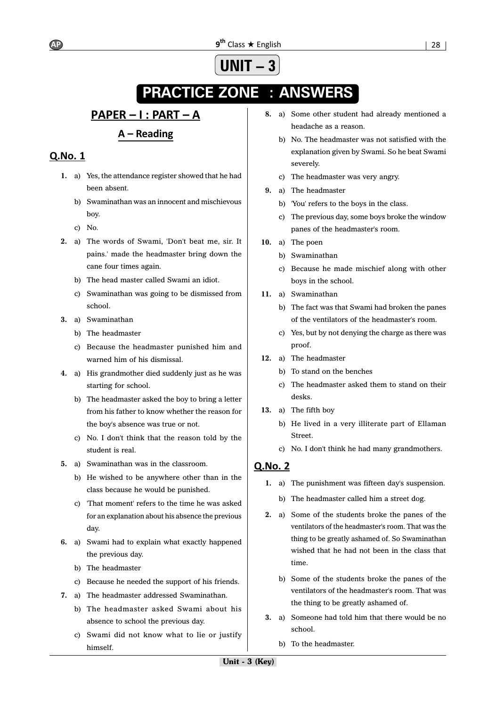# **UNIT – 3**

# **PRACTICE ZONE : ANSWERS**

# <u> PAPER – I : PART – A</u>

# $A - Reading$

# Q.No. 1

- **1.** a) Yes, the attendance register showed that he had been absent.
	- b) Swaminathan was an innocent and mischievous boy.
	- c) No.
- **2.** a) The words of Swami, 'Don't beat me, sir. It pains.' made the headmaster bring down the cane four times again.
	- b) The head master called Swami an idiot.
	- c) Swaminathan was going to be dismissed from school.
- **3.** a) Swaminathan
	- b) The headmaster
	- c) Because the headmaster punished him and warned him of his dismissal.
- **4.** a) His grandmother died suddenly just as he was starting for school.
	- b) The headmaster asked the boy to bring a letter from his father to know whether the reason for the boy's absence was true or not.
	- c) No. I don't think that the reason told by the student is real.
- **5.** a) Swaminathan was in the classroom.
	- b) He wished to be anywhere other than in the class because he would be punished.
	- c) 'That moment' refers to the time he was asked for an explanation about his absence the previous day.
- **6.** a) Swami had to explain what exactly happened the previous day.
	- b) The headmaster
	- c) Because he needed the support of his friends.
- **7.** a) The headmaster addressed Swaminathan.
	- b) The headmaster asked Swami about his absence to school the previous day.
	- c) Swami did not know what to lie or justify himself.
- **8.** a) Some other student had already mentioned a headache as a reason.
	- b) No. The headmaster was not satisfied with the explanation given by Swami. So he beat Swami severely.
	- c) The headmaster was very angry.
- **9.** a) The headmaster
	- b) 'You' refers to the boys in the class.
	- c) The previous day, some boys broke the window panes of the headmaster's room.
- **10.** a) The poen
	- b) Swaminathan
	- c) Because he made mischief along with other boys in the school.
- **11.** a) Swaminathan
	- b) The fact was that Swami had broken the panes of the ventilators of the headmaster's room.
	- c) Yes, but by not denying the charge as there was proof.
- **12.** a) The headmaster
	- b) To stand on the benches
	- c) The headmaster asked them to stand on their desks.
- **13.** a) The fifth boy
	- b) He lived in a very illiterate part of Ellaman **Street**
	- c) No. I don't think he had many grandmothers.

- **1.** a) The punishment was fifteen day's suspension.
	- b) The headmaster called him a street dog.
- **2.** a) Some of the students broke the panes of the ventilators of the headmaster's room. That was the thing to be greatly ashamed of. So Swaminathan wished that he had not been in the class that time.
	- b) Some of the students broke the panes of the ventilators of the headmaster's room. That was the thing to be greatly ashamed of.
- **3.** a) Someone had told him that there would be no school.
	- b) To the headmaster.

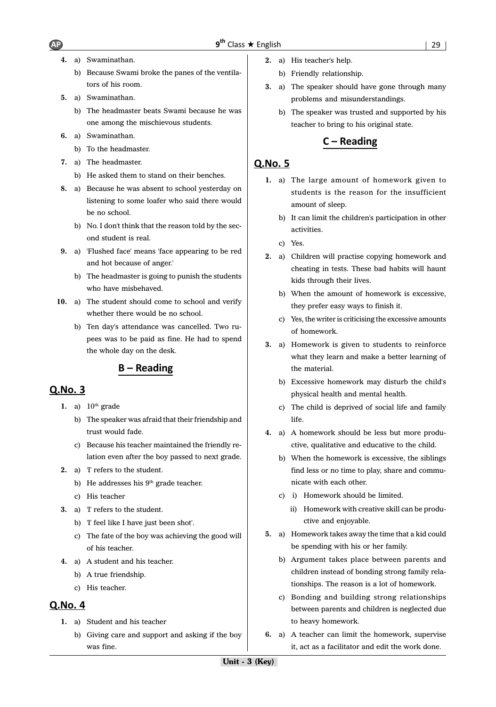- **4.** a) Swaminathan.
	- b) Because Swami broke the panes of the ventilators of his room.
- **5.** a) Swaminathan.
	- b) The headmaster beats Swami because he was one among the mischievous students.
- **6.** a) Swaminathan.
	- b) To the headmaster.
- **7.** a) The headmaster.
	- b) He asked them to stand on their benches.
- **8.** a) Because he was absent to school yesterday on listening to some loafer who said there would be no school.
	- b) No. I don't think that the reason told by the second student is real.
- **9.** a) 'Flushed face' means 'face appearing to be red and hot because of anger.'
	- b) The headmaster is going to punish the students who have misbehaved.
- **10.** a) The student should come to school and verify whether there would be no school.
	- b) Ten day's attendance was cancelled. Two rupees was to be paid as fine. He had to spend the whole day on the desk.

### $B - Reading$

#### Q.No. 3

- 1. a)  $10<sup>th</sup>$  grade
	- b) The speaker was afraid that their friendship and trust would fade.
	- c) Because his teacher maintained the friendly relation even after the boy passed to next grade.
- **2.** a) 'I' refers to the student.
	- b) He addresses his  $9<sup>th</sup>$  grade teacher.
	- c) His teacher
- **3.** a) 'I' refers to the student.
	- b) 'I' feel like I have just been shot'.
	- c) The fate of the boy was achieving the good will of his teacher.
- **4.** a) A student and his teacher.
	- b) A true friendship.
	- c) His teacher.

#### **Q.No. 4**

- **1.** a) Student and his teacher
	- b) Giving care and support and asking if the boy was fine.
- **2.** a) His teacher's help.
	- b) Friendly relationship.
- **3.** a) The speaker should have gone through many problems and misunderstandings.
	- b) The speaker was trusted and supported by his teacher to bring to his original state.

#### $C - Reading$

- **1.** a) The large amount of homework given to students is the reason for the insufficient amount of sleep.
	- b) It can limit the children's participation in other activities.
	- c) Yes.
- **2.** a) Children will practise copying homework and cheating in tests. These bad habits will haunt kids through their lives.
	- b) When the amount of homework is excessive, they prefer easy ways to finish it.
	- c) Yes, the writer is criticising the excessive amounts of homework.
- **3.** a) Homework is given to students to reinforce what they learn and make a better learning of the material.
	- b) Excessive homework may disturb the child's physical health and mental health.
	- c) The child is deprived of social life and family life.
- **4.** a) A homework should be less but more productive, qualitative and educative to the child.
	- b) When the homework is excessive, the siblings find less or no time to play, share and communicate with each other.
	- c) i) Homework should be limited.
		- ii) Homework with creative skill can be productive and enjoyable.
- **5.** a) Homework takes away the time that a kid could be spending with his or her family.
	- b) Argument takes place between parents and children instead of bonding strong family relationships. The reason is a lot of homework.
	- c) Bonding and building strong relationships between parents and children is neglected due to heavy homework.
- **6.** a) A teacher can limit the homework, supervise it, act as a facilitator and edit the work done.

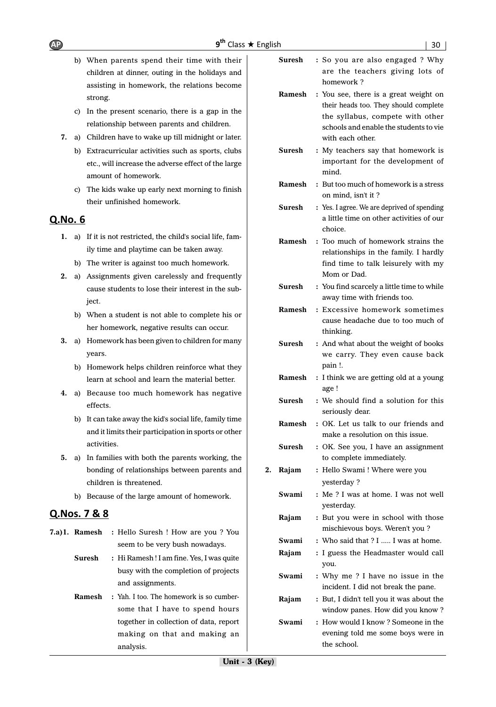- b) When parents spend their time with their children at dinner, outing in the holidays and assisting in homework, the relations become strong.
- c) In the present scenario, there is a gap in the relationship between parents and children.
- **7.** a) Children have to wake up till midnight or later.
	- b) Extracurricular activities such as sports, clubs etc., will increase the adverse effect of the large amount of homework.
	- c) The kids wake up early next morning to finish their unfinished homework.

# Q.No. 6

- **1.** a) If it is not restricted, the child's social life, family time and playtime can be taken away.
	- b) The writer is against too much homework.
- **2.** a) Assignments given carelessly and frequently cause students to lose their interest in the subject.
	- b) When a student is not able to complete his or her homework, negative results can occur.
- **3.** a) Homework has been given to children for many years.
	- b) Homework helps children reinforce what they learn at school and learn the material better.
- **4.** a) Because too much homework has negative effects.
	- b) It can take away the kid's social life, family time and it limits their participation in sports or other activities.
- **5.** a) In families with both the parents working, the bonding of relationships between parents and children is threatened.
	- b) Because of the large amount of homework.

# Q.Nos. 7 & 8

**7.a)1. Ramesh :** Hello Suresh ! How are you ? You seem to be very bush nowadays. **Suresh :** Hi Ramesh ! I am fine. Yes, I was quite busy with the completion of projects and assignments. **Ramesh :** Yah. I too. The homework is so cumbersome that I have to spend hours

analysis.

together in collection of data, report making on that and making an

- **Suresh :** So you are also engaged ? Why are the teachers giving lots of homework ?
- **Ramesh :** You see, there is a great weight on their heads too. They should complete the syllabus, compete with other schools and enable the students to vie with each other.
- **Suresh** : My teachers say that homework is important for the development of mind.
- **Ramesh :** But too much of homework is a stress on mind, isn't it ?
- **Suresh** : Yes. I agree. We are deprived of spending a little time on other activities of our choice.
- **Ramesh :** Too much of homework strains the relationships in the family. I hardly find time to talk leisurely with my Mom or Dad.
- **Suresh** : You find scarcely a little time to while away time with friends too.
- **Ramesh :** Excessive homework sometimes cause headache due to too much of thinking.
- **Suresh :** And what about the weight of books we carry. They even cause back pain !.
- **Ramesh :** I think we are getting old at a young age !
- **Suresh :** We should find a solution for this seriously dear.
- **Ramesh :** OK. Let us talk to our friends and make a resolution on this issue.
- **Suresh :** OK. See you, I have an assignment to complete immediately.
- **2. Rajam :** Hello Swami ! Where were you yesterday ?
	- **Swami :** Me ? I was at home. I was not well yesterday.
	- **Rajam :** But you were in school with those mischievous boys. Weren't you ?
	- **Swami** : Who said that ? I ..... I was at home.
	- **Rajam :** I guess the Headmaster would call you.
	- **Swami :** Why me ? I have no issue in the incident. I did not break the pane.
	- **Rajam :** But, I didn't tell you it was about the window panes. How did you know ?
	- **Swami :** How would I know ? Someone in the evening told me some boys were in the school.

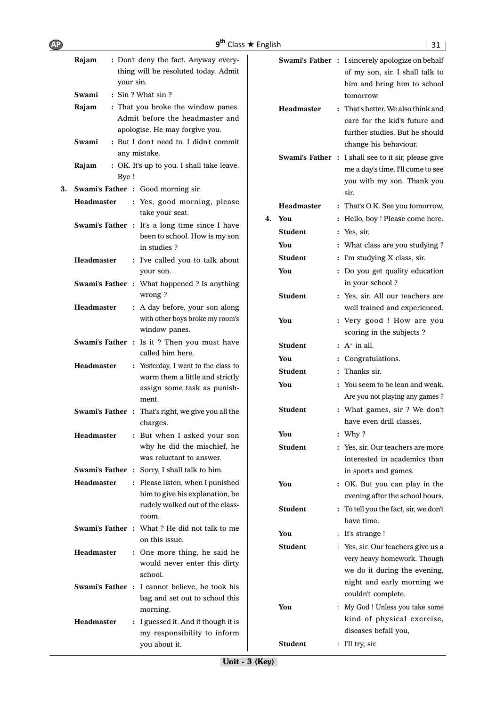| <b>AP</b> |                    | q <sup>th</sup>                                                                                                                                   | Class ★ English |                   | 31                                                                                                                     |
|-----------|--------------------|---------------------------------------------------------------------------------------------------------------------------------------------------|-----------------|-------------------|------------------------------------------------------------------------------------------------------------------------|
|           | Rajam<br>your sin. | : Don't deny the fact. Anyway every-<br>thing will be resoluted today. Admit                                                                      |                 |                   | Swami's Father : I sincerely apologize on behalf<br>of my son, sir. I shall talk to<br>him and bring him to school     |
|           | Swami              | : Sin ? What sin ?                                                                                                                                |                 |                   | tomorrow.                                                                                                              |
|           | Rajam<br>Swami     | : That you broke the window panes.<br>Admit before the headmaster and<br>apologise. He may forgive you.<br>: But I don't need to. I didn't commit |                 | <b>Headmaster</b> | : That's better. We also think and<br>care for the kid's future and<br>further studies. But he should                  |
|           |                    | any mistake.                                                                                                                                      |                 |                   | change his behaviour.                                                                                                  |
|           | Rajam<br>Bye!      | : OK. It's up to you. I shall take leave.                                                                                                         |                 |                   | Swami's Father : I shall see to it sir, please give<br>me a day's time. I'll come to see<br>you with my son. Thank you |
| 3.        |                    | Swami's Father: Good morning sir.                                                                                                                 |                 |                   | sir.                                                                                                                   |
|           | <b>Headmaster</b>  | : Yes, good morning, please<br>take your seat.                                                                                                    | 4. You          | <b>Headmaster</b> | : That's O.K. See you tomorrow.<br>: Hello, boy ! Please come here.                                                    |
|           |                    | Swami's Father : It's a long time since I have                                                                                                    |                 |                   |                                                                                                                        |
|           |                    | been to school. How is my son                                                                                                                     |                 | <b>Student</b>    | : Yes, sir.                                                                                                            |
|           |                    | in studies?                                                                                                                                       |                 | You               | : What class are you studying?                                                                                         |
|           | <b>Headmaster</b>  | : I've called you to talk about                                                                                                                   |                 | <b>Student</b>    | : I'm studying X class, sir.                                                                                           |
|           |                    | your son.<br>Swami's Father : What happened ? Is anything                                                                                         |                 | You               | : Do you get quality education<br>in your school?                                                                      |
|           | <b>Headmaster</b>  | wrong?<br>: A day before, your son along                                                                                                          |                 | <b>Student</b>    | : Yes, sir. All our teachers are<br>well trained and experienced.                                                      |
|           |                    | with other boys broke my room's<br>window panes.<br>Swami's Father : Is it ? Then you must have                                                   |                 | You               | : Very good ! How are you<br>scoring in the subjects ?                                                                 |
|           |                    | called him here.                                                                                                                                  |                 | <b>Student</b>    | $: A+$ in all.                                                                                                         |
|           | <b>Headmaster</b>  | : Yesterday, I went to the class to                                                                                                               |                 | You               | : Congratulations.                                                                                                     |
|           |                    | warm them a little and strictly                                                                                                                   |                 | <b>Student</b>    | : Thanks sir.                                                                                                          |
|           |                    | assign some task as punish-<br>ment.                                                                                                              |                 | You               | : You seem to be lean and weak.<br>Are you not playing any games?                                                      |
|           |                    | <b>Swami's Father :</b> That's right, we give you all the<br>charges.                                                                             |                 | <b>Student</b>    | : What games, sir ? We don't<br>have even drill classes.                                                               |
|           | Headmaster         | : But when I asked your son                                                                                                                       |                 | You               | : Why?                                                                                                                 |
|           |                    | why he did the mischief, he<br>was reluctant to answer.                                                                                           |                 | Student           | : Yes, sir. Our teachers are more<br>interested in academics than                                                      |
|           |                    | <b>Swami's Father :</b> Sorry, I shall talk to him.                                                                                               |                 |                   | in sports and games.                                                                                                   |
|           | <b>Headmaster</b>  | : Please listen, when I punished<br>him to give his explanation, he                                                                               |                 | You               | : OK. But you can play in the<br>evening after the school hours.                                                       |
|           |                    | rudely walked out of the class-<br>room.                                                                                                          |                 | <b>Student</b>    | : To tell you the fact, sir, we don't<br>have time.                                                                    |
|           |                    | Swami's Father : What? He did not talk to me                                                                                                      |                 | You               | : It's strange !                                                                                                       |
|           | <b>Headmaster</b>  | on this issue.<br>: One more thing, he said he<br>would never enter this dirty                                                                    |                 | <b>Student</b>    | : Yes, sir. Our teachers give us a<br>very heavy homework. Though                                                      |
|           |                    | school.<br>Swami's Father : I cannot believe, he took his                                                                                         |                 |                   | we do it during the evening,<br>night and early morning we                                                             |
|           |                    | bag and set out to school this                                                                                                                    |                 |                   | couldn't complete.                                                                                                     |
|           | <b>Headmaster</b>  | morning.<br>: I guessed it. And it though it is                                                                                                   |                 | You               | : My God ! Unless you take some<br>kind of physical exercise,                                                          |
|           |                    | my responsibility to inform<br>you about it.                                                                                                      |                 | <b>Student</b>    | diseases befall you,<br>$:$ I'll try, sir.                                                                             |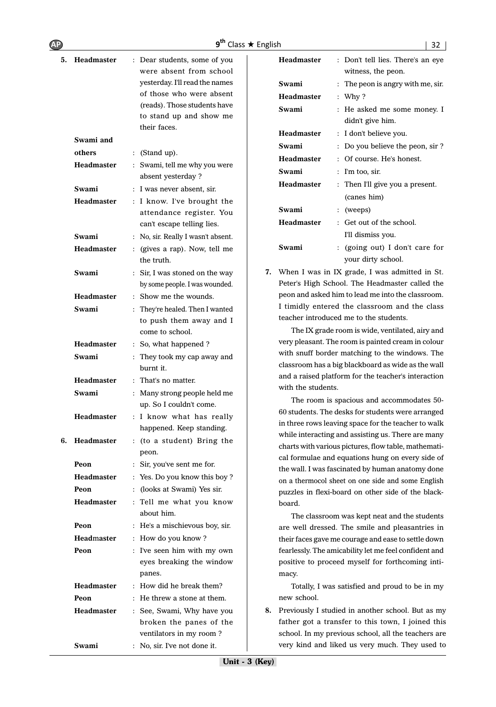| AP |                   |                                                         | $9^{th}$ Class $\star$ English | 32                                                                                                       |
|----|-------------------|---------------------------------------------------------|--------------------------------|----------------------------------------------------------------------------------------------------------|
|    | 5. Headmaster     | : Dear students, some of you<br>were absent from school | <b>Headmaster</b>              | : Don't tell lies. There's an eye<br>witness, the peon.                                                  |
|    |                   | yesterday. I'll read the names                          | Swami                          | : The peon is angry with me, sir.                                                                        |
|    |                   | of those who were absent                                | <b>Headmaster</b>              | : Why $?$                                                                                                |
|    |                   | (reads). Those students have<br>to stand up and show me | Swami                          | : He asked me some money. I<br>didn't give him.                                                          |
|    |                   | their faces.                                            | <b>Headmaster</b>              | : I don't believe you.                                                                                   |
|    | Swami and         |                                                         | Swami                          | : Do you believe the peon, sir ?                                                                         |
|    | others            | (Stand up).<br>$\ddot{\phantom{a}}$                     | <b>Headmaster</b>              | : Of course. He's honest.                                                                                |
|    | <b>Headmaster</b> | : Swami, tell me why you were                           | Swami                          | $:$ I'm too, sir.                                                                                        |
|    |                   | absent yesterday ?                                      | Headmaster                     | : Then I'll give you a present.                                                                          |
|    | Swami             | : I was never absent, sir.                              |                                | (canes him)                                                                                              |
|    | Headmaster        | : I know. I've brought the                              | Swami                          | $:$ (weeps)                                                                                              |
|    |                   | attendance register. You                                | <b>Headmaster</b>              | : Get out of the school.                                                                                 |
|    |                   | can't escape telling lies.                              |                                | I'll dismiss you.                                                                                        |
|    | Swami             | : No, sir. Really I wasn't absent.                      | Swami                          | : (going out) I don't care for                                                                           |
|    | <b>Headmaster</b> | (gives a rap). Now, tell me<br>the truth.               |                                | your dirty school.                                                                                       |
|    | Swami             | : Sir, I was stoned on the way                          | 7.                             | When I was in IX grade, I was admitted in St.                                                            |
|    |                   | by some people. I was wounded.                          |                                | Peter's High School. The Headmaster called the                                                           |
|    | <b>Headmaster</b> | : Show me the wounds.                                   |                                | peon and asked him to lead me into the classroom.                                                        |
|    | Swami             | They're healed. Then I wanted                           |                                | I timidly entered the classroom and the class<br>teacher introduced me to the students.                  |
|    |                   | to push them away and I                                 |                                | The IX grade room is wide, ventilated, airy and                                                          |
|    |                   | come to school.                                         |                                | very pleasant. The room is painted cream in colour                                                       |
|    | <b>Headmaster</b> | : So, what happened ?                                   |                                | with snuff border matching to the windows. The                                                           |
|    | Swami             | : They took my cap away and<br>burnt it.                |                                | classroom has a big blackboard as wide as the wall                                                       |
|    | <b>Headmaster</b> | : That's no matter.                                     |                                | and a raised platform for the teacher's interaction                                                      |
|    | Swami             | : Many strong people held me                            | with the students.             |                                                                                                          |
|    |                   | up. So I couldn't come.                                 |                                | The room is spacious and accommodates 50-                                                                |
|    | <b>Headmaster</b> | : I know what has really                                |                                | 60 students. The desks for students were arranged                                                        |
|    |                   | happened. Keep standing.                                |                                | in three rows leaving space for the teacher to walk                                                      |
| 6. | Headmaster        | : (to a student) Bring the                              |                                | while interacting and assisting us. There are many                                                       |
|    |                   | peon.                                                   |                                | charts with various pictures, flow table, mathemati-<br>cal formulae and equations hung on every side of |
|    | Peon              | : Sir, you've sent me for.                              |                                | the wall. I was fascinated by human anatomy done                                                         |
|    | <b>Headmaster</b> | : Yes. Do you know this boy?                            |                                | on a thermocol sheet on one side and some English                                                        |
|    | Peon              | (looks at Swami) Yes sir.                               |                                | puzzles in flexi-board on other side of the black-                                                       |
|    | Headmaster        | : Tell me what you know<br>about him.                   | board.                         |                                                                                                          |
|    | Peon              | : He's a mischievous boy, sir.                          |                                | The classroom was kept neat and the students<br>are well dressed. The smile and pleasantries in          |
|    | Headmaster        | : How do you know?                                      |                                | their faces gave me courage and ease to settle down                                                      |
|    | Peon              | : I've seen him with my own                             |                                | fearlessly. The amicability let me feel confident and                                                    |
|    |                   | eyes breaking the window<br>panes.                      | macy.                          | positive to proceed myself for forthcoming inti-                                                         |
|    | Headmaster        | : How did he break them?                                |                                | Totally, I was satisfied and proud to be in my                                                           |
|    | Peon              | He threw a stone at them.                               | new school.                    |                                                                                                          |
|    | <b>Headmaster</b> | : See, Swami, Why have you                              | 8.                             | Previously I studied in another school. But as my                                                        |
|    |                   | broken the panes of the                                 |                                | father got a transfer to this town, I joined this                                                        |
|    |                   | ventilators in my room?                                 |                                | school. In my previous school, all the teachers are                                                      |
|    | Swami             | : No, sir. I've not done it.                            |                                | very kind and liked us very much. They used to                                                           |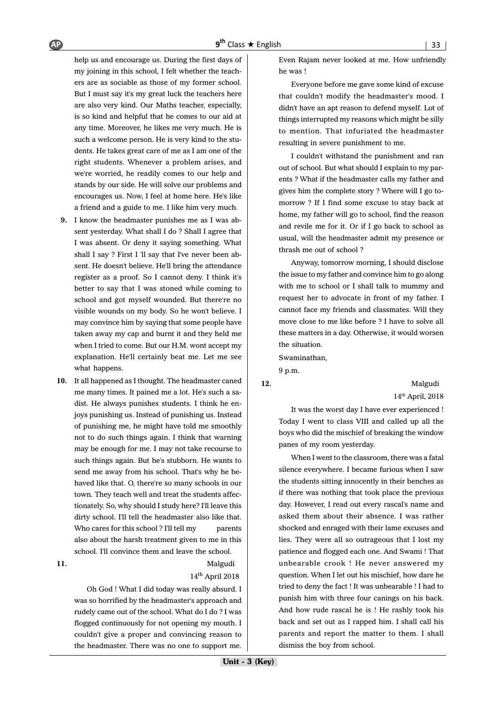help us and encourage us. During the first days of my joining in this school, I felt whether the teachers are as sociable as those of my former school. But I must say it's my great luck the teachers here are also very kind. Our Maths teacher, especially, is so kind and helpful that he comes to our aid at any time. Moreover, he likes me very much. He is such a welcome person. He is very kind to the students. He takes great care of me as I am one of the right students. Whenever a problem arises, and we're worried, he readily comes to our help and stands by our side. He will solve our problems and encourages us. Now, I feel at home here. He's like a friend and a guide to me. I like him very much.

- **9.** I know the headmaster punishes me as I was absent yesterday. What shall I do ? Shall I agree that I was absent. Or deny it saying something. What shall I say ? First I 'll say that I've never been absent. He doesn't believe. He'll bring the attendance register as a proof. So I cannot deny. I think it's better to say that I was stoned while coming to school and got myself wounded. But there're no visible wounds on my body. So he won't believe. I may convince him by saying that some people have taken away my cap and burnt it and they held me when I tried to come. But our H.M. wont accept my explanation. He'll certainly beat me. Let me see what happens.
- **10.** It all happened as I thought. The headmaster caned me many times. It pained me a lot. He's such a sadist. He always punishes students. I think he enjoys punishing us. Instead of punishing us. Instead of punishing me, he might have told me smoothly not to do such things again. I think that warning may be enough for me. I may not take recourse to such things again. But he's stubborn. He wants to send me away from his school. That's why he behaved like that. O, there're so many schools in our town. They teach well and treat the students affectionately. So, why should I study here? I'll leave this dirty school. I'll tell the headmaster also like that. Who cares for this school? I'll tell my parents also about the harsh treatment given to me in this school. I'll convince them and leave the school.

#### **11.** Malgudi 14th April 2018

Oh God ! What I did today was really absurd. I was so horrified by the headmaster's approach and rudely came out of the school. What do I do ? I was flogged continuously for not opening my mouth. I couldn't give a proper and convincing reason to the headmaster. There was no one to support me. Even Rajam never looked at me. How unfriendly he was !

Everyone before me gave some kind of excuse that couldn't modify the headmaster's mood. I didn't have an apt reason to defend myself. Lot of things interrupted my reasons which might be silly to mention. That infuriated the headmaster resulting in severe punishment to me.

I couldn't withstand the punishment and ran out of school. But what should I explain to my parents ? What if the headmaster calls my father and gives him the complete story ? Where will I go tomorrow ? If I find some excuse to stay back at home, my father will go to school, find the reason and revile me for it. Or if I go back to school as usual, will the headmaster admit my presence or thrash me out of school ?

Anyway, tomorrow morning, I should disclose the issue to my father and convince him to go along with me to school or I shall talk to mummy and request her to advocate in front of my father. I cannot face my friends and classmates. Will they move close to me like before ? I have to solve all these matters in a day. Otherwise, it would worsen the situation.

Swaminathan,

9 p.m.

**12.** Malgudi 14th April, 2018

It was the worst day I have ever experienced ! Today I went to class VIII and called up all the boys who did the mischief of breaking the window panes of my room yesterday.

When I went to the classroom, there was a fatal silence everywhere. I became furious when I saw the students sitting innocently in their benches as if there was nothing that took place the previous day. However, I read out every rascal's name and asked them about their absence. I was rather shocked and enraged with their lame excuses and lies. They were all so outrageous that I lost my patience and flogged each one. And Swami ! That unbearable crook ! He never answered my question. When I let out his mischief, how dare he tried to deny the fact ! It was unbearable ! I had to punish him with three four canings on his back. And how rude rascal he is ! He rashly took his back and set out as I rapped him. I shall call his parents and report the matter to them. I shall dismiss the boy from school.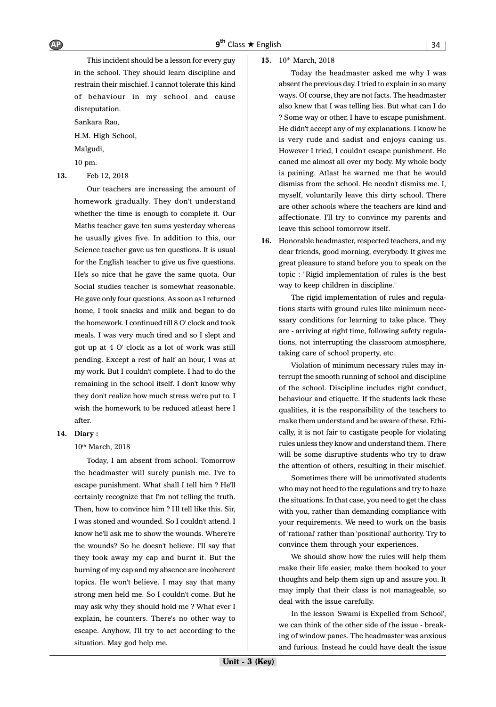This incident should be a lesson for every guy in the school. They should learn discipline and restrain their mischief. I cannot tolerate this kind of behaviour in my school and cause disreputation.

Sankara Rao,

H.M. High School,

Malgudi,

10 pm.

**13.** Feb 12, 2018

Our teachers are increasing the amount of homework gradually. They don't understand whether the time is enough to complete it. Our Maths teacher gave ten sums yesterday whereas he usually gives five. In addition to this, our Science teacher gave us ten questions. It is usual for the English teacher to give us five questions. He's so nice that he gave the same quota. Our Social studies teacher is somewhat reasonable. He gave only four questions. As soon as I returned home, I took snacks and milk and began to do the homework. I continued till 8 O' clock and took meals. I was very much tired and so I slept and got up at 4 O' clock as a lot of work was still pending. Except a rest of half an hour, I was at my work. But I couldn't complete. I had to do the remaining in the school itself. I don't know why they don't realize how much stress we're put to. I wish the homework to be reduced atleast here I after.

#### **14. Diary :**

10<sup>th</sup> March, 2018

Today, I am absent from school. Tomorrow the headmaster will surely punish me. I've to escape punishment. What shall I tell him ? He'll certainly recognize that I'm not telling the truth. Then, how to convince him ? I'll tell like this. Sir, I was stoned and wounded. So I couldn't attend. I know he'll ask me to show the wounds. Where're the wounds? So he doesn't believe. I'll say that they took away my cap and burnt it. But the burning of my cap and my absence are incoherent topics. He won't believe. I may say that many strong men held me. So I couldn't come. But he may ask why they should hold me ? What ever I explain, he counters. There's no other way to escape. Anyhow, I'll try to act according to the situation. May god help me.

#### 15. 10th March, 2018

Today the headmaster asked me why I was absent the previous day. I tried to explain in so many ways. Of course, they are not facts. The headmaster also knew that I was telling lies. But what can I do ? Some way or other, I have to escape punishment. He didn't accept any of my explanations. I know he is very rude and sadist and enjoys caning us. However I tried, I couldn't escape punishment. He caned me almost all over my body. My whole body is paining. Atlast he warned me that he would dismiss from the school. He needn't dismiss me. I, myself, voluntarily leave this dirty school. There are other schools where the teachers are kind and affectionate. I'll try to convince my parents and leave this school tomorrow itself.

**16.** Honorable headmaster, respected teachers, and my dear friends, good morning, everybody. It gives me great pleasure to stand before you to speak on the topic : "Rigid implementation of rules is the best way to keep children in discipline."

The rigid implementation of rules and regulations starts with ground rules like minimum necessary conditions for learning to take place. They are - arriving at right time, following safety regulations, not interrupting the classroom atmosphere, taking care of school property, etc.

Violation of minimum necessary rules may interrupt the smooth running of school and discipline of the school. Discipline includes right conduct, behaviour and etiquette. If the students lack these qualities, it is the responsibility of the teachers to make them understand and be aware of these. Ethically, it is not fair to castigate people for violating rules unless they know and understand them. There will be some disruptive students who try to draw the attention of others, resulting in their mischief.

Sometimes there will be unmotivated students who may not heed to the regulations and try to haze the situations. In that case, you need to get the class with you, rather than demanding compliance with your requirements. We need to work on the basis of 'rational' rather than 'positional' authority. Try to convince them through your experiences.

We should show how the rules will help them make their life easier, make them hooked to your thoughts and help them sign up and assure you. It may imply that their class is not manageable, so deal with the issue carefully.

In the lesson 'Swami is Expelled from School', we can think of the other side of the issue - breaking of window panes. The headmaster was anxious and furious. Instead he could have dealt the issue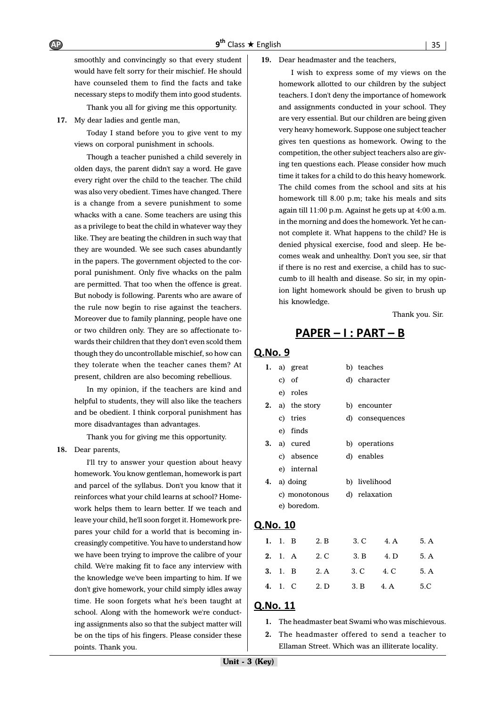smoothly and convincingly so that every student would have felt sorry for their mischief. He should have counseled them to find the facts and take necessary steps to modify them into good students.

Thank you all for giving me this opportunity.

**17.** My dear ladies and gentle man,

Today I stand before you to give vent to my views on corporal punishment in schools.

Though a teacher punished a child severely in olden days, the parent didn't say a word. He gave every right over the child to the teacher. The child was also very obedient. Times have changed. There is a change from a severe punishment to some whacks with a cane. Some teachers are using this as a privilege to beat the child in whatever way they like. They are beating the children in such way that they are wounded. We see such cases abundantly in the papers. The government objected to the corporal punishment. Only five whacks on the palm are permitted. That too when the offence is great. But nobody is following. Parents who are aware of the rule now begin to rise against the teachers. Moreover due to family planning, people have one or two children only. They are so affectionate towards their children that they don't even scold them though they do uncontrollable mischief, so how can they tolerate when the teacher canes them? At present, children are also becoming rebellious.

In my opinion, if the teachers are kind and helpful to students, they will also like the teachers and be obedient. I think corporal punishment has more disadvantages than advantages.

Thank you for giving me this opportunity.

#### **18.** Dear parents,

I'll try to answer your question about heavy homework. You know gentleman, homework is part and parcel of the syllabus. Don't you know that it reinforces what your child learns at school? Homework helps them to learn better. If we teach and leave your child, he'll soon forget it. Homework prepares your child for a world that is becoming increasingly competitive. You have to understand how we have been trying to improve the calibre of your child. We're making fit to face any interview with the knowledge we've been imparting to him. If we don't give homework, your child simply idles away time. He soon forgets what he's been taught at school. Along with the homework we're conducting assignments also so that the subject matter will be on the tips of his fingers. Please consider these points. Thank you.

**19.** Dear headmaster and the teachers,

I wish to express some of my views on the homework allotted to our children by the subject teachers. I don't deny the importance of homework and assignments conducted in your school. They are very essential. But our children are being given very heavy homework. Suppose one subject teacher gives ten questions as homework. Owing to the competition, the other subject teachers also are giving ten questions each. Please consider how much time it takes for a child to do this heavy homework. The child comes from the school and sits at his homework till 8.00 p.m; take his meals and sits again till 11:00 p.m. Against he gets up at 4:00 a.m. in the morning and does the homework. Yet he cannot complete it. What happens to the child? He is denied physical exercise, food and sleep. He becomes weak and unhealthy. Don't you see, sir that if there is no rest and exercise, a child has to succumb to ill health and disease. So sir, in my opinion light homework should be given to brush up his knowledge.

Thank you. Sir.

# <u> PAPER – I : PART – B</u>

#### Q.No. 9

| 1. |                           | a) great     | b) teaches      |
|----|---------------------------|--------------|-----------------|
|    |                           | c) of        | d) character    |
|    |                           | e) roles     |                 |
| 2. |                           | a) the story | b) encounter    |
|    |                           | c) tries     | d) consequences |
|    |                           | e) finds     |                 |
| 3. |                           | a) cured     | b) operations   |
|    |                           | c) absence   | d) enables      |
|    |                           | e) internal  |                 |
| 4. | a) doing<br>c) monotonous |              | b) livelihood   |
|    |                           |              | d) relaxation   |
|    |                           | e) boredom.  |                 |
|    |                           |              |                 |

#### Q.No. 10

|  | 1. 1. B 2. B 3. C 4. A 5. A        |  |  |
|--|------------------------------------|--|--|
|  | 2. 1. A 2. C 3. B 4. D 5. A        |  |  |
|  | <b>3.</b> 1. B 2. A 3. C 4. C 5. A |  |  |
|  | 4. 1. C 2. D 3. B 4. A 5. C        |  |  |

#### Q.No. 11

- **1.** The headmaster beat Swami who was mischievous.
- **2.** The headmaster offered to send a teacher to Ellaman Street. Which was an illiterate locality.

AP 9<sup>th</sup>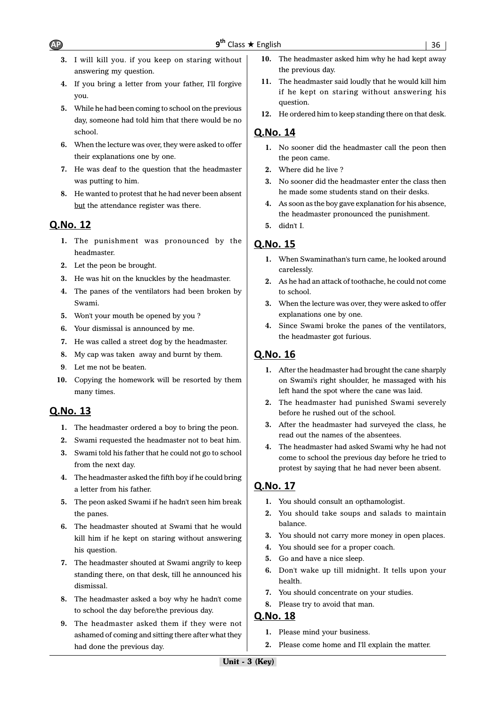- **3.** I will kill you. if you keep on staring without answering my question.
- **4.** If you bring a letter from your father, I'll forgive you.
- **5.** While he had been coming to school on the previous day, someone had told him that there would be no school.
- **6.** When the lecture was over, they were asked to offer their explanations one by one.
- **7.** He was deaf to the question that the headmaster was putting to him.
- **8.** He wanted to protest that he had never been absent but the attendance register was there.

## Q.No. 12

- **1.** The punishment was pronounced by the headmaster.
- **2.** Let the peon be brought.
- **3.** He was hit on the knuckles by the headmaster.
- **4.** The panes of the ventilators had been broken by Swami.
- **5.** Won't your mouth be opened by you ?
- **6.** Your dismissal is announced by me.
- **7.** He was called a street dog by the headmaster.
- **8.** My cap was taken away and burnt by them.
- **9**. Let me not be beaten.
- **10.** Copying the homework will be resorted by them many times.

#### Q.No. 13

- **1.** The headmaster ordered a boy to bring the peon.
- **2.** Swami requested the headmaster not to beat him.
- **3.** Swami told his father that he could not go to school from the next day.
- **4.** The headmaster asked the fifth boy if he could bring a letter from his father.
- **5.** The peon asked Swami if he hadn't seen him break the panes.
- **6.** The headmaster shouted at Swami that he would kill him if he kept on staring without answering his question.
- **7.** The headmaster shouted at Swami angrily to keep standing there, on that desk, till he announced his dismissal.
- **8.** The headmaster asked a boy why he hadn't come to school the day before/the previous day.
- **9.** The headmaster asked them if they were not ashamed of coming and sitting there after what they had done the previous day.
- **10.** The headmaster asked him why he had kept away the previous day.
- **11.** The headmaster said loudly that he would kill him if he kept on staring without answering his question.
- **12.** He ordered him to keep standing there on that desk.

#### Q.No. 14

- **1.** No sooner did the headmaster call the peon then the peon came.
- **2.** Where did he live ?
- **3.** No sooner did the headmaster enter the class then he made some students stand on their desks.
- **4.** As soon as the boy gave explanation for his absence, the headmaster pronounced the punishment.
- **5.** didn't I.

## Q.No. 15

- **1.** When Swaminathan's turn came, he looked around carelessly.
- **2.** As he had an attack of toothache, he could not come to school.
- **3.** When the lecture was over, they were asked to offer explanations one by one.
- **4.** Since Swami broke the panes of the ventilators, the headmaster got furious.

#### Q.No. 16

- **1.** After the headmaster had brought the cane sharply on Swami's right shoulder, he massaged with his left hand the spot where the cane was laid.
- **2.** The headmaster had punished Swami severely before he rushed out of the school.
- **3.** After the headmaster had surveyed the class, he read out the names of the absentees.
- **4.** The headmaster had asked Swami why he had not come to school the previous day before he tried to protest by saying that he had never been absent.

#### Q.No. 17

- **1.** You should consult an opthamologist.
- **2.** You should take soups and salads to maintain balance.
- **3.** You should not carry more money in open places.
- **4.** You should see for a proper coach.
- **5.** Go and have a nice sleep.
- **6.** Don't wake up till midnight. It tells upon your health.
- **7.** You should concentrate on your studies.
- **8.** Please try to avoid that man.

- **1.** Please mind your business.
- **2.** Please come home and I'll explain the matter.

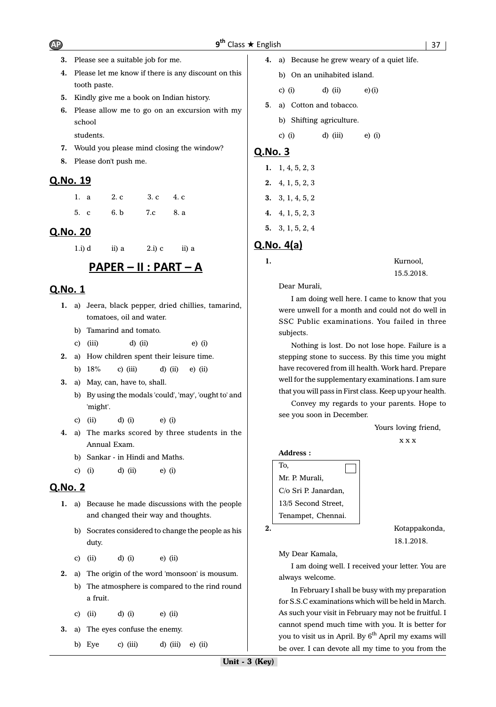- **3.** Please see a suitable job for me.
- **4.** Please let me know if there is any discount on this tooth paste.
- **5.** Kindly give me a book on Indian history.
- **6.** Please allow me to go on an excursion with my school

students.

- **7.** Would you please mind closing the window?
- **8.** Please don't push me.

## Q.No. 19

| 1. a | 2.c  | 3. c $4. c$ |
|------|------|-------------|
| 5. c | 6. b | 7.c 8. a    |

## Q.No. 20

1.i) d ii) a  $2 \text{.}$  i) c ii) a

# <u> PAPER – II : PART – A</u>

# Q.No. 1

- **1.** a) Jeera, black pepper, dried chillies, tamarind, tomatoes, oil and water.
	- b) Tamarind and tomato.
	- c) (iii) d) (ii) e) (i)
- **2.** a) How children spent their leisure time.
	- b) 18% c) (iii) d) (ii) e) (ii)
- **3.** a) May, can, have to, shall.
	- b) By using the modals 'could', 'may', 'ought to' and 'might'.
	- c) (ii) d) (i) e) (i)
- **4.** a) The marks scored by three students in the Annual Exam.
	- b) Sankar in Hindi and Maths.
	- c) (i) d) (ii) e) (i)

# Q.No. 2

- **1.** a) Because he made discussions with the people and changed their way and thoughts.
	- b) Socrates considered to change the people as his duty.
	- c) (ii) d) (i) e) (ii)
- **2.** a) The origin of the word 'monsoon' is mousum.
	- b) The atmosphere is compared to the rind round a fruit.
	- c) (ii) d) (i) e) (ii)
- **3.** a) The eyes confuse the enemy.
	- b) Eye c) (iii) d) (iii) e) (ii)

**4.** a) Because he grew weary of a quiet life. b) On an unihabited island. c) (i)  $d$ ) (ii)  $e$ ) (i) **5**. a) Cotton and tobacco. b) Shifting agriculture. c) (i) d) (iii) e) (i)

## Q.No. 3

- **2.** 4, 1, 5, 2, 3 **3.** 3, 1, 4, 5, 2
- **4.** 4, 1, 5, 2, 3
- **5.** 3, 1, 5, 2, 4

# $Q$ .No.  $4(a)$

**1.** Kurnool, 15.5.2018.

Dear Murali,

I am doing well here. I came to know that you were unwell for a month and could not do well in SSC Public examinations. You failed in three subjects.

Nothing is lost. Do not lose hope. Failure is a stepping stone to success. By this time you might have recovered from ill health. Work hard. Prepare well for the supplementary examinations. I am sure that you will pass in First class. Keep up your health.

Convey my regards to your parents. Hope to see you soon in December.

Yours loving friend,

x x x

#### **Address :**

| To,                  |  |
|----------------------|--|
| Mr. P. Murali,       |  |
| C/o Sri P. Janardan, |  |
| 13/5 Second Street,  |  |
| Tenampet, Chennai.   |  |

**2.** Kotappakonda, 18.1.2018.

My Dear Kamala,

I am doing well. I received your letter. You are always welcome.

In February I shall be busy with my preparation for S.S.C examinations which will be held in March. As such your visit in February may not be fruitful. I cannot spend much time with you. It is better for you to visit us in April. By 6<sup>th</sup> April my exams will be over. I can devote all my time to you from the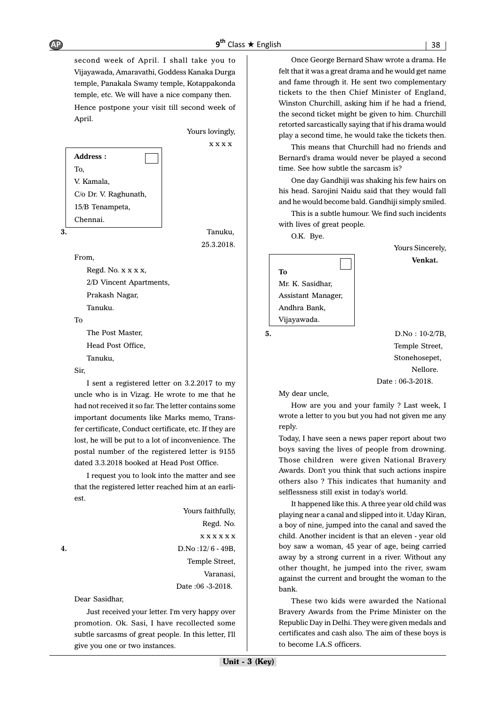second week of April. I shall take you to Vijayawada, Amaravathi, Goddess Kanaka Durga temple, Panakala Swamy temple, Kotappakonda temple, etc. We will have a nice company then. Hence postpone your visit till second week of

April.

 Yours lovingly, x x x x

25.3.2018.

**Address :** To, V. Kamala, C/o Dr. V. Raghunath, 15/B Tenampeta, Chennai.

**3.** Tanuku,

From,

Regd. No. x x x x, 2/D Vincent Apartments, Prakash Nagar, Tanuku.

To

The Post Master, Head Post Office, Tanuku,

Sir,

I sent a registered letter on 3.2.2017 to my uncle who is in Vizag. He wrote to me that he had not received it so far. The letter contains some important documents like Marks memo, Transfer certificate, Conduct certificate, etc. If they are lost, he will be put to a lot of inconvenience. The postal number of the registered letter is 9155 dated 3.3.2018 booked at Head Post Office.

I request you to look into the matter and see that the registered letter reached him at an earliest.

 Yours faithfully, Regd. No. x x x x x x **4.** D.No :12/ 6 - 49B, Temple Street, Varanasi, Date :06 -3-2018.

Dear Sasidhar,

Just received your letter. I'm very happy over promotion. Ok. Sasi, I have recollected some subtle sarcasms of great people. In this letter, I'll give you one or two instances.

Once George Bernard Shaw wrote a drama. He felt that it was a great drama and he would get name and fame through it. He sent two complementary tickets to the then Chief Minister of England, Winston Churchill, asking him if he had a friend, the second ticket might be given to him. Churchill retorted sarcastically saying that if his drama would play a second time, he would take the tickets then.

This means that Churchill had no friends and Bernard's drama would never be played a second time. See how subtle the sarcasm is?

One day Gandhiji was shaking his few hairs on his head. Sarojini Naidu said that they would fall and he would become bald. Gandhiji simply smiled.

This is a subtle humour. We find such incidents with lives of great people.

O.K. Bye.

**To** Mr. K. Sasidhar, Assistant Manager, Andhra Bank, Vijayawada.

**5.** D.No : 10-2/7B, Temple Street, Stonehosepet, Nellore. Date : 06-3-2018.

Yours Sincerely, **Venkat.**

My dear uncle,

How are you and your family ? Last week, I wrote a letter to you but you had not given me any reply.

Today, I have seen a news paper report about two boys saving the lives of people from drowning. Those children were given National Bravery Awards. Don't you think that such actions inspire others also ? This indicates that humanity and selflessness still exist in today's world.

It happened like this. A three year old child was playing near a canal and slipped into it. Uday Kiran, a boy of nine, jumped into the canal and saved the child. Another incident is that an eleven - year old boy saw a woman, 45 year of age, being carried away by a strong current in a river. Without any other thought, he jumped into the river, swam against the current and brought the woman to the bank.

These two kids were awarded the National Bravery Awards from the Prime Minister on the Republic Day in Delhi. They were given medals and certificates and cash also. The aim of these boys is to become I.A.S officers.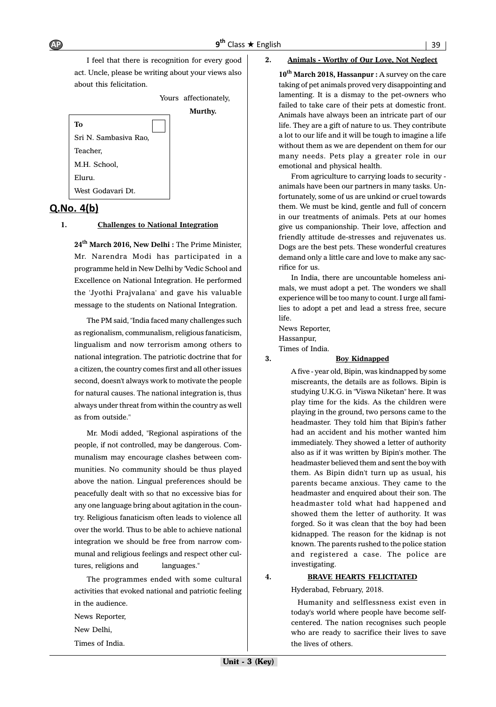I feel that there is recognition for every good act. Uncle, please be writing about your views also about this felicitation.

Yours affectionately, **Murthy. To** Sri N. Sambasiva Rao, Teacher, M.H. School, Eluru. West Godavari Dt.

## $Q.No. 4(b)$

#### **1. Challenges to National Integration**

**24th March 2016, New Delhi :** The Prime Minister, Mr. Narendra Modi has participated in a programme held in New Delhi by 'Vedic School and Excellence on National Integration. He performed the 'Jyothi Prajvalana' and gave his valuable message to the students on National Integration.

The PM said, "India faced many challenges such as regionalism, communalism, religious fanaticism, lingualism and now terrorism among others to national integration. The patriotic doctrine that for a citizen, the country comes first and all other issues second, doesn't always work to motivate the people for natural causes. The national integration is, thus always under threat from within the country as well as from outside."

Mr. Modi added, "Regional aspirations of the people, if not controlled, may be dangerous. Communalism may encourage clashes between communities. No community should be thus played above the nation. Lingual preferences should be peacefully dealt with so that no excessive bias for any one language bring about agitation in the country. Religious fanaticism often leads to violence all over the world. Thus to be able to achieve national integration we should be free from narrow communal and religious feelings and respect other cultures, religions and languages."

The programmes ended with some cultural activities that evoked national and patriotic feeling in the audience. News Reporter, New Delhi, Times of India.

#### **2. Animals - Worthy of Our Love, Not Neglect**

10<sup>th</sup> March 2018, Hassanpur : A survey on the care taking of pet animals proved very disappointing and lamenting. It is a dismay to the pet-owners who failed to take care of their pets at domestic front. Animals have always been an intricate part of our life. They are a gift of nature to us. They contribute a lot to our life and it will be tough to imagine a life without them as we are dependent on them for our many needs. Pets play a greater role in our emotional and physical health.

From agriculture to carrying loads to security animals have been our partners in many tasks. Unfortunately, some of us are unkind or cruel towards them. We must be kind, gentle and full of concern in our treatments of animals. Pets at our homes give us companionship. Their love, affection and friendly attitude de-stresses and rejuvenates us. Dogs are the best pets. These wonderful creatures demand only a little care and love to make any sacrifice for us.

In India, there are uncountable homeless animals, we must adopt a pet. The wonders we shall experience will be too many to count. I urge all families to adopt a pet and lead a stress free, secure life.

News Reporter, Hassanpur, Times of India.

#### **3. Boy Kidnapped**

A five - year old, Bipin, was kindnapped by some miscreants, the details are as follows. Bipin is studying U.K.G. in "Viswa Niketan" here. It was play time for the kids. As the children were playing in the ground, two persons came to the headmaster. They told him that Bipin's father had an accident and his mother wanted him immediately. They showed a letter of authority also as if it was written by Bipin's mother. The headmaster believed them and sent the boy with them. As Bipin didn't turn up as usual, his parents became anxious. They came to the headmaster and enquired about their son. The headmaster told what had happened and showed them the letter of authority. It was forged. So it was clean that the boy had been kidnapped. The reason for the kidnap is not known. The parents rushed to the police station and registered a case. The police are investigating.

#### **4. BRAVE HEARTS FELICITATED**

Hyderabad, February, 2018.

 Humanity and selflessness exist even in today's world where people have become selfcentered. The nation recognises such people who are ready to sacrifice their lives to save the lives of others.

AP 9<sup>th</sup>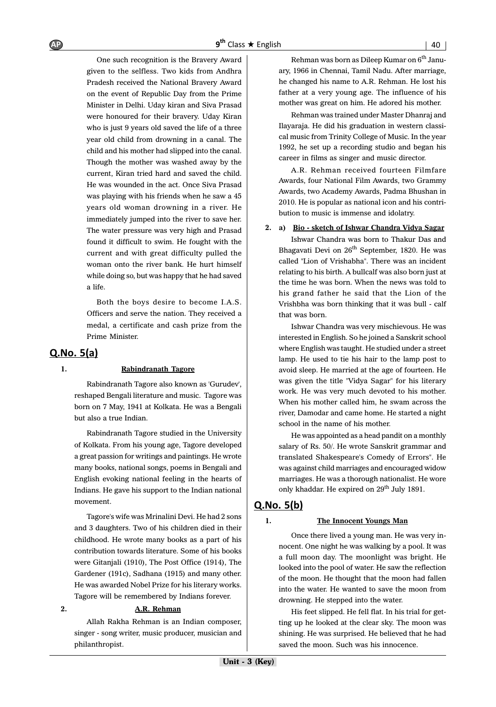One such recognition is the Bravery Award given to the selfless. Two kids from Andhra Pradesh received the National Bravery Award on the event of Republic Day from the Prime Minister in Delhi. Uday kiran and Siva Prasad were honoured for their bravery. Uday Kiran who is just 9 years old saved the life of a three year old child from drowning in a canal. The child and his mother had slipped into the canal. Though the mother was washed away by the current, Kiran tried hard and saved the child. He was wounded in the act. Once Siva Prasad was playing with his friends when he saw a 45 years old woman drowning in a river. He immediately jumped into the river to save her. The water pressure was very high and Prasad found it difficult to swim. He fought with the current and with great difficulty pulled the woman onto the river bank. He hurt himself while doing so, but was happy that he had saved a life.

Both the boys desire to become I.A.S. Officers and serve the nation. They received a medal, a certificate and cash prize from the Prime Minister.

# $Q.No. 5(a)$

#### **1. Rabindranath Tagore**

Rabindranath Tagore also known as 'Gurudev', reshaped Bengali literature and music. Tagore was born on 7 May, 1941 at Kolkata. He was a Bengali but also a true Indian.

Rabindranath Tagore studied in the University of Kolkata. From his young age, Tagore developed a great passion for writings and paintings. He wrote many books, national songs, poems in Bengali and English evoking national feeling in the hearts of Indians. He gave his support to the Indian national movement.

Tagore's wife was Mrinalini Devi. He had 2 sons and 3 daughters. Two of his children died in their childhood. He wrote many books as a part of his contribution towards literature. Some of his books were Gitanjali (1910), The Post Office (1914), The Gardener (191c), Sadhana (1915) and many other. He was awarded Nobel Prize for his literary works. Tagore will be remembered by Indians forever.

#### **2. A.R. Rehman**

Allah Rakha Rehman is an Indian composer, singer - song writer, music producer, musician and philanthropist.

Rehman was born as Dileep Kumar on  $6<sup>th</sup>$  January, 1966 in Chennai, Tamil Nadu. After marriage, he changed his name to A.R. Rehman. He lost his father at a very young age. The influence of his mother was great on him. He adored his mother.

Rehman was trained under Master Dhanraj and Ilayaraja. He did his graduation in western classical music from Trinity College of Music. In the year 1992, he set up a recording studio and began his career in films as singer and music director.

A.R. Rehman received fourteen Filmfare Awards, four National Film Awards, two Grammy Awards, two Academy Awards, Padma Bhushan in 2010. He is popular as national icon and his contribution to music is immense and idolatry.

#### **2. a) Bio - sketch of Ishwar Chandra Vidya Sagar**

Ishwar Chandra was born to Thakur Das and Bhagavati Devi on 26<sup>th</sup> September, 1820. He was called "Lion of Vrishabha". There was an incident relating to his birth. A bullcalf was also born just at the time he was born. When the news was told to his grand father he said that the Lion of the Vrishbha was born thinking that it was bull - calf that was born.

Ishwar Chandra was very mischievous. He was interested in English. So he joined a Sanskrit school where English was taught. He studied under a street lamp. He used to tie his hair to the lamp post to avoid sleep. He married at the age of fourteen. He was given the title "Vidya Sagar" for his literary work. He was very much devoted to his mother. When his mother called him, he swam across the river, Damodar and came home. He started a night school in the name of his mother.

He was appointed as a head pandit on a monthly salary of Rs. 50/. He wrote Sanskrit grammar and translated Shakespeare's Comedy of Errors". He was against child marriages and encouraged widow marriages. He was a thorough nationalist. He wore only khaddar. He expired on  $29<sup>th</sup>$  July 1891.

# $Q.No. 5(b)$

#### **1. The Innocent Youngs Man**

Once there lived a young man. He was very innocent. One night he was walking by a pool. It was a full moon day. The moonlight was bright. He looked into the pool of water. He saw the reflection of the moon. He thought that the moon had fallen into the water. He wanted to save the moon from drowning. He stepped into the water.

His feet slipped. He fell flat. In his trial for getting up he looked at the clear sky. The moon was shining. He was surprised. He believed that he had saved the moon. Such was his innocence.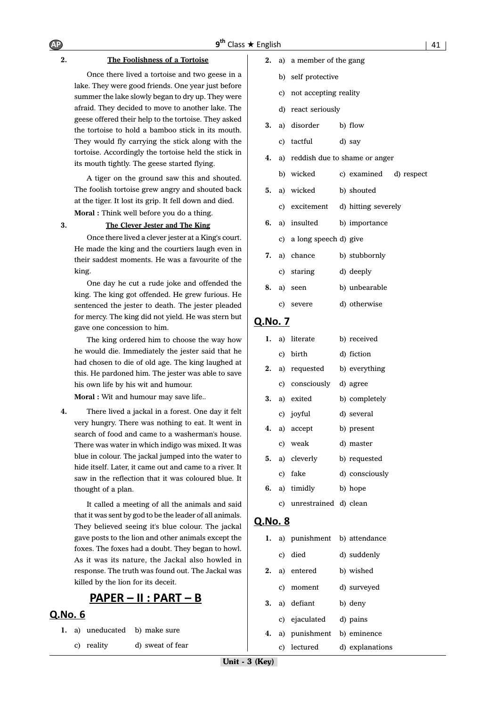#### **2. The Foolishness of a Tortoise**

Once there lived a tortoise and two geese in a lake. They were good friends. One year just before summer the lake slowly began to dry up. They were afraid. They decided to move to another lake. The geese offered their help to the tortoise. They asked the tortoise to hold a bamboo stick in its mouth. They would fly carrying the stick along with the tortoise. Accordingly the tortoise held the stick in its mouth tightly. The geese started flying.

A tiger on the ground saw this and shouted. The foolish tortoise grew angry and shouted back at the tiger. It lost its grip. It fell down and died.

**Moral :** Think well before you do a thing.

## **3. The Clever Jester and The King**

Once there lived a clever jester at a King's court. He made the king and the courtiers laugh even in their saddest moments. He was a favourite of the king.

One day he cut a rude joke and offended the king. The king got offended. He grew furious. He sentenced the jester to death. The jester pleaded for mercy. The king did not yield. He was stern but gave one concession to him.

The king ordered him to choose the way how he would die. Immediately the jester said that he had chosen to die of old age. The king laughed at this. He pardoned him. The jester was able to save his own life by his wit and humour.

**Moral :** Wit and humour may save life..

**4.** There lived a jackal in a forest. One day it felt very hungry. There was nothing to eat. It went in search of food and came to a washerman's house. There was water in which indigo was mixed. It was blue in colour. The jackal jumped into the water to hide itself. Later, it came out and came to a river. It saw in the reflection that it was coloured blue. It thought of a plan.

It called a meeting of all the animals and said that it was sent by god to be the leader of all animals. They believed seeing it's blue colour. The jackal gave posts to the lion and other animals except the foxes. The foxes had a doubt. They began to howl. As it was its nature, the Jackal also howled in response. The truth was found out. The Jackal was killed by the lion for its deceit.

# <u> PAPER – II : PART – B</u>

### Q.No. 6

- **1.** a) uneducated b) make sure
	- c) reality d) sweat of fear
- **2.** a) a member of the gang
	- b) self protective
	- c) not accepting reality
	- d) react seriously
- **3.** a) disorder b) flow
	- c) tactful d) say
- **4.** a) reddish due to shame or anger
- b) wicked c) examined d) respect
- **5.** a) wicked b) shouted
	- c) excitement d) hitting severely
- **6.** a) insulted b) importance
	- c) a long speech d) give
- **7.** a) chance b) stubbornly
- c) staring d) deeply
- **8.** a) seen b) unbearable
	- c) severe d) otherwise

#### Q.No. 7

| 1. | a) literate              | b) received    |
|----|--------------------------|----------------|
|    | c) birth                 | d) fiction     |
| 2. | a) requested             | b) everything  |
|    | c) consciously           | d) agree       |
|    | 3. a) exited             | b) completely  |
|    | c) joyful                | d) several     |
| 4. | a) accept                | b) present     |
|    | c) weak                  | d) master      |
|    | 5. a) cleverly           | b) requested   |
|    | c) fake                  | d) consciously |
|    | 6. a) timidly            | b) hope        |
|    | c) unrestrained d) clean |                |

| 1. |    | a) punishment | b) attendance   |
|----|----|---------------|-----------------|
|    |    | c) died       | d) suddenly     |
| 2. |    | a) entered    | b) wished       |
|    |    | c) moment     | d) surveyed     |
| 3. |    | a) defiant    | b) deny         |
|    |    | c) ejaculated | d) pains        |
| 4. |    | a) punishment | b) eminence     |
|    | C) | lectured      | d) explanations |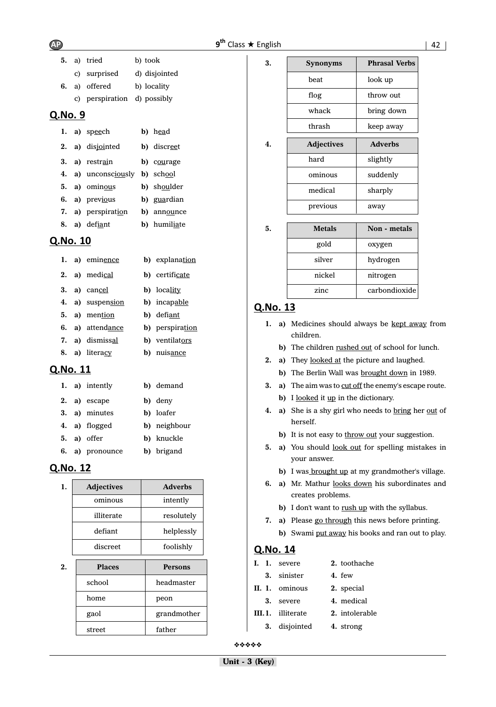$AP$   $9<sup>th</sup>$ 

| sh | 42 |  |
|----|----|--|
|    |    |  |

|       |  | 5. a) tried                 | b) took       |
|-------|--|-----------------------------|---------------|
|       |  | c) surprised                | d) disjointed |
|       |  | 6. a) offered               | b) locality   |
|       |  | c) perspiration d) possibly |               |
| QNO.9 |  |                             |               |

|           | 1. a) speech              | b) head                     |
|-----------|---------------------------|-----------------------------|
|           | 2. a) disjointed          | b) discreet                 |
| $\bullet$ | $\lambda$ <i>montmoin</i> | $\sim$ $\sim$ $\sim$ $\sim$ |

- **3. a)** restrain **b)** courage
- **4. a)** unconsciously **b)** school **5. a)** ominous **b)** shoulder
- **6. a)** previous **b)** guardian
- **7. a)** perspiration **b)** announce **8. a)** defiant **b)** humiliate

# Q.No. 10

|  | 1. a) eminence   | b) explanation         |
|--|------------------|------------------------|
|  | 2. a) medical    | <b>b</b> ) certificate |
|  | 3. a) cancel     | <b>b</b> ) locality    |
|  | 4. a) suspension | <b>b</b> ) incapable   |
|  | 5. a) mention    | b) defiant             |
|  | 6. a) attendance | b) perspiration        |
|  | 7. a) dismissal  | b) ventilators         |
|  | 8. a) literacy   | b) nuisance            |

# Q.No. 11

|  | 1. a) intently  | b) demand    |
|--|-----------------|--------------|
|  | 2. a) escape    | b) deny      |
|  | 3. a) minutes   | b) loafer    |
|  | 4. a) flogged   | b) neighbour |
|  | $5. a)$ offer   | b) knuckle   |
|  | 6. a) pronounce | b) brigand   |

# Q.No. 12

| 1. | <b>Adjectives</b> | <b>Adverbs</b> |
|----|-------------------|----------------|
|    | ominous           | intently       |
|    | illiterate        | resolutely     |
|    | defiant           | helplessly     |
|    | discreet          | foolishly      |
|    |                   |                |

| 2. | <b>Places</b> | <b>Persons</b> |
|----|---------------|----------------|
|    | school        | headmaster     |
|    | home          | peon           |
|    | gaol          | grandmother    |
|    | street        | father         |

| 3. | <b>Synonyms</b>   | <b>Phrasal Verbs</b> |
|----|-------------------|----------------------|
|    | beat              | look up              |
|    | flog              | throw out            |
|    | whack             | bring down           |
|    | thrash            | keep away            |
| 4. | <b>Adjectives</b> | <b>Adverbs</b>       |
|    | hard              | slightly             |
|    | ominous           | suddenly             |
|    | medical           | sharply              |
|    | previous          | away                 |

| 5. | <b>Metals</b> | Non - metals  |
|----|---------------|---------------|
|    | gold          | oxygen        |
|    | silver        | hydrogen      |
|    | nickel        | nitrogen      |
|    | zinc          | carbondioxide |

# Q.No. 13

|  | 1. a) Medicines should always be kept away from |  |  |  |
|--|-------------------------------------------------|--|--|--|
|  | children.                                       |  |  |  |

- **b**) The children rushed out of school for lunch.
- **2. a)** They looked at the picture and laughed.
	- **b**) The Berlin Wall was **brought down** in 1989.
- **3.** a) The aim was to cut off the enemy's escape route. **b**) I looked it up in the dictionary.
- **4.** a) She is a shy girl who needs to bring her out of herself.
	- **b**) It is not easy to throw out your suggestion.
- 5. a) You should <u>look out</u> for spelling mistakes in your answer.
	- **b**) I was **brought up** at my grandmother's village.
- **6. a)** Mr. Mathur looks down his subordinates and creates problems.
	- **b**) I don't want to rush up with the syllabus.
- **7. a)** Please go through this news before printing.
	- **b)** Swami put away his books and ran out to play.

# Q.No. 14

|    | I. I. severe             | 2. toothache   |
|----|--------------------------|----------------|
|    | 3. sinister              | 4. few         |
|    | II. 1. ominous           | 2. special     |
| 3. | severe                   | 4. medical     |
|    | <b>III.1.</b> illiterate | 2. intolerable |
|    | 3. disjointed            | 4. strong      |

❖❖❖❖❖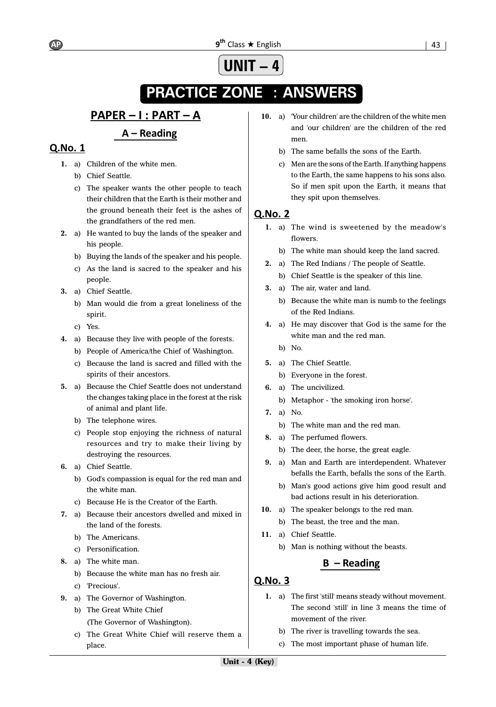# **UNIT -**

# **PRACTICE ZONE : ANSWERS**

# <u> PAPER – I : PART – A</u>

# A – Reading

# **O.No. 1**

- **1.** a) Children of the white men.
	- b) Chief Seattle.
	- c) The speaker wants the other people to teach their children that the Earth is their mother and the ground beneath their feet is the ashes of the grandfathers of the red men.
- **2.** a) He wanted to buy the lands of the speaker and his people.
	- b) Buying the lands of the speaker and his people.
	- c) As the land is sacred to the speaker and his people.
- **3.** a) Chief Seattle.
	- b) Man would die from a great loneliness of the spirit.
	- c) Yes.
- **4.** a) Because they live with people of the forests.
	- b) People of America/the Chief of Washington.
	- c) Because the land is sacred and filled with the spirits of their ancestors.
- **5.** a) Because the Chief Seattle does not understand the changes taking place in the forest at the risk of animal and plant life.
	- b) The telephone wires.
	- c) People stop enjoying the richness of natural resources and try to make their living by destroying the resources.
- **6.** a) Chief Seattle.
	- b) God's compassion is equal for the red man and the white man.
	- c) Because He is the Creator of the Earth.
- **7.** a) Because their ancestors dwelled and mixed in the land of the forests.
	- b) The Americans.
	- c) Personification.
- **8.** a) The white man.
	- b) Because the white man has no fresh air.
	- c) 'Precious'.
- **9.** a) The Governor of Washington.
	- b) The Great White Chief (The Governor of Washington).
	- c) The Great White Chief will reserve them a place.
- **10.** a) 'Your children' are the children of the white men and 'our children' are the children of the red men.
	- b) The same befalls the sons of the Earth.
	- c) Men are the sons of the Earth. If anything happens to the Earth, the same happens to his sons also. So if men spit upon the Earth, it means that they spit upon themselves.

# **Q.No. 2**

- **1.** a) The wind is sweetened by the meadow's flowers.
	- b) The white man should keep the land sacred.
- **2.** a) The Red Indians / The people of Seattle.
	- b) Chief Seattle is the speaker of this line.
- **3.** a) The air, water and land.
	- b) Because the white man is numb to the feelings of the Red Indians.
- **4.** a) He may discover that God is the same for the white man and the red man.
	- b) No.
- **5.** a) The Chief Seattle.
	- b) Everyone in the forest.
- **6.** a) The uncivilized.
	- b) Metaphor 'the smoking iron horse'.
- **7.** a) No.
	- b) The white man and the red man.
- **8.** a) The perfumed flowers.
	- b) The deer, the horse, the great eagle.
- **9.** a) Man and Earth are interdependent. Whatever befalls the Earth, befalls the sons of the Earth.
	- b) Man's good actions give him good result and bad actions result in his deterioration.
- **10.** a) The speaker belongs to the red man.
	- b) The beast, the tree and the man.
- **11.** a) Chief Seattle.
	- b) Man is nothing without the beasts.

# $B -$ Reading

- **1.** a) The first 'still' means steady without movement. The second 'still' in line 3 means the time of movement of the river.
	- b) The river is travelling towards the sea.
	- c) The most important phase of human life.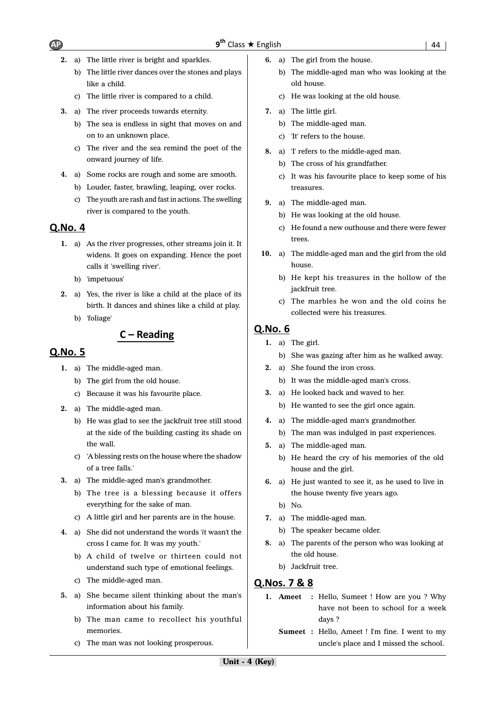- **2.** a) The little river is bright and sparkles.
	- b) The little river dances over the stones and plays like a child.
	- c) The little river is compared to a child.
- **3.** a) The river proceeds towards eternity.
	- b) The sea is endless in sight that moves on and on to an unknown place.
	- c) The river and the sea remind the poet of the onward journey of life.
- **4.** a) Some rocks are rough and some are smooth. b) Louder, faster, brawling, leaping, over rocks.
	- c) The youth are rash and fast in actions. The swelling river is compared to the youth.

# Q.No. 4

- **1.** a) As the river progresses, other streams join it. It widens. It goes on expanding. Hence the poet calls it 'swelling river'.
	- b) 'impetuous'
- **2.** a) Yes, the river is like a child at the place of its birth. It dances and shines like a child at play.
	- b) 'foliage'

# $C -$  Reading

# Q.No. 5

- **1.** a) The middle-aged man.
	- b) The girl from the old house.
		- c) Because it was his favourite place.
- **2.** a) The middle-aged man.
	- b) He was glad to see the jackfruit tree still stood at the side of the building casting its shade on the wall.
	- c) 'A blessing rests on the house where the shadow of a tree falls.'
- **3.** a) The middle-aged man's grandmother.
	- b) The tree is a blessing because it offers everything for the sake of man.
	- c) A little girl and her parents are in the house.
- **4.** a) She did not understand the words '*i*t wasn't the cross I came for. It was my youth.'
	- b) A child of twelve or thirteen could not understand such type of emotional feelings.
	- c) The middle-aged man.
- **5.** a) She became silent thinking about the man's information about his family.
	- b) The man came to recollect his youthful memories.
	- c) The man was not looking prosperous.
- **6.** a) The girl from the house.
	- b) The middle-aged man who was looking at the old house.
	- c) He was looking at the old house.
- **7.** a) The little girl.
	- b) The middle-aged man.
	- c) 'It' refers to the house.
- **8.** a) 'I' refers to the middle-aged man.
	- b) The cross of his grandfather.
	- c) It was his favourite place to keep some of his treasures.
- **9.** a) The middle-aged man.
	- b) He was looking at the old house.
	- c) He found a new outhouse and there were fewer trees.
- **10.** a) The middle-aged man and the girl from the old house.
	- b) He kept his treasures in the hollow of the jackfruit tree.
	- c) The marbles he won and the old coins he collected were his treasures.

# Q.No. 6

- **1.** a) The girl.
	- b) She was gazing after him as he walked away.
- **2.** a) She found the iron cross.
	- b) It was the middle-aged man's cross.
- **3.** a) He looked back and waved to her.
	- b) He wanted to see the girl once again.
- **4.** a) The middle-aged man's grandmother.
	- b) The man was indulged in past experiences.
- **5.** a) The middle-aged man.
	- b) He heard the cry of his memories of the old house and the girl.
- **6.** a) He just wanted to see it, as he used to live in the house twenty five years ago.
	- b) No.
- **7.** a) The middle-aged man.
	- b) The speaker became older.
- **8.** a) The parents of the person who was looking at the old house.
	- b) Jackfruit tree.

# Q.Nos. 7 & 8

- **1. Ameet :** Hello, Sumeet ! How are you ? Why have not been to school for a week days ?
	- **Sumeet :** Hello, Ameet ! I'm fine. I went to my uncle's place and I missed the school.

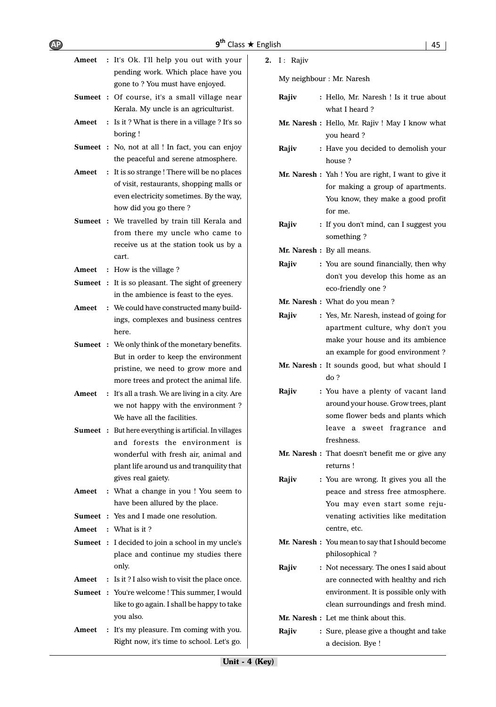| -<br>AP) | $9th$ Class $\star$ English | 45 |
|----------|-----------------------------|----|
|          |                             |    |

| Ameet | : It's Ok. I'll help you out with your                                                          | 2. | $I:$ Rajiv              |
|-------|-------------------------------------------------------------------------------------------------|----|-------------------------|
|       | pending work. Which place have you                                                              |    | My neighbour: N         |
|       | gone to ? You must have enjoyed.                                                                |    |                         |
|       | <b>Sumeet</b> : Of course, it's a small village near                                            |    | Rajiv<br>: Hel          |
| Ameet | Kerala. My uncle is an agriculturist.<br>: Is it? What is there in a village? It's so           |    | wh                      |
|       | boring!                                                                                         |    | Mr. Naresh: Hel         |
|       | <b>Sumeet</b> : No, not at all ! In fact, you can enjoy                                         |    | yot                     |
|       | the peaceful and serene atmosphere.                                                             |    | Rajiv<br>: Ha<br>hοι    |
| Ameet | : It is so strange! There will be no places                                                     |    | Mr. Naresh: Yah         |
|       | of visit, restaurants, shopping malls or                                                        |    | for                     |
|       | even electricity sometimes. By the way,                                                         |    | You                     |
|       | how did you go there?                                                                           |    | for                     |
|       | <b>Sumeet</b> : We travelled by train till Kerala and                                           |    | Rajiv<br>$:$ If $y$     |
|       | from there my uncle who came to                                                                 |    | son                     |
|       | receive us at the station took us by a                                                          |    | Mr. Naresh: By          |
|       | cart.                                                                                           |    | Rajiv<br>: You          |
| Ameet | : How is the village?                                                                           |    | dor                     |
|       | <b>Sumeet</b> : It is so pleasant. The sight of greenery                                        |    | eco                     |
|       | in the ambience is feast to the eyes.                                                           |    | Mr. Naresh: Wh          |
| Ameet | : We could have constructed many build-                                                         |    | Rajiv<br>: Yes          |
|       | ings, complexes and business centres                                                            |    | apa                     |
|       | here.                                                                                           |    | ma                      |
|       | <b>Sumeet</b> : We only think of the monetary benefits.<br>But in order to keep the environment |    | an                      |
|       | pristine, we need to grow more and                                                              |    | <b>Mr. Naresh: It s</b> |
|       | more trees and protect the animal life.                                                         |    | do                      |
| Ameet | : It's all a trash. We are living in a city. Are                                                |    | Rajiv<br>: You          |
|       | we not happy with the environment?                                                              |    | aro                     |
|       | We have all the facilities.                                                                     |    | son                     |
|       | <b>Sumeet</b> : But here everything is artificial. In villages                                  |    | lea                     |
|       | and forests the environment is                                                                  |    | fre:                    |
|       | wonderful with fresh air, animal and                                                            |    | Mr. Naresh: Tha         |
|       | plant life around us and tranquility that                                                       |    | reti                    |
|       | gives real gaiety.                                                                              |    | Rajiv<br>: You          |
| Ameet | : What a change in you! You seem to                                                             |    | pea                     |
|       | have been allured by the place.                                                                 |    | Yo                      |
|       | <b>Sumeet</b> : Yes and I made one resolution.                                                  |    | ver                     |
| Ameet | : What is it?                                                                                   |    | cen                     |
|       | <b>Sumeet</b> : I decided to join a school in my uncle's                                        |    | Mr. Naresh: You         |
|       | place and continue my studies there                                                             |    | phi                     |
|       | only.                                                                                           |    | Rajiv<br>: No           |
| Ameet | : Is it? I also wish to visit the place once.                                                   |    | are                     |
|       | <b>Sumeet :</b> You're welcome ! This summer, I would                                           |    | env                     |
|       | like to go again. I shall be happy to take<br>you also.                                         |    | clea                    |
| Ameet | : It's my pleasure. I'm coming with you.                                                        |    | Mr. Naresh: Let         |
|       | Right now, it's time to school. Let's go.                                                       |    | Rajiv<br>: Sur          |
|       |                                                                                                 |    | a d                     |

Mr. Naresh

| Rajiv | : Hello, Mr. Naresh ! Is it true about<br>what I heard? |
|-------|---------------------------------------------------------|
|       | Mr. Naresh: Hello, Mr. Rajiv! May I know what           |
|       | you heard?                                              |
| Rajiv | : Have you decided to demolish your<br>house?           |
|       | Mr. Naresh : Yah ! You are right, I want to give it     |
|       | for making a group of apartments.                       |
|       | You know, they make a good profit                       |
|       | for me.                                                 |
| Rajiv |                                                         |
|       | : If you don't mind, can I suggest you<br>something?    |
|       | Mr. Naresh : By all means.                              |
| Rajiv | : You are sound financially, then why                   |
|       | don't you develop this home as an                       |
|       | eco-friendly one?                                       |
|       | Mr. Naresh: What do you mean?                           |
| Rajiv | : Yes, Mr. Naresh, instead of going for                 |
|       | apartment culture, why don't you                        |
|       | make your house and its ambience                        |
|       | an example for good environment?                        |
|       | Mr. Naresh : It sounds good, but what should I          |
|       | do?                                                     |
| Rajiv | : You have a plenty of vacant land                      |
|       | around your house. Grow trees, plant                    |
|       | some flower beds and plants which                       |
|       | leave<br>sweet fragrance and<br>a                       |
|       | freshness.                                              |
|       | <b>Mr. Naresh</b> : That doesn't benefit me or give any |
|       | returns!                                                |
| Rajiv | : You are wrong. It gives you all the                   |
|       | peace and stress free atmosphere.                       |
|       | You may even start some reju-                           |
|       | venating activities like meditation                     |
|       | centre, etc.                                            |
|       | Mr. Naresh : You mean to say that I should become       |
|       | philosophical?                                          |
| Rajiv | : Not necessary. The ones I said about                  |
|       |                                                         |
|       | are connected with healthy and rich                     |
|       | environment. It is possible only with                   |
|       | clean surroundings and fresh mind.                      |

re, please give a thought and take lecision. Bye !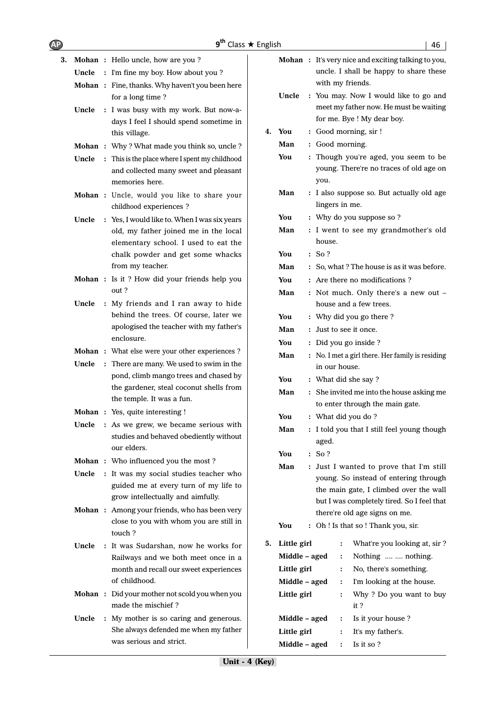| <b>AP</b> |       | 9 <sup>th</sup> Class ★ English                                      |    |               |                |                | 46                                                         |
|-----------|-------|----------------------------------------------------------------------|----|---------------|----------------|----------------|------------------------------------------------------------|
| 3.        |       | Mohan: Hello uncle, how are you?                                     |    |               |                |                | <b>Mohan</b> : It's very nice and exciting talking to you, |
|           |       | Uncle : I'm fine my boy. How about you?                              |    |               |                |                | uncle. I shall be happy to share these                     |
|           |       | <b>Mohan</b> : Fine, thanks. Why haven't you been here               |    |               |                |                | with my friends.                                           |
|           |       | for a long time?                                                     |    | Uncle         |                |                | : You may. Now I would like to go and                      |
|           | Uncle | : I was busy with my work. But now-a-                                |    |               |                |                | meet my father now. He must be waiting                     |
|           |       | days I feel I should spend sometime in                               |    |               |                |                | for me. Bye ! My dear boy.                                 |
|           |       | this village.                                                        | 4. | You           |                |                | : Good morning, sir !                                      |
|           |       | Mohan: Why? What made you think so, uncle?                           |    | Man           |                |                | : Good morning.                                            |
|           | Uncle | : This is the place where I spent my childhood                       |    | You           |                |                | : Though you're aged, you seem to be                       |
|           |       | and collected many sweet and pleasant                                |    |               |                |                | young. There're no traces of old age on                    |
|           |       | memories here.                                                       |    |               | you.           |                |                                                            |
|           |       | Mohan : Uncle, would you like to share your                          |    | Man           |                |                | : I also suppose so. But actually old age                  |
|           |       | childhood experiences ?                                              |    |               | lingers in me. |                |                                                            |
|           | Uncle | : Yes, I would like to. When I was six years                         |    | You           |                |                | : Why do you suppose so ?                                  |
|           |       | old, my father joined me in the local                                |    | Man           |                |                | : I went to see my grandmother's old                       |
|           |       | elementary school. I used to eat the                                 |    |               | house.         |                |                                                            |
|           |       | chalk powder and get some whacks                                     |    | You           | : So?          |                |                                                            |
|           |       | from my teacher.                                                     |    | Man           |                |                | : So, what? The house is as it was before.                 |
|           |       | Mohan : Is it ? How did your friends help you                        |    | You           |                |                | : Are there no modifications?                              |
|           |       | out?                                                                 |    | Man           |                |                | : Not much. Only there's a new out -                       |
|           | Uncle | : My friends and I ran away to hide                                  |    |               |                |                | house and a few trees.                                     |
|           |       | behind the trees. Of course, later we                                |    | You           |                |                | : Why did you go there?                                    |
|           |       | apologised the teacher with my father's                              |    | Man           |                |                | : Just to see it once.                                     |
|           |       | enclosure.                                                           |    | You           |                |                | : Did you go inside ?                                      |
|           |       | <b>Mohan</b> : What else were your other experiences ?               |    | Man           |                |                | : No. I met a girl there. Her family is residing           |
|           | Uncle | : There are many. We used to swim in the                             |    |               | in our house.  |                |                                                            |
|           |       | pond, climb mango trees and chased by                                |    | You           |                |                | : What did she say?                                        |
|           |       | the gardener, steal coconut shells from                              |    | Man           |                |                | : She invited me into the house asking me                  |
|           |       | the temple. It was a fun.                                            |    |               |                |                | to enter through the main gate.                            |
|           |       | Mohan : Yes, quite interesting !                                     |    | You           |                |                | : What did you do?                                         |
|           |       | Uncle : As we grew, we became serious with                           |    | Man           |                |                | : I told you that I still feel young though                |
|           |       | studies and behaved obediently without                               |    |               | aged.          |                |                                                            |
|           |       | our elders.                                                          |    | You           | : So?          |                |                                                            |
|           |       | Mohan: Who influenced you the most?                                  |    | Man           |                |                | : Just I wanted to prove that I'm still                    |
|           |       | Uncle : It was my social studies teacher who                         |    |               |                |                | young. So instead of entering through                      |
|           |       | guided me at every turn of my life to                                |    |               |                |                | the main gate, I climbed over the wall                     |
|           |       | grow intellectually and aimfully.                                    |    |               |                |                | but I was completely tired. So I feel that                 |
|           |       | <b>Mohan</b> : Among your friends, who has been very                 |    |               |                |                | there're old age signs on me.                              |
|           |       | close to you with whom you are still in                              |    | You           |                |                | : Oh ! Is that so ! Thank you, sir.                        |
|           |       | touch?                                                               |    |               |                |                |                                                            |
|           | Uncle | : It was Sudarshan, now he works for                                 | 5. | Little girl   |                | $\ddot{\cdot}$ | What're you looking at, sir?                               |
|           |       | Railways and we both meet once in a                                  |    | Middle - aged |                | :              | Nothing   nothing.                                         |
|           |       | month and recall our sweet experiences                               |    | Little girl   |                | :              | No, there's something.                                     |
|           |       | of childhood.                                                        |    | Middle - aged |                | $\ddot{\cdot}$ | I'm looking at the house.                                  |
|           |       | Mohan : Did your mother not scold you when you<br>made the mischief? |    | Little girl   |                | :              | Why ? Do you want to buy<br>it?                            |
|           | Uncle | : My mother is so caring and generous.                               |    | Middle - aged |                | :              | Is it your house ?                                         |
|           |       | She always defended me when my father                                |    | Little girl   |                | :              | It's my father's.                                          |
|           |       | was serious and strict.                                              |    | Middle - aged |                | $\ddot{\cdot}$ | Is it so?                                                  |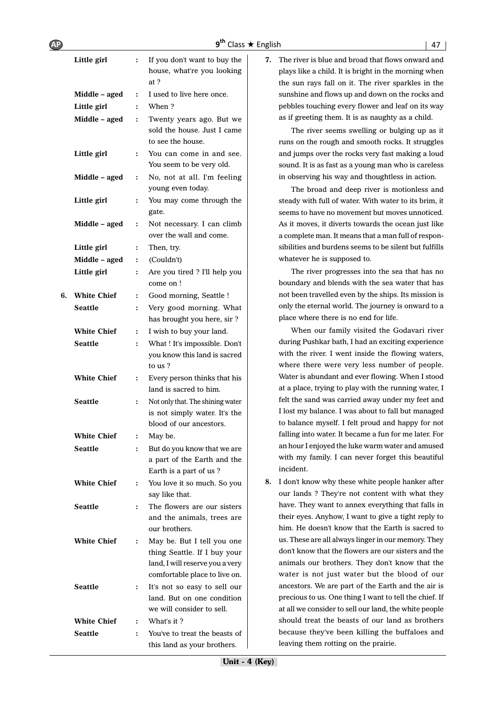| $9^{th}$ Class $\star$ English | $\vert$ 47 |
|--------------------------------|------------|
|                                |            |

|    | Little girl        | $\ddot{\cdot}$ | If you don't want to buy the<br>house, what're you looking<br>at ?         |
|----|--------------------|----------------|----------------------------------------------------------------------------|
|    | Middle – aged      | $\ddot{\cdot}$ | I used to live here once.                                                  |
|    | Little girl        | $\ddot{\cdot}$ | When?                                                                      |
|    | Middle – aged      | $\ddot{\cdot}$ | Twenty years ago. But we                                                   |
|    |                    |                | sold the house. Just I came<br>to see the house.                           |
|    | Little girl        | :              | You can come in and see.<br>You seem to be very old.                       |
|    | Middle – aged      | :              | No, not at all. I'm feeling<br>young even today.                           |
|    | Little girl        | $\ddot{\cdot}$ | You may come through the<br>gate.                                          |
|    | Middle - aged      | $\ddot{\cdot}$ | Not necessary. I can climb<br>over the wall and come.                      |
|    | Little girl        | $\ddot{\cdot}$ | Then, try.                                                                 |
|    | Middle – aged      | $\ddot{\cdot}$ | (Couldn't)                                                                 |
|    | Little girl        | $\ddot{\cdot}$ | Are you tired ? I'll help you<br>come on !                                 |
| 6. | <b>White Chief</b> | :              | Good morning, Seattle !                                                    |
|    | <b>Seattle</b>     | $\ddot{\cdot}$ | Very good morning. What<br>has brought you here, sir?                      |
|    | <b>White Chief</b> | $\ddot{\cdot}$ | I wish to buy your land.                                                   |
|    | <b>Seattle</b>     | $\ddot{\cdot}$ | What ! It's impossible. Don't                                              |
|    |                    |                | you know this land is sacred<br>to us?                                     |
|    | <b>White Chief</b> | $\ddot{\cdot}$ | Every person thinks that his<br>land is sacred to him.                     |
|    | <b>Seattle</b>     | $\ddot{\cdot}$ | Not only that. The shining water                                           |
|    |                    |                | is not simply water. It's the                                              |
|    |                    |                | blood of our ancestors.                                                    |
|    | <b>White Chief</b> | $\ddot{\cdot}$ | May be.                                                                    |
|    | <b>Seattle</b>     | ፡              | But do you know that we are                                                |
|    |                    |                | a part of the Earth and the                                                |
|    |                    |                | Earth is a part of us?                                                     |
|    | <b>White Chief</b> | ፡              | You love it so much. So you<br>say like that.                              |
|    | <b>Seattle</b>     | $\ddot{\cdot}$ | The flowers are our sisters<br>and the animals, trees are<br>our brothers. |
|    | <b>White Chief</b> | :              | May be. But I tell you one<br>thing Seattle. If I buy your                 |
|    |                    |                | land, I will reserve you a very<br>comfortable place to live on.           |
|    | <b>Seattle</b>     | $\ddot{\cdot}$ | It's not so easy to sell our                                               |
|    |                    |                | land. But on one condition                                                 |
|    |                    |                | we will consider to sell.                                                  |
|    | <b>White Chief</b> | $\ddot{\cdot}$ | What's it?                                                                 |
|    | Seattle            | $\ddot{\cdot}$ | You've to treat the beasts of<br>this land as your brothers.               |
|    |                    |                |                                                                            |

**7.** The river is blue and broad that flows onward and plays like a child. It is bright in the morning when the sun rays fall on it. The river sparkles in the sunshine and flows up and down on the rocks and pebbles touching every flower and leaf on its way as if greeting them. It is as naughty as a child.

The river seems swelling or bulging up as it runs on the rough and smooth rocks. It struggles and jumps over the rocks very fast making a loud sound. It is as fast as a young man who is careless in observing his way and thoughtless in action.

The broad and deep river is motionless and steady with full of water. With water to its brim, it seems to have no movement but moves unnoticed. As it moves, it diverts towards the ocean just like a complete man. It means that a man full of responsibilities and burdens seems to be silent but fulfills whatever he is supposed to.

The river progresses into the sea that has no boundary and blends with the sea water that has not been travelled even by the ships. Its mission is only the eternal world. The journey is onward to a place where there is no end for life.

When our family visited the Godavari river during Pushkar bath, I had an exciting experience with the river. I went inside the flowing waters, where there were very less number of people. Water is abundant and ever flowing. When I stood at a place, trying to play with the running water, I felt the sand was carried away under my feet and I lost my balance. I was about to fall but managed to balance myself. I felt proud and happy for not falling into water. It became a fun for me later. For an hour I enjoyed the luke warm water and amused with my family. I can never forget this beautiful incident.

**8.** I don't know why these white people hanker after our lands ? They're not content with what they have. They want to annex everything that falls in their eyes. Anyhow, I want to give a tight reply to him. He doesn't know that the Earth is sacred to us. These are all always linger in our memory. They don't know that the flowers are our sisters and the animals our brothers. They don't know that the water is not just water but the blood of our ancestors. We are part of the Earth and the air is precious to us. One thing I want to tell the chief. If at all we consider to sell our land, the white people should treat the beasts of our land as brothers because they've been killing the buffaloes and leaving them rotting on the prairie.

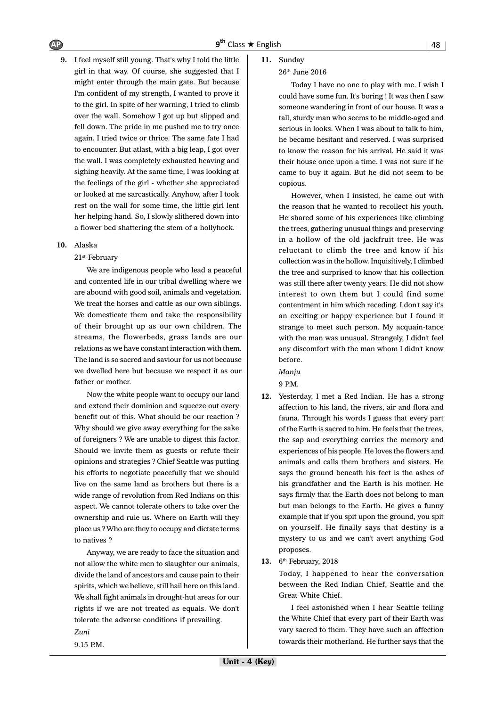**9.** I feel myself still young. That's why I told the little girl in that way. Of course, she suggested that I might enter through the main gate. But because I'm confident of my strength, I wanted to prove it to the girl. In spite of her warning, I tried to climb over the wall. Somehow I got up but slipped and fell down. The pride in me pushed me to try once again. I tried twice or thrice. The same fate I had to encounter. But atlast, with a big leap, I got over the wall. I was completely exhausted heaving and sighing heavily. At the same time, I was looking at the feelings of the girl - whether she appreciated or looked at me sarcastically. Anyhow, after I took rest on the wall for some time, the little girl lent her helping hand. So, I slowly slithered down into a flower bed shattering the stem of a hollyhock.

#### **10.** Alaska

#### 21st February

We are indigenous people who lead a peaceful and contented life in our tribal dwelling where we are abound with good soil, animals and vegetation. We treat the horses and cattle as our own siblings. We domesticate them and take the responsibility of their brought up as our own children. The streams, the flowerbeds, grass lands are our relations as we have constant interaction with them. The land is so sacred and saviour for us not because we dwelled here but because we respect it as our father or mother.

Now the white people want to occupy our land and extend their dominion and squeeze out every benefit out of this. What should be our reaction ? Why should we give away everything for the sake of foreigners ? We are unable to digest this factor. Should we invite them as guests or refute their opinions and strategies ? Chief Seattle was putting his efforts to negotiate peacefully that we should live on the same land as brothers but there is a wide range of revolution from Red Indians on this aspect. We cannot tolerate others to take over the ownership and rule us. Where on Earth will they place us ? Who are they to occupy and dictate terms to natives ?

Anyway, we are ready to face the situation and not allow the white men to slaughter our animals, divide the land of ancestors and cause pain to their spirits, which we believe, still hail here on this land. We shall fight animals in drought-hut areas for our rights if we are not treated as equals. We don't tolerate the adverse conditions if prevailing. *Zuni*

9.15 P.M.

#### **11.** Sunday

#### 26th June 2016

Today I have no one to play with me. I wish I could have some fun. It's boring ! It was then I saw someone wandering in front of our house. It was a tall, sturdy man who seems to be middle-aged and serious in looks. When I was about to talk to him, he became hesitant and reserved. I was surprised to know the reason for his arrival. He said it was their house once upon a time. I was not sure if he came to buy it again. But he did not seem to be copious.

However, when I insisted, he came out with the reason that he wanted to recollect his youth. He shared some of his experiences like climbing the trees, gathering unusual things and preserving in a hollow of the old jackfruit tree. He was reluctant to climb the tree and know if his collection was in the hollow. Inquisitively, I climbed the tree and surprised to know that his collection was still there after twenty years. He did not show interest to own them but I could find some contentment in him which receding. I don't say it's an exciting or happy experience but I found it strange to meet such person. My acquain-tance with the man was unusual. Strangely, I didn't feel any discomfort with the man whom I didn't know before.

*Manju*

9 P.M.

**12.** Yesterday, I met a Red Indian. He has a strong affection to his land, the rivers, air and flora and fauna. Through his words I guess that every part of the Earth is sacred to him. He feels that the trees, the sap and everything carries the memory and experiences of his people. He loves the flowers and animals and calls them brothers and sisters. He says the ground beneath his feet is the ashes of his grandfather and the Earth is his mother. He says firmly that the Earth does not belong to man but man belongs to the Earth. He gives a funny example that if you spit upon the ground, you spit on yourself. He finally says that destiny is a mystery to us and we can't avert anything God proposes.

#### **13.** 6th February, 2018

Today, I happened to hear the conversation between the Red Indian Chief, Seattle and the Great White Chief.

I feel astonished when I hear Seattle telling the White Chief that every part of their Earth was vary sacred to them. They have such an affection towards their motherland. He further says that the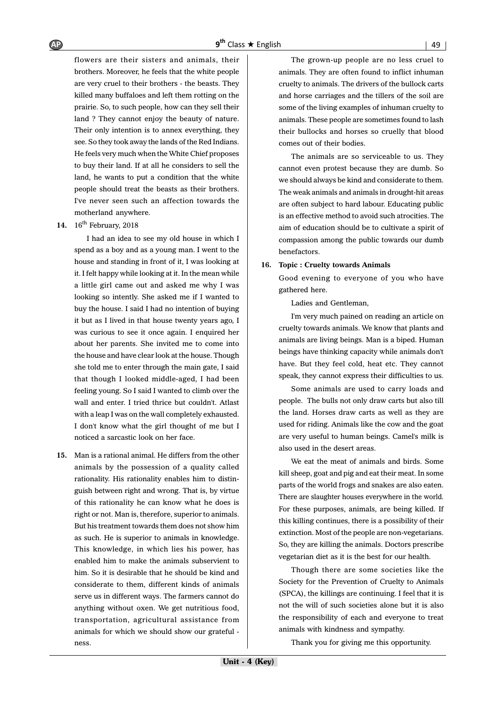flowers are their sisters and animals, their brothers. Moreover, he feels that the white people are very cruel to their brothers - the beasts. They killed many buffaloes and left them rotting on the prairie. So, to such people, how can they sell their land ? They cannot enjoy the beauty of nature. Their only intention is to annex everything, they see. So they took away the lands of the Red Indians. He feels very much when the White Chief proposes to buy their land. If at all he considers to sell the land, he wants to put a condition that the white people should treat the beasts as their brothers. I've never seen such an affection towards the motherland anywhere.

#### 14. 16<sup>th</sup> February, 2018

I had an idea to see my old house in which I spend as a boy and as a young man. I went to the house and standing in front of it, I was looking at it. I felt happy while looking at it. In the mean while a little girl came out and asked me why I was looking so intently. She asked me if I wanted to buy the house. I said I had no intention of buying it but as I lived in that house twenty years ago, I was curious to see it once again. I enquired her about her parents. She invited me to come into the house and have clear look at the house. Though she told me to enter through the main gate, I said that though I looked middle-aged, I had been feeling young. So I said I wanted to climb over the wall and enter. I tried thrice but couldn't. Atlast with a leap I was on the wall completely exhausted. I don't know what the girl thought of me but I noticed a sarcastic look on her face.

**15.** Man is a rational animal. He differs from the other animals by the possession of a quality called rationality. His rationality enables him to distinguish between right and wrong. That is, by virtue of this rationality he can know what he does is right or not. Man is, therefore, superior to animals. But his treatment towards them does not show him as such. He is superior to animals in knowledge. This knowledge, in which lies his power, has enabled him to make the animals subservient to him. So it is desirable that he should be kind and considerate to them, different kinds of animals serve us in different ways. The farmers cannot do anything without oxen. We get nutritious food, transportation, agricultural assistance from animals for which we should show our grateful ness.

The grown-up people are no less cruel to animals. They are often found to inflict inhuman cruelty to animals. The drivers of the bullock carts and horse carriages and the tillers of the soil are some of the living examples of inhuman cruelty to animals. These people are sometimes found to lash their bullocks and horses so cruelly that blood comes out of their bodies.

The animals are so serviceable to us. They cannot even protest because they are dumb. So we should always be kind and considerate to them. The weak animals and animals in drought-hit areas are often subject to hard labour. Educating public is an effective method to avoid such atrocities. The aim of education should be to cultivate a spirit of compassion among the public towards our dumb benefactors.

#### **16. Topic : Cruelty towards Animals**

Good evening to everyone of you who have gathered here.

Ladies and Gentleman,

I'm very much pained on reading an article on cruelty towards animals. We know that plants and animals are living beings. Man is a biped. Human beings have thinking capacity while animals don't have. But they feel cold, heat etc. They cannot speak, they cannot express their difficulties to us.

Some animals are used to carry loads and people. The bulls not only draw carts but also till the land. Horses draw carts as well as they are used for riding. Animals like the cow and the goat are very useful to human beings. Camel's milk is also used in the desert areas.

We eat the meat of animals and birds. Some kill sheep, goat and pig and eat their meat. In some parts of the world frogs and snakes are also eaten. There are slaughter houses everywhere in the world. For these purposes, animals, are being killed. If this killing continues, there is a possibility of their extinction. Most of the people are non-vegetarians. So, they are killing the animals. Doctors prescribe vegetarian diet as it is the best for our health.

Though there are some societies like the Society for the Prevention of Cruelty to Animals (SPCA), the killings are continuing. I feel that it is not the will of such societies alone but it is also the responsibility of each and everyone to treat animals with kindness and sympathy.

Thank you for giving me this opportunity.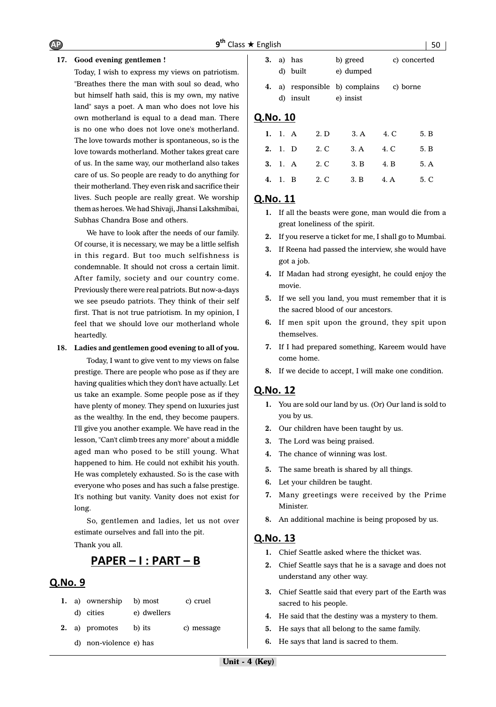#### **17. Good evening gentlemen !**

Today, I wish to express my views on patriotism. "Breathes there the man with soul so dead, who but himself hath said, this is my own, my native land" says a poet. A man who does not love his own motherland is equal to a dead man. There is no one who does not love one's motherland. The love towards mother is spontaneous, so is the love towards motherland. Mother takes great care of us. In the same way, our motherland also takes care of us. So people are ready to do anything for their motherland. They even risk and sacrifice their lives. Such people are really great. We worship themas heroes. We had Shivaji, Jhansi Lakshmibai, Subhas Chandra Bose and others.

We have to look after the needs of our family. Of course, it is necessary, we may be a little selfish in this regard. But too much selfishness is condemnable. It should not cross a certain limit. After family, society and our country come. Previously there were real patriots. But now-a-days we see pseudo patriots. They think of their self first. That is not true patriotism. In my opinion, I feel that we should love our motherland whole heartedly.

#### **18. Ladies and gentlemen good evening to all of you.**

Today, I want to give vent to my views on false prestige. There are people who pose as if they are having qualities which they don't have actually. Let us take an example. Some people pose as if they have plenty of money. They spend on luxuries just as the wealthy. In the end, they become paupers. I'll give you another example. We have read in the lesson, "Can't climb trees any more" about a middle aged man who posed to be still young. What happened to him. He could not exhibit his youth. He was completely exhausted. So is the case with everyone who poses and has such a false prestige. It's nothing but vanity. Vanity does not exist for long.

So, gentlemen and ladies, let us not over estimate ourselves and fall into the pit.

Thank you all.

# <u> PAPER – I : PART – B</u>

### Q.No. 9

- **1.** a) ownership b) most c) cruel d) cities e) dwellers
- **2.** a) promotes b) its c) message
	- d) non-violence e) has

|  | $3. a)$ has<br>d) built | b) greed<br>e) dumped                       | c) concerted |
|--|-------------------------|---------------------------------------------|--------------|
|  | d) insult               | 4. a) responsible b) complains<br>e) insist | c) borne     |

# Q.No. 10

|  |  | 1. 1. A 2. D 3. A 4. C 5. B        |  |
|--|--|------------------------------------|--|
|  |  | 2. 1. D 2. C 3. A 4. C 5. B        |  |
|  |  | <b>3.</b> 1. A 2. C 3. B 4. B 5. A |  |
|  |  | 4. 1. B 2. C 3. B 4. A 5. C        |  |

# Q.No. 11

- **1.** If all the beasts were gone, man would die from a great loneliness of the spirit.
- **2.** If you reserve a ticket for me, I shall go to Mumbai.
- **3.** If Reena had passed the interview, she would have got a job.
- **4.** If Madan had strong eyesight, he could enjoy the movie.
- **5.** If we sell you land, you must remember that it is the sacred blood of our ancestors.
- **6.** If men spit upon the ground, they spit upon themselves.
- **7.** If I had prepared something, Kareem would have come home.
- **8.** If we decide to accept, I will make one condition.

# Q.No. 12

- **1.** You are sold our land by us. (Or) Our land is sold to you by us.
- **2.** Our children have been taught by us.
- **3.** The Lord was being praised.
- **4.** The chance of winning was lost.
- **5.** The same breath is shared by all things.
- **6.** Let your children be taught.
- **7.** Many greetings were received by the Prime Minister.
- **8.** An additional machine is being proposed by us.

- **1.** Chief Seattle asked where the thicket was.
- **2.** Chief Seattle says that he is a savage and does not understand any other way.
- **3.** Chief Seattle said that every part of the Earth was sacred to his people.
- **4.** He said that the destiny was a mystery to them.
- **5.** He says that all belong to the same family.
- **6.** He says that land is sacred to them.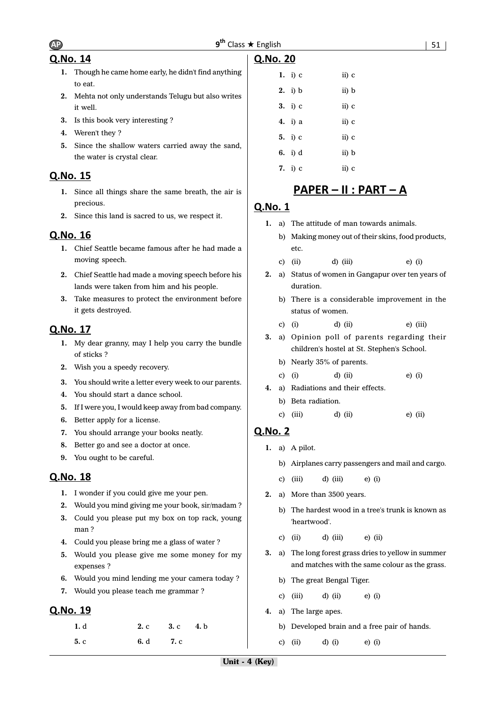# Q.No. 14

- **1.** Though he came home early, he didn't find anything to eat.
- **2.** Mehta not only understands Telugu but also writes it well.
- **3.** Is this book very interesting ?
- **4.** Weren't they ?
- **5.** Since the shallow waters carried away the sand, the water is crystal clear.

# Q.No. 15

- **1.** Since all things share the same breath, the air is precious.
- **2.** Since this land is sacred to us, we respect it.

# Q.No. 16

- **1.** Chief Seattle became famous after he had made a moving speech.
- **2.** Chief Seattle had made a moving speech before his lands were taken from him and his people.
- **3.** Take measures to protect the environment before it gets destroyed.

# Q.No. 17

- **1.** My dear granny, may I help you carry the bundle of sticks ?
- **2.** Wish you a speedy recovery.
- **3.** You should write a letter every week to our parents.
- **4.** You should start a dance school.
- **5.** If I were you, I would keep away from bad company.
- **6.** Better apply for a license.
- **7.** You should arrange your books neatly.
- **8.** Better go and see a doctor at once.
- **9.** You ought to be careful.

# Q.No. 18

- **1.** I wonder if you could give me your pen.
- **2.** Would you mind giving me your book, sir/madam ?
- **3.** Could you please put my box on top rack, young man ?
- **4.** Could you please bring me a glass of water ?
- **5.** Would you please give me some money for my expenses ?
- **6.** Would you mind lending me your camera today ?
- **7.** Would you please teach me grammar ?

# Q.No. 19

| 1. d |      | 2. c 3. c 4. b |  |
|------|------|----------------|--|
| 5c   | 6. d | <b>7.</b> c    |  |

| 1. i) $c$ | ii) c |
|-----------|-------|
| $2.$ i) b | ii) b |
| 3. i) c   | ii) c |
| 4. i) a   | ii) c |
| 5. i) $c$ | ii) c |
| 6. i) d   | ii) b |
| 7. i) $c$ | ii) c |

# <u> PAPER – II : PART – A</u>

# Q.No. 1

Q.No. 20

- **1.** a) The attitude of man towards animals.
	- b) Making money out of their skins, food products, etc.
	- c) (ii)  $d)$  (iii)  $e)$  (i)
- **2.** a) Status of women in Gangapur over ten years of duration.
	- b) There is a considerable improvement in the status of women.
	- c) (i) d) (ii) e) (iii)
- **3.** a) Opinion poll of parents regarding their children's hostel at St. Stephen's School.
	- b) Nearly 35% of parents.
	- c) (i) d) (ii) e) (i)
- **4.** a) Radiations and their effects.
	- b) Beta radiation.
	- c) (iii)  $d$ ) (ii)  $e$ ) (ii)

- **1.** a) A pilot.
	- b) Airplanes carry passengers and mail and cargo.
	- c) (iii)  $d$ ) (iii)  $e$ ) (i)
- **2.** a) More than 3500 years.
	- b) The hardest wood in a tree's trunk is known as 'heartwood'.
	- c) (ii)  $d$ ) (iii)  $e$ ) (ii)
- **3.** a) The long forest grass dries to yellow in summer and matches with the same colour as the grass.
	- b) The great Bengal Tiger.
	- c) (iii) d) (ii) e) (i)
- **4.** a) The large apes.
	- b) Developed brain and a free pair of hands.
	- c) (ii) d) (i) e) (i)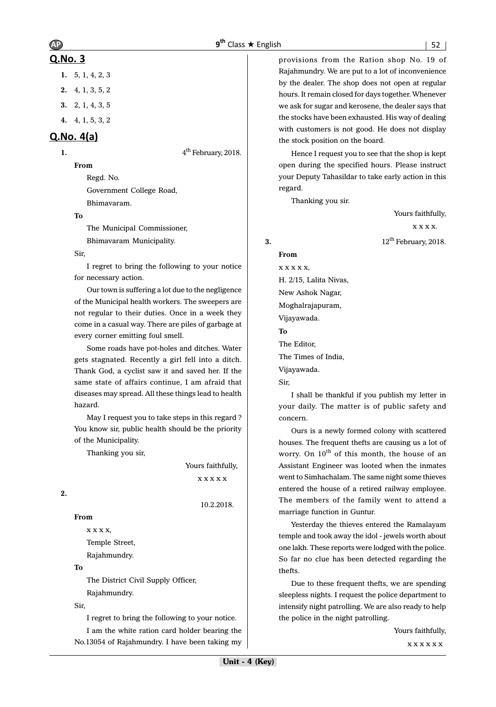# $AP$   $9<sup>th</sup>$

# Q.No. 3

- **1.** 5, 1, 4, 2, 3
- **2.** 4, 1, 3, 5, 2
- **3.** 2, 1, 4, 3, 5
- **4.** 4, 1, 5, 3, 2

# $Q.No. 4(a)$

**1.**  $4^{\text{th}}$  February, 2018.

**From**

Regd. No. Government College Road, Bhimavaram.

#### **To**

The Municipal Commissioner, Bhimavaram Municipality.

#### Sir,

I regret to bring the following to your notice for necessary action.

Our town is suffering a lot due to the negligence of the Municipal health workers. The sweepers are not regular to their duties. Once in a week they come in a casual way. There are piles of garbage at every corner emitting foul smell.

Some roads have pot-holes and ditches. Water gets stagnated. Recently a girl fell into a ditch. Thank God, a cyclist saw it and saved her. If the same state of affairs continue, I am afraid that diseases may spread. All these things lead to health hazard.

May I request you to take steps in this regard ? You know sir, public health should be the priority of the Municipality.

Thanking you sir,

 Yours faithfully, x x x x x

10.2.2018.

**2.**

**From**

x x x x, Temple Street, Rajahmundry.

#### **To**

The District Civil Supply Officer, Rajahmundry.

#### Sir,

I regret to bring the following to your notice.

I am the white ration card holder bearing the No.13054 of Rajahmundry. I have been taking my

provisions from the Ration shop No. 19 of Rajahmundry. We are put to a lot of inconvenience by the dealer. The shop does not open at regular hours. It remain closed for days together. Whenever we ask for sugar and kerosene, the dealer says that the stocks have been exhausted. His way of dealing with customers is not good. He does not display the stock position on the board.

Hence I request you to see that the shop is kept open during the specified hours. Please instruct your Deputy Tahasildar to take early action in this regard.

Thanking you sir.

Yours faithfully, x x x x. **3.** 12<sup>th</sup> February, 2018.

**From** x x x x x, H. 2/15, Lalita Nivas, New Ashok Nagar, Moghalrajapuram, Vijayawada. **To** The Editor, The Times of India, Vijayawada. Sir,

I shall be thankful if you publish my letter in your daily. The matter is of public safety and concern.

Ours is a newly formed colony with scattered houses. The frequent thefts are causing us a lot of worry. On  $10^{th}$  of this month, the house of an Assistant Engineer was looted when the inmates went to Simhachalam. The same night some thieves entered the house of a retired railway employee. The members of the family went to attend a marriage function in Guntur.

Yesterday the thieves entered the Ramalayam temple and took away the idol - jewels worth about one lakh. These reports were lodged with the police. So far no clue has been detected regarding the thefts.

Due to these frequent thefts, we are spending sleepless nights. I request the police department to intensify night patrolling. We are also ready to help the police in the night patrolling.

> Yours faithfully, x x x x x x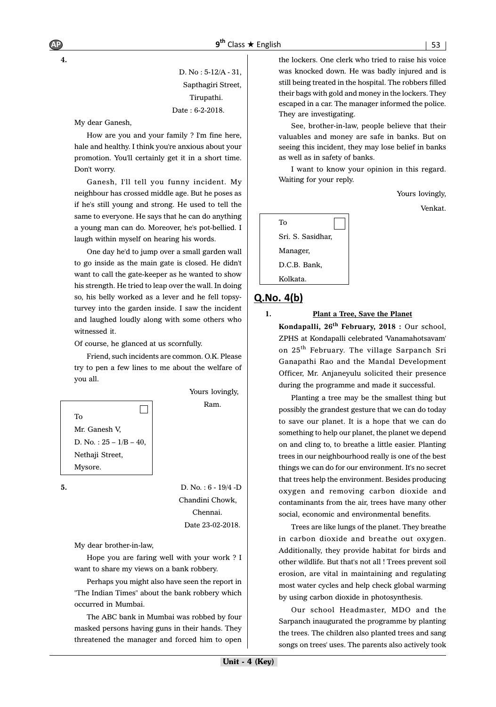D. No : 5-12/A - 31, Sapthagiri Street, Tirupathi. Date : 6-2-2018.

My dear Ganesh,

**4.**

How are you and your family ? I'm fine here, hale and healthy. I think you're anxious about your promotion. You'll certainly get it in a short time. Don't worry.

Ganesh, I'll tell you funny incident. My neighbour has crossed middle age. But he poses as if he's still young and strong. He used to tell the same to everyone. He says that he can do anything a young man can do. Moreover, he's pot-bellied. I laugh within myself on hearing his words.

One day he'd to jump over a small garden wall to go inside as the main gate is closed. He didn't want to call the gate-keeper as he wanted to show his strength. He tried to leap over the wall. In doing so, his belly worked as a lever and he fell topsyturvey into the garden inside. I saw the incident and laughed loudly along with some others who witnessed it.

Of course, he glanced at us scornfully.

Friend, such incidents are common. O.K. Please try to pen a few lines to me about the welfare of you all.



 Chandini Chowk, Chennai. Date 23-02-2018.

My dear brother-in-law,

Hope you are faring well with your work ? I want to share my views on a bank robbery.

Perhaps you might also have seen the report in "The Indian Times" about the bank robbery which occurred in Mumbai.

The ABC bank in Mumbai was robbed by four masked persons having guns in their hands. They threatened the manager and forced him to open the lockers. One clerk who tried to raise his voice was knocked down. He was badly injured and is still being treated in the hospital. The robbers filled their bags with gold and money in the lockers. They escaped in a car. The manager informed the police. They are investigating.

See, brother-in-law, people believe that their valuables and money are safe in banks. But on seeing this incident, they may lose belief in banks as well as in safety of banks.

I want to know your opinion in this regard. Waiting for your reply.

Yours lovingly,

Venkat.

| To                |
|-------------------|
| Sri. S. Sasidhar, |
| Manager,          |
| D.C.B. Bank,      |
| Kolkata.          |

# $Q.No. 4(b)$

#### **1. Plant a Tree, Save the Planet**

**Kondapalli, 26th February, 2018 :** Our school, ZPHS at Kondapalli celebrated 'Vanamahotsavam' on 25<sup>th</sup> February. The village Sarpanch Sri Ganapathi Rao and the Mandal Development Officer, Mr. Anjaneyulu solicited their presence during the programme and made it successful.

Planting a tree may be the smallest thing but possibly the grandest gesture that we can do today to save our planet. It is a hope that we can do something to help our planet, the planet we depend on and cling to, to breathe a little easier. Planting trees in our neighbourhood really is one of the best things we can do for our environment. It's no secret that trees help the environment. Besides producing oxygen and removing carbon dioxide and contaminants from the air, trees have many other social, economic and environmental benefits.

Trees are like lungs of the planet. They breathe in carbon dioxide and breathe out oxygen. Additionally, they provide habitat for birds and other wildlife. But that's not all ! Trees prevent soil erosion, are vital in maintaining and regulating most water cycles and help check global warming by using carbon dioxide in photosynthesis.

Our school Headmaster, MDO and the Sarpanch inaugurated the programme by planting the trees. The children also planted trees and sang songs on trees' uses. The parents also actively took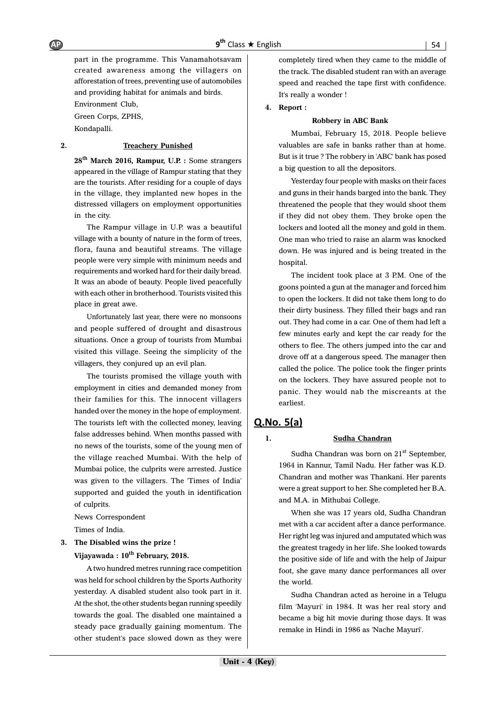part in the programme. This Vanamahotsavam created awareness among the villagers on afforestation of trees, preventing use of automobiles and providing habitat for animals and birds.

Environment Club, Green Corps, ZPHS, Kondapalli.

#### **2. Treachery Punished**

**28th March 2016, Rampur, U.P. :** Some strangers appeared in the village of Rampur stating that they are the tourists. After residing for a couple of days in the village, they implanted new hopes in the distressed villagers on employment opportunities in the city.

The Rampur village in U.P. was a beautiful village with a bounty of nature in the form of trees, flora, fauna and beautiful streams. The village people were very simple with minimum needs and requirements and worked hard for their daily bread. It was an abode of beauty. People lived peacefully with each other in brotherhood. Tourists visited this place in great awe.

Unfortunately last year, there were no monsoons and people suffered of drought and disastrous situations. Once a group of tourists from Mumbai visited this village. Seeing the simplicity of the villagers, they conjured up an evil plan.

The tourists promised the village youth with employment in cities and demanded money from their families for this. The innocent villagers handed over the money in the hope of employment. The tourists left with the collected money, leaving false addresses behind. When months passed with no news of the tourists, some of the young men of the village reached Mumbai. With the help of Mumbai police, the culprits were arrested. Justice was given to the villagers. The 'Times of India' supported and guided the youth in identification of culprits.

News Correspondent

Times of India.

### **3. The Disabled wins the prize !** Vijayawada :  $10^{th}$  February, 2018.

A two hundred metres running race competition was held for school children by the Sports Authority yesterday. A disabled student also took part in it. At the shot, the other students began running speedily towards the goal. The disabled one maintained a steady pace gradually gaining momentum. The other student's pace slowed down as they were

completely tired when they came to the middle of the track. The disabled student ran with an average speed and reached the tape first with confidence. It's really a wonder !

#### **4. Report :**

#### **Robbery in ABC Bank**

Mumbai, February 15, 2018. People believe valuables are safe in banks rather than at home. But is it true ? The robbery in 'ABC' bank has posed a big question to all the depositors.

Yesterday four people with masks on their faces and guns in their hands barged into the bank. They threatened the people that they would shoot them if they did not obey them. They broke open the lockers and looted all the money and gold in them. One man who tried to raise an alarm was knocked down. He was injured and is being treated in the hospital.

The incident took place at 3 P.M. One of the goons pointed a gun at the manager and forced him to open the lockers. It did not take them long to do their dirty business. They filled their bags and ran out. They had come in a car. One of them had left a few minutes early and kept the car ready for the others to flee. The others jumped into the car and drove off at a dangerous speed. The manager then called the police. The police took the finger prints on the lockers. They have assured people not to panic. They would nab the miscreants at the earliest.

# $Q.No. 5(a)$

#### **1. Sudha Chandran**

Sudha Chandran was born on  $21<sup>st</sup>$  September, 1964 in Kannur, Tamil Nadu. Her father was K.D. Chandran and mother was Thankani. Her parents were a great support to her. She completed her B.A. and M.A. in Mithubai College.

When she was 17 years old, Sudha Chandran met with a car accident after a dance performance. Her right leg was injured and amputated which was the greatest tragedy in her life. She looked towards the positive side of life and with the help of Jaipur foot, she gave many dance performances all over the world.

Sudha Chandran acted as heroine in a Telugu film 'Mayuri' in 1984. It was her real story and became a big hit movie during those days. It was remake in Hindi in 1986 as 'Nache Mayuri'.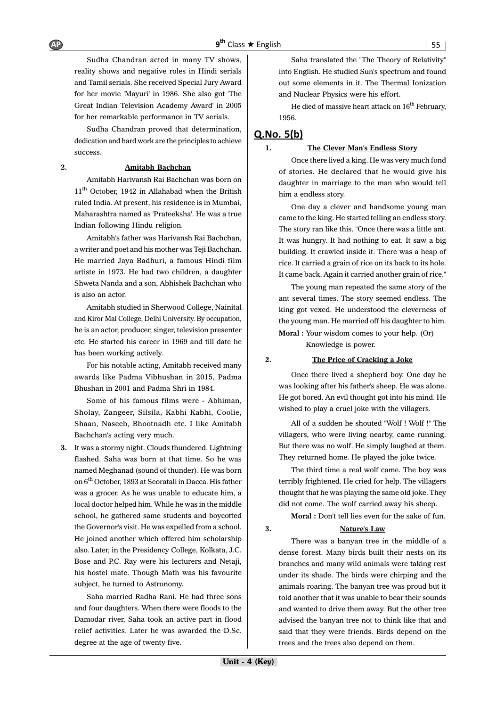Sudha Chandran acted in many TV shows, reality shows and negative roles in Hindi serials and Tamil serials. She received Special Jury Award for her movie 'Mayuri' in 1986. She also got 'The Great Indian Television Academy Award' in 2005 for her remarkable performance in TV serials.

Sudha Chandran proved that determination, dedication and hard work are the principles to achieve success.

#### **2. Amitabh Bachchan**

Amitabh Harivansh Rai Bachchan was born on 11<sup>th</sup> October, 1942 in Allahabad when the British ruled India. At present, his residence is in Mumbai, Maharashtra named as 'Prateeksha'. He was a true Indian following Hindu religion.

Amitabh's father was Harivansh Rai Bachchan, a writer and poet and his mother was Teji Bachchan. He married Jaya Badhuri, a famous Hindi film artiste in 1973. He had two children, a daughter Shweta Nanda and a son, Abhishek Bachchan who is also an actor.

Amitabh studied in Sherwood College, Nainital and Kiror Mal College, Delhi University. By occupation, he is an actor, producer, singer, television presenter etc. He started his career in 1969 and till date he has been working actively.

For his notable acting, Amitabh received many awards like Padma Vibhushan in 2015, Padma Bhushan in 2001 and Padma Shri in 1984.

Some of his famous films were - Abhiman, Sholay, Zangeer, Silsila, Kabhi Kabhi, Coolie, Shaan, Naseeb, Bhootnadh etc. I like Amitabh Bachchan's acting very much.

**3.** It was a stormy night. Clouds thundered. Lightning flashed. Saha was born at that time. So he was named Meghanad (sound of thunder). He was born on 6<sup>th</sup> October, 1893 at Seoratali in Dacca. His father was a grocer. As he was unable to educate him, a local doctor helped him. While he was in the middle school, he gathered same students and boycotted the Governor's visit. He was expelled from a school. He joined another which offered him scholarship also. Later, in the Presidency College, Kolkata, J.C. Bose and P.C. Ray were his lecturers and Netaji, his hostel mate. Though Math was his favourite subject, he turned to Astronomy.

Saha married Radha Rani. He had three sons and four daughters. When there were floods to the Damodar river, Saha took an active part in flood relief activities. Later he was awarded the D.Sc. degree at the age of twenty five.

Saha translated the "The Theory of Relativity" into English. He studied Sun's spectrum and found out some elements in it. The Thermal Ionization and Nuclear Physics were his effort.

He died of massive heart attack on  $16^{th}$  February, 1956.

## $Q.No. 5(b)$

#### **1. The Clever Man's Endless Story**

Once there lived a king. He was very much fond of stories. He declared that he would give his daughter in marriage to the man who would tell him a endless story.

One day a clever and handsome young man came to the king. He started telling an endless story. The story ran like this. "Once there was a little ant. It was hungry. It had nothing to eat. It saw a big building. It crawled inside it. There was a heap of rice. It carried a grain of rice on its back to its hole. It came back. Again it carried another grain of rice."

The young man repeated the same story of the ant several times. The story seemed endless. The king got vexed. He understood the cleverness of the young man. He married off his daughter to him.

**Moral :** Your wisdom comes to your help. (Or) Knowledge is power.

#### **2. The Price of Cracking a Joke**

Once there lived a shepherd boy. One day he was looking after his father's sheep. He was alone. He got bored. An evil thought got into his mind. He wished to play a cruel joke with the villagers.

All of a sudden he shouted "Wolf ! Wolf !" The villagers, who were living nearby, came running. But there was no wolf. He simply laughed at them. They returned home. He played the joke twice.

The third time a real wolf came. The boy was terribly frightened. He cried for help. The villagers thought that he was playing the same old joke. They did not come. The wolf carried away his sheep.

**Moral :** Don't tell lies even for the sake of fun.

#### **3. Nature's Law**

There was a banyan tree in the middle of a dense forest. Many birds built their nests on its branches and many wild animals were taking rest under its shade. The birds were chirping and the animals roaring. The banyan tree was proud but it told another that it was unable to bear their sounds and wanted to drive them away. But the other tree advised the banyan tree not to think like that and said that they were friends. Birds depend on the trees and the trees also depend on them.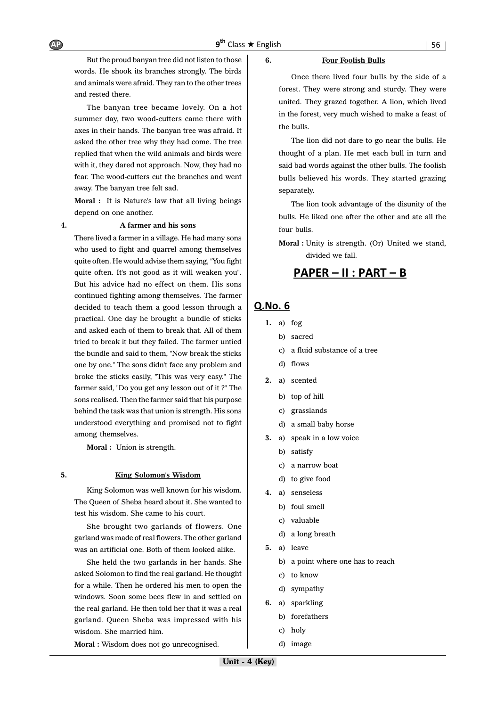## But the proud banyan tree did not listen to those words. He shook its branches strongly. The birds and animals were afraid. They ran to the other trees and rested there.

The banyan tree became lovely. On a hot summer day, two wood-cutters came there with axes in their hands. The banyan tree was afraid. It asked the other tree why they had come. The tree replied that when the wild animals and birds were with it, they dared not approach. Now, they had no fear. The wood-cutters cut the branches and went away. The banyan tree felt sad.

**Moral :** It is Nature's law that all living beings depend on one another.

#### **4. A farmer and his sons**

There lived a farmer in a village. He had many sons who used to fight and quarrel among themselves quite often. He would advise them saying, "You fight quite often. It's not good as it will weaken you". But his advice had no effect on them. His sons continued fighting among themselves. The farmer decided to teach them a good lesson through a practical. One day he brought a bundle of sticks and asked each of them to break that. All of them tried to break it but they failed. The farmer untied the bundle and said to them, "Now break the sticks one by one." The sons didn't face any problem and broke the sticks easily, "This was very easy." The farmer said, "Do you get any lesson out of it ?" The sons realised. Then the farmer said that his purpose behind the task was that union is strength. His sons understood everything and promised not to fight among themselves.

**Moral :** Union is strength.

#### **5. King Solomon's Wisdom**

King Solomon was well known for his wisdom. The Queen of Sheba heard about it. She wanted to test his wisdom. She came to his court.

She brought two garlands of flowers. One garland was made of real flowers. The other garland was an artificial one. Both of them looked alike.

She held the two garlands in her hands. She asked Solomon to find the real garland. He thought for a while. Then he ordered his men to open the windows. Soon some bees flew in and settled on the real garland. He then told her that it was a real garland. Queen Sheba was impressed with his wisdom. She married him.

**Moral :** Wisdom does not go unrecognised.

#### **6. Four Foolish Bulls**

Once there lived four bulls by the side of a forest. They were strong and sturdy. They were united. They grazed together. A lion, which lived in the forest, very much wished to make a feast of the bulls.

The lion did not dare to go near the bulls. He thought of a plan. He met each bull in turn and said bad words against the other bulls. The foolish bulls believed his words. They started grazing separately.

The lion took advantage of the disunity of the bulls. He liked one after the other and ate all the four bulls.

**Moral :** Unity is strength. (Or) United we stand, divided we fall.

# <u> PAPER – II : PART – B</u>

## Q.No. 6

- **1.** a) fog
	- b) sacred
	- c) a fluid substance of a tree
	- d) flows
- **2.** a) scented
	- b) top of hill
	- c) grasslands
	- d) a small baby horse
- **3.** a) speak in a low voice
	- b) satisfy
	- c) a narrow boat
	- d) to give food
- **4.** a) senseless
	- b) foul smell
	- c) valuable
	- d) a long breath
- **5.** a) leave
	- b) a point where one has to reach
	- c) to know
	- d) sympathy
- **6.** a) sparkling
	- b) forefathers
	- c) holy
	- d) image

 $AP$   $9<sup>th</sup>$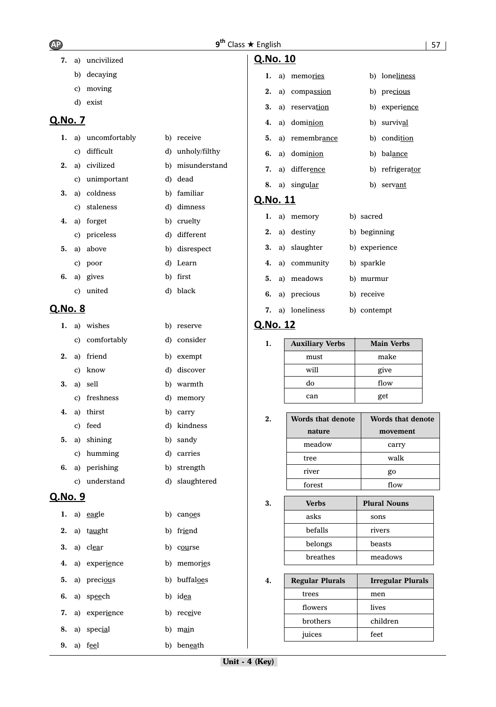**7.** a) uncivilized

|                |    | b) decaying      |    |                  | ı.              |    | a) memories             |
|----------------|----|------------------|----|------------------|-----------------|----|-------------------------|
|                | C) | moving           |    |                  | 2.              | a) | compassion              |
|                |    | d) exist         |    |                  | 3.              |    | a) reservation          |
| <u>Q.No. 7</u> |    |                  |    |                  | 4.              |    | a) dominion             |
| ı.             |    | a) uncomfortably |    | b) receive       | 5.              |    | a) remembrance          |
|                | C) | difficult        |    | d) unholy/filthy | 6.              |    | a) dominion             |
| 2.             | a) | civilized        |    | b) misunderstand |                 |    |                         |
|                | C) | unimportant      |    | d) dead          | 7.              | a) | difference              |
| 3.             | a) | coldness         |    | b) familiar      | 8.              |    | a) singular             |
|                | C) | staleness        |    | d) dimness       | <u>Q.No. 11</u> |    |                         |
| 4.             | a) | forget           |    | b) cruelty       | ı.              |    | a) memory               |
|                | C) | priceless        |    | d) different     | 2.              |    | a) destiny              |
| 5.             | a) | above            |    | b) disrespect    | 3.              | a) | slaughter               |
|                | C) | poor             |    | d) Learn         | 4.              | a) | community               |
| 6.             | a) | gives            |    | b) first         | 5.              |    | a) meadows              |
|                | C) | united           |    | d) black         | 6.              |    | a) precious             |
| <u>Q.No. 8</u> |    |                  |    |                  | 7.              |    | a) loneliness           |
| 1.             |    | a) wishes        |    | b) reserve       | Q.No. 12        |    |                         |
|                | C) | comfortably      | d) | consider         | 1.              |    | <b>Auxiliary Ver</b>    |
| 2.             | a) | friend           |    | b) exempt        |                 |    | must                    |
|                | C) | know             | d) | discover         |                 |    | will                    |
| 3.             | a) | sell             |    | b) warmth        |                 |    | do                      |
|                | C) | freshness        |    | d) memory        |                 |    | can                     |
| 4.             | a) | thirst           |    | b) carry         |                 |    |                         |
|                | C) | feed             |    | d) kindness      | 2.              |    | Words that do<br>nature |
| 5.             | a) | shining          |    | b) sandy         |                 |    | meadow                  |
|                | C) | humming          |    | d) carries       |                 |    | tree                    |
| 6.             |    | a) perishing     |    | b) strength      |                 |    | river                   |
|                | c) | understand       |    | d) slaughtered   |                 |    | forest                  |
| Q.No. 9        |    |                  |    |                  | 3.              |    | <b>Verbs</b>            |
| 1.             |    | a) eagle         |    | b) canoes        |                 |    | asks                    |
| 2.             |    | a) taught        |    | b) friend        |                 |    | befalls                 |
| 3.             |    | a) clear         |    | b) course        |                 |    | belongs                 |
| 4.             |    | a) experience    |    | b) memories      |                 |    | breathes                |
| 5.             |    | a) precious      |    | b) buffaloes     | 4.              |    | <b>Regular Plura</b>    |
| 6.             |    | a) speech        |    | b) idea          |                 |    | trees                   |
| 7.             |    | a) experience    |    | b) receive       |                 |    | flowers                 |
|                |    |                  |    |                  |                 |    | brothers                |
| 8.             |    | a) special       |    | b) main          |                 |    | juices                  |
| 9.             |    | a) feel          |    | b) beneath       |                 |    |                         |

Q.No. 10

|  | 1. a) memories         | b) loneliness   |
|--|------------------------|-----------------|
|  | 2. a) compassion       | b) precious     |
|  | 3. a) reservation      | b) experience   |
|  | 4. a) domi <u>nion</u> | b) survival     |
|  | 5. a) remembrance      | b) condition    |
|  | 6. a) domi <u>nion</u> | b) balance      |
|  | 7. a) difference       | b) refrigerator |
|  |                        |                 |

# **b**) serv<u>ant</u>

|  | 1. a) memory     | b) sacred     |
|--|------------------|---------------|
|  | 2. a) destiny    | b) beginning  |
|  | 3. a) slaughter  | b) experience |
|  | 4. a) community  | b) sparkle    |
|  | 5. a) meadows    | b) murmur     |
|  | 6. a) precious   | b) receive    |
|  | 7. a) loneliness | b) contempt   |

| <b>Auxiliary Verbs</b> | <b>Main Verbs</b> |
|------------------------|-------------------|
| must                   | make              |
| will                   | give              |
| do                     | flow              |
| can                    | get               |

| $\mathbf 2$ | Words that denote<br>nature | Words that denote<br>movement |
|-------------|-----------------------------|-------------------------------|
|             |                             |                               |
|             | meadow                      | carry                         |
|             | tree                        | walk                          |
|             | river                       | go                            |
|             | forest                      | flow                          |

| 3. | <b>Verbs</b> | <b>Plural Nouns</b> |
|----|--------------|---------------------|
|    | asks         | sons                |
|    | befalls      | rivers              |
|    | belongs      | beasts              |
|    | breathes     | meadows             |

| 4. | <b>Regular Plurals</b> | <b>Irregular Plurals</b> |
|----|------------------------|--------------------------|
|    | trees                  | men                      |
|    | flowers                | lives                    |
|    | brothers               | children                 |
|    | juices                 | feet                     |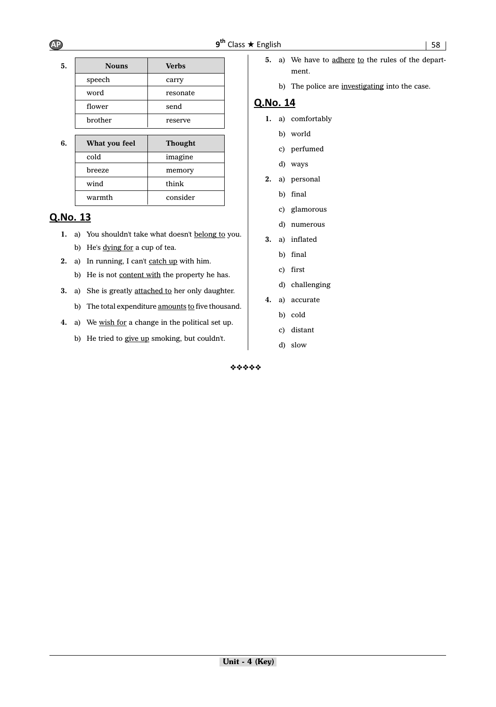| sh | 58 |  |
|----|----|--|
|    |    |  |

| <b>Nouns</b>  | <b>Verbs</b>   |
|---------------|----------------|
| speech        | carry          |
| word          | resonate       |
| flower        | send           |
| brother       | reserve        |
|               |                |
| What you feel | <b>Thought</b> |
| cold          | imagine        |
| breeze        | memory         |
| wind          | think          |
|               |                |
|               |                |

# Q.No. 13

- **1.** a) You shouldn't take what doesn't belong to you. b) He's dying for a cup of tea.
- 2. a) In running, I can't catch up with him. b) He is not content with the property he has.
- **3.** a) She is greatly attached to her only daughter.
	- b) The total expenditure amounts to five thousand.
- **4.** a) We wish for a change in the political set up.
	- b) He tried to give up smoking, but couldn't.
- 5. a) We have to adhere to the rules of the department.
	- b) The police are investigating into the case.

# Q.No. 14

- **1.** a) comfortably
	- b) world
	- c) perfumed
	- d) ways
- **2.** a) personal
	- b) final
	- c) glamorous
	- d) numerous
- **3.** a) inflated
	- b) final
	- c) first
	- d) challenging
- **4.** a) accurate
	- b) cold
	- c) distant
	- d) slow

❖❖❖❖❖

 $AP$   $9<sup>th</sup>$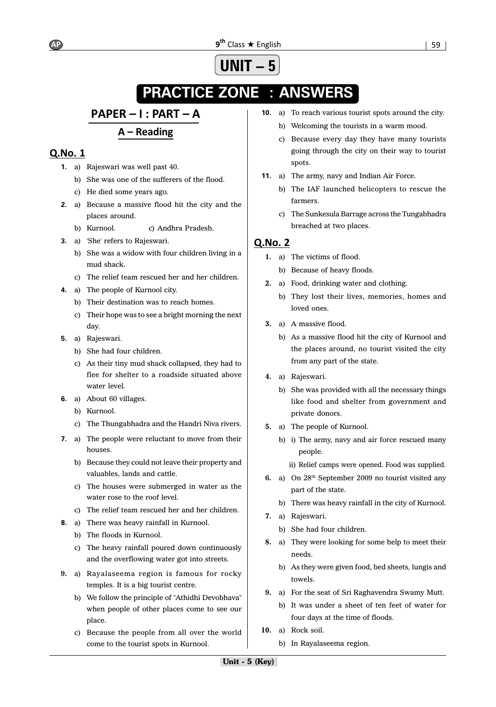#### **9<sup>th</sup> Class ★ English**  $\qquad$  **| 59** AP 9<sup>th</sup>

# **UNIT – 5**

# **PRACTICE ZONE : ANSWERS**

# PAPER - I : PART - A

# $A - Reading$

# Q.No. 1

- **1.** a) Rajeswari was well past 40.
	- b) She was one of the sufferers of the flood.
	- c) He died some years ago.
- **2.** a) Because a massive flood hit the city and the places around.
	- b) Kurnool. c) Andhra Pradesh.
- **3.** a) 'She' refers to Rajeswari.
	- b) She was a widow with four children living in a mud shack.
	- c) The relief team rescued her and her children.
- **4.** a) The people of Kurnool city.
	- b) Their destination was to reach homes.
	- c) Their hope was to see a bright morning the next day.
- **5.** a) Rajeswari.
	- b) She had four children.
	- c) As their tiny mud shack collapsed, they had to flee for shelter to a roadside situated above water level.
- **6.** a) About 60 villages.
	- b) Kurnool.
	- c) The Thungabhadra and the Handri Niva rivers.
- **7.** a) The people were reluctant to move from their houses.
	- b) Because they could not leave their property and valuables, lands and cattle.
	- c) The houses were submerged in water as the water rose to the roof level.
	- c) The relief team rescued her and her children.
- **8.** a) There was heavy rainfall in Kurnool.
	- b) The floods in Kurnool.
	- c) The heavy rainfall poured down continuously and the overflowing water got into streets.
- **9.** a) Rayalaseema region is famous for rocky temples. It is a big tourist centre.
	- b) We follow the principle of "Athidhi Devobhava" when people of other places come to see our place.
	- c) Because the people from all over the world come to the tourist spots in Kurnool.
- **10.** a) To reach various tourist spots around the city.
	- b) Welcoming the tourists in a warm mood.
	- c) Because every day they have many tourists going through the city on their way to tourist spots.
- **11.** a) The army, navy and Indian Air Force.
	- b) The IAF launched helicopters to rescue the farmers.
	- c) The Sunkesula Barrage across the Tungabhadra breached at two places.

- **1.** a) The victims of flood.
	- b) Because of heavy floods.
- **2.** a) Food, drinking water and clothing.
	- b) They lost their lives, memories, homes and loved ones.
- **3.** a) A massive flood.
	- b) As a massive flood hit the city of Kurnool and the places around, no tourist visited the city from any part of the state.
- **4.** a) Rajeswari.
	- b) She was provided with all the necessary things like food and shelter from government and private donors.
- **5.** a) The people of Kurnool.
	- b) i) The army, navy and air force rescued many people.
		- ii) Relief camps were opened. Food was supplied.
- **6.** a) On 28th September 2009 no tourist visited any part of the state.
	- b) There was heavy rainfall in the city of Kurnool.
- **7.** a) Rajeswari.
	- b) She had four children.
- **8.** a) They were looking for some help to meet their needs.
	- b) As they were given food, bed sheets, lungis and towels.
- **9.** a) For the seat of Sri Raghavendra Swamy Mutt.
	- b) It was under a sheet of ten feet of water for four days at the time of floods.
- **10.** a) Rock soil.
	- b) In Rayalaseema region.

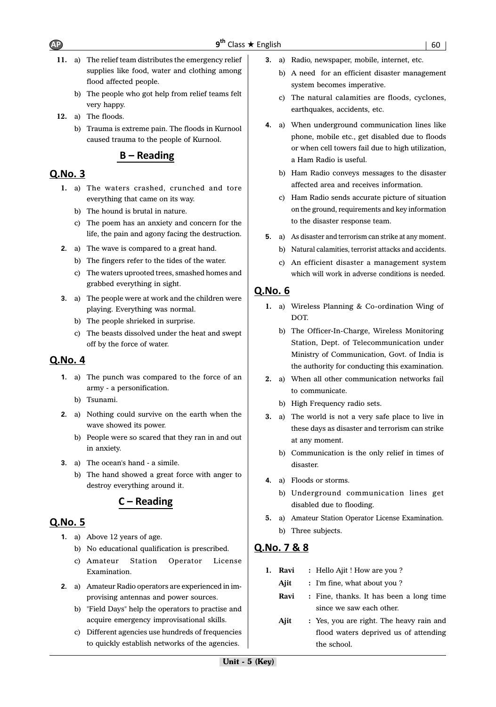- **11.** a) The relief team distributes the emergency relief supplies like food, water and clothing among flood affected people.
	- b) The people who got help from relief teams felt very happy.
- **12.** a) The floods.
	- b) Trauma is extreme pain. The floods in Kurnool caused trauma to the people of Kurnool.

# $B - Reading$

# Q.No. 3

- **1.** a) The waters crashed, crunched and tore everything that came on its way.
	- b) The hound is brutal in nature.
	- c) The poem has an anxiety and concern for the life, the pain and agony facing the destruction.
- **2.** a) The wave is compared to a great hand.
	- b) The fingers refer to the tides of the water.
	- c) The waters uprooted trees, smashed homes and grabbed everything in sight.
- **3.** a) The people were at work and the children were playing. Everything was normal.
	- b) The people shrieked in surprise.
	- c) The beasts dissolved under the heat and swept off by the force of water.

# **Q.No. 4**

- **1.** a) The punch was compared to the force of an army - a personification.
	- b) Tsunami.
- **2.** a) Nothing could survive on the earth when the wave showed its power.
	- b) People were so scared that they ran in and out in anxiety.
- **3.** a) The ocean's hand a simile.
	- b) The hand showed a great force with anger to destroy everything around it.

# $C - Reading$

# Q.No. 5

- **1.** a) Above 12 years of age.
	- b) No educational qualification is prescribed.
	- c) Amateur Station Operator License Examination.
- **2.** a) Amateur Radio operators are experienced in improvising antennas and power sources.
	- b) "Field Days" help the operators to practise and acquire emergency improvisational skills.
	- c) Different agencies use hundreds of frequencies to quickly establish networks of the agencies.
- **3.** a) Radio, newspaper, mobile, internet, etc.
	- b) A need for an efficient disaster management system becomes imperative.
	- c) The natural calamities are floods, cyclones, earthquakes, accidents, etc.
- **4.** a) When underground communication lines like phone, mobile etc., get disabled due to floods or when cell towers fail due to high utilization, a Ham Radio is useful.
	- b) Ham Radio conveys messages to the disaster affected area and receives information.
	- c) Ham Radio sends accurate picture of situation on the ground, requirements and key information to the disaster response team.
- **5.** a) As disaster and terrorism can strike at any moment.
	- b) Natural calamities, terrorist attacks and accidents.
	- c) An efficient disaster a management system which will work in adverse conditions is needed.

# Q.No. 6

- **1.** a) Wireless Planning & Co-ordination Wing of DOT.
	- b) The Officer-In-Charge, Wireless Monitoring Station, Dept. of Telecommunication under Ministry of Communication, Govt. of India is the authority for conducting this examination.
- **2.** a) When all other communication networks fail to communicate.
	- b) High Frequency radio sets.
- **3.** a) The world is not a very safe place to live in these days as disaster and terrorism can strike at any moment.
	- b) Communication is the only relief in times of disaster.
- **4.** a) Floods or storms.
	- b) Underground communication lines get disabled due to flooding.
- **5.** a) Amateur Station Operator License Examination. b) Three subjects.

# Q.No. 7 & 8

- **1. Ravi :** Hello Ajit ! How are you ?
	- Ajit : I'm fine, what about you?
	- **Ravi :** Fine, thanks. It has been a long time since we saw each other.
	- Ajit : Yes, you are right. The heavy rain and flood waters deprived us of attending the school.

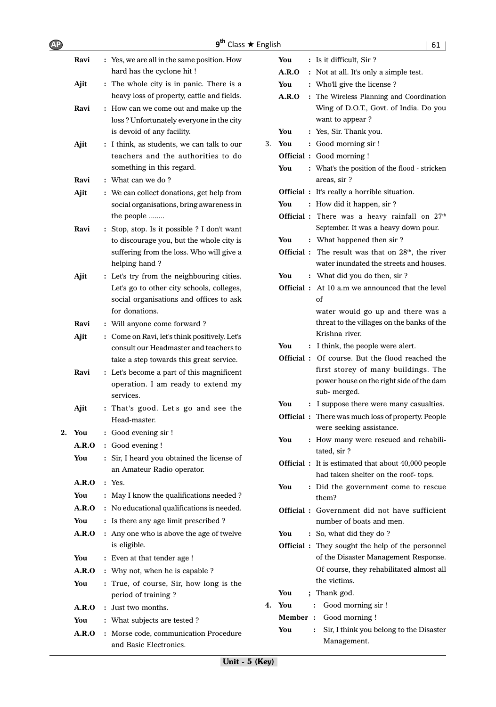| <b>AP</b> |       | 9 <sup>th</sup>                                                                      | Class ★ English |          | 61                                                                              |
|-----------|-------|--------------------------------------------------------------------------------------|-----------------|----------|---------------------------------------------------------------------------------|
|           | Ravi  | : Yes, we are all in the same position. How                                          |                 | You      | : Is it difficult, Sir ?                                                        |
|           |       | hard has the cyclone hit !                                                           |                 | A.R.O    | : Not at all. It's only a simple test.                                          |
|           | Ajit  | : The whole city is in panic. There is a                                             |                 | You      | : Who'll give the license?                                                      |
|           |       | heavy loss of property, cattle and fields.                                           |                 | A.R.O    | : The Wireless Planning and Coordination                                        |
|           | Ravi  | : How can we come out and make up the                                                |                 |          | Wing of D.O.T., Govt. of India. Do you                                          |
|           |       | loss? Unfortunately everyone in the city                                             |                 |          | want to appear?                                                                 |
|           |       | is devoid of any facility.                                                           |                 | You      | : Yes, Sir. Thank you.                                                          |
|           | Ajit  | : I think, as students, we can talk to our                                           | 3.              | You      | : Good morning sir !                                                            |
|           |       | teachers and the authorities to do                                                   |                 |          | <b>Official</b> : Good morning !                                                |
|           |       | something in this regard.                                                            |                 | You      | : What's the position of the flood - stricken                                   |
|           | Ravi  | : What can we do?                                                                    |                 |          | areas, sir ?                                                                    |
|           | Ajit  | : We can collect donations, get help from                                            |                 |          | Official : It's really a horrible situation.                                    |
|           |       | social organisations, bring awareness in                                             |                 | You      | : How did it happen, sir ?                                                      |
|           |       | the people                                                                           |                 |          | Official : There was a heavy rainfall on 27 <sup>th</sup>                       |
|           | Ravi  | : Stop, stop. Is it possible ? I don't want                                          |                 | You      | September. It was a heavy down pour.<br>: What happened then sir ?              |
|           |       | to discourage you, but the whole city is<br>suffering from the loss. Who will give a |                 |          | Official : The result was that on 28 <sup>th</sup> , the river                  |
|           |       | helping hand?                                                                        |                 |          | water inundated the streets and houses.                                         |
|           | Ajit  | : Let's try from the neighbouring cities.                                            |                 | You      | : What did you do then, sir?                                                    |
|           |       | Let's go to other city schools, colleges,                                            |                 |          | <b>Official</b> : At 10 a.m we announced that the level                         |
|           |       | social organisations and offices to ask                                              |                 |          | of                                                                              |
|           |       | for donations.                                                                       |                 |          | water would go up and there was a                                               |
|           | Ravi  | : Will anyone come forward ?                                                         |                 |          | threat to the villages on the banks of the                                      |
|           | Ajit  | : Come on Ravi, let's think positively. Let's                                        |                 |          | Krishna river.                                                                  |
|           |       | consult our Headmaster and teachers to                                               |                 | You      | : I think, the people were alert.                                               |
|           |       | take a step towards this great service.                                              |                 |          | Official : Of course. But the flood reached the                                 |
|           | Ravi  | : Let's become a part of this magnificent                                            |                 |          | first storey of many buildings. The<br>power house on the right side of the dam |
|           |       | operation. I am ready to extend my                                                   |                 |          | sub-merged.                                                                     |
|           |       | services.                                                                            |                 | You      | : I suppose there were many casualties.                                         |
|           | Ajit  | : That's good. Let's go and see the<br>Head-master.                                  |                 |          | Official: There was much loss of property. People                               |
|           |       |                                                                                      |                 |          | were seeking assistance.                                                        |
|           | You   | : Good evening sir !                                                                 |                 | You      | : How many were rescued and rehabili-                                           |
|           | A.R.O | : Good evening !                                                                     |                 |          | tated, sir ?                                                                    |
|           | You   | : Sir, I heard you obtained the license of                                           |                 |          | <b>Official</b> : It is estimated that about 40,000 people                      |
|           | A.R.O | an Amateur Radio operator.<br>: Yes.                                                 |                 |          | had taken shelter on the roof- tops.                                            |
|           | You   | : May I know the qualifications needed ?                                             |                 | You      | : Did the government come to rescue                                             |
|           | A.R.O | : No educational qualifications is needed.                                           |                 |          | them?                                                                           |
|           | You   | : Is there any age limit prescribed ?                                                |                 |          | Official: Government did not have sufficient<br>number of boats and men.        |
|           | A.R.O | : Any one who is above the age of twelve                                             |                 | You      | : So, what did they do?                                                         |
|           |       | is eligible.                                                                         |                 |          | <b>Official</b> : They sought the help of the personnel                         |
|           | You   | : Even at that tender age !                                                          |                 |          | of the Disaster Management Response.                                            |
|           | A.R.O | : Why not, when he is capable ?                                                      |                 |          | Of course, they rehabilitated almost all                                        |
|           | You   | : True, of course, Sir, how long is the                                              |                 |          | the victims.                                                                    |
|           |       | period of training?                                                                  |                 | You      | ; Thank god.                                                                    |
|           | A.R.O | : Just two months.                                                                   | 4.              | You      | Good morning sir !<br>$\ddot{\cdot}$                                            |
|           | You   | : What subjects are tested ?                                                         |                 | Member : | Good morning !                                                                  |
|           | A.R.O | : Morse code, communication Procedure                                                |                 | You      | Sir, I think you belong to the Disaster<br>:                                    |
|           |       | and Basic Electronics.                                                               |                 |          | Management.                                                                     |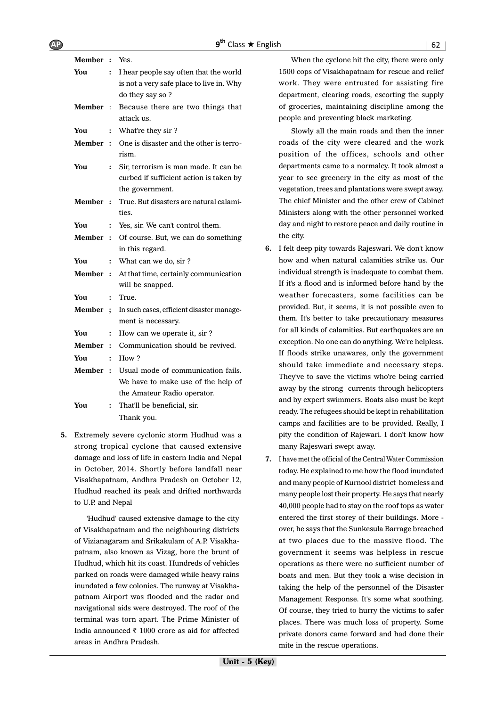| Member : |                | Yes.                                      |
|----------|----------------|-------------------------------------------|
| You      | $\ddot{\cdot}$ | I hear people say often that the world    |
|          |                | is not a very safe place to live in. Why  |
|          |                | do they say so?                           |
| Member:  |                | Because there are two things that         |
|          |                | attack us.                                |
| You      | $\ddot{\cdot}$ | What're they sir?                         |
| Member   | $\cdot$        | One is disaster and the other is terro-   |
|          |                | rism.                                     |
| You      | $\ddot{\cdot}$ | Sir, terrorism is man made. It can be     |
|          |                | curbed if sufficient action is taken by   |
|          |                | the government.                           |
| Member:  |                | True. But disasters are natural calami-   |
|          |                | ties.                                     |
| You      | $\ddot{\cdot}$ | Yes, sir. We can't control them.          |
| Member:  |                | Of course. But, we can do something       |
|          |                | in this regard.                           |
| You      | :              | What can we do, sir?                      |
| Member:  |                | At that time, certainly communication     |
|          |                | will be snapped.                          |
| You      | $\ddot{\cdot}$ | True.                                     |
| Member ; |                | In such cases, efficient disaster manage- |
|          |                | ment is necessary.                        |
| You      | $\colon$       | How can we operate it, sir?               |
| Member:  |                | Communication should be revived.          |
| You      | $\ddot{\cdot}$ | How?                                      |
| Member:  |                | Usual mode of communication fails.        |
|          |                | We have to make use of the help of        |
|          |                | the Amateur Radio operator.               |
| You      | $\ddot{\cdot}$ | That'll be beneficial, sir.               |
|          |                | Thank you.                                |

**5.** Extremely severe cyclonic storm Hudhud was a strong tropical cyclone that caused extensive damage and loss of life in eastern India and Nepal in October, 2014. Shortly before landfall near Visakhapatnam, Andhra Pradesh on October 12, Hudhud reached its peak and drifted northwards to U.P. and Nepal

'Hudhud' caused extensive damage to the city of Visakhapatnam and the neighbouring districts of Vizianagaram and Srikakulam of A.P. Visakhapatnam, also known as Vizag, bore the brunt of Hudhud, which hit its coast. Hundreds of vehicles parked on roads were damaged while heavy rains inundated a few colonies. The runway at Visakhapatnam Airport was flooded and the radar and navigational aids were destroyed. The roof of the terminal was torn apart. The Prime Minister of India announced  $\bar{\tau}$  1000 crore as aid for affected areas in Andhra Pradesh.

When the cyclone hit the city, there were only 1500 cops of Visakhapatnam for rescue and relief work. They were entrusted for assisting fire department, clearing roads, escorting the supply of groceries, maintaining discipline among the people and preventing black marketing.

Slowly all the main roads and then the inner roads of the city were cleared and the work position of the offices, schools and other departments came to a normalcy. It took almost a year to see greenery in the city as most of the vegetation, trees and plantations were swept away. The chief Minister and the other crew of Cabinet Ministers along with the other personnel worked day and night to restore peace and daily routine in the city.

- **6.** I felt deep pity towards Rajeswari. We don't know how and when natural calamities strike us. Our individual strength is inadequate to combat them. If it's a flood and is informed before hand by the weather forecasters, some facilities can be provided. But, it seems, it is not possible even to them. It's better to take precautionary measures for all kinds of calamities. But earthquakes are an exception. No one can do anything. We're helpless. If floods strike unawares, only the government should take immediate and necessary steps. They've to save the victims who're being carried away by the strong currents through helicopters and by expert swimmers. Boats also must be kept ready. The refugees should be kept in rehabilitation camps and facilities are to be provided. Really, I pity the condition of Rajewari. I don't know how many Rajeswari swept away.
- **7.** I have met the official of the Central Water Commission today. He explained to me how the flood inundated and many people of Kurnool district homeless and many people lost their property. He says that nearly 40,000 people had to stay on the roof tops as water entered the first storey of their buildings. More over, he says that the Sunkesula Barrage breached at two places due to the massive flood. The government it seems was helpless in rescue operations as there were no sufficient number of boats and men. But they took a wise decision in taking the help of the personnel of the Disaster Management Response. It's some what soothing. Of course, they tried to hurry the victims to safer places. There was much loss of property. Some private donors came forward and had done their mite in the rescue operations.

 $AP$   $9<sup>th</sup>$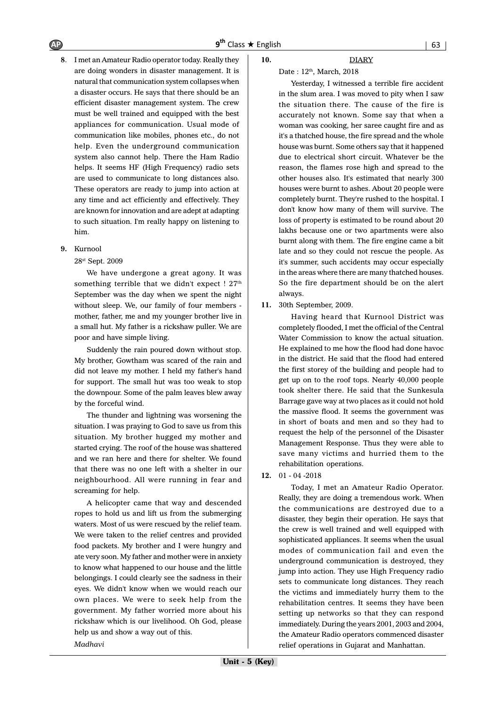**8**. I met an Amateur Radio operator today. Really they are doing wonders in disaster management. It is natural that communication system collapses when a disaster occurs. He says that there should be an efficient disaster management system. The crew must be well trained and equipped with the best appliances for communication. Usual mode of communication like mobiles, phones etc., do not help. Even the underground communication system also cannot help. There the Ham Radio helps. It seems HF (High Frequency) radio sets are used to communicate to long distances also. These operators are ready to jump into action at any time and act efficiently and effectively. They are known for innovation and are adept at adapting to such situation. I'm really happy on listening to him.

#### **9.** Kurnool

28st Sept. 2009

We have undergone a great agony. It was something terrible that we didn't expect ! 27<sup>th</sup> September was the day when we spent the night without sleep. We, our family of four members mother, father, me and my younger brother live in a small hut. My father is a rickshaw puller. We are poor and have simple living.

Suddenly the rain poured down without stop. My brother, Gowtham was scared of the rain and did not leave my mother. I held my father's hand for support. The small hut was too weak to stop the downpour. Some of the palm leaves blew away by the forceful wind.

The thunder and lightning was worsening the situation. I was praying to God to save us from this situation. My brother hugged my mother and started crying. The roof of the house was shattered and we ran here and there for shelter. We found that there was no one left with a shelter in our neighbourhood. All were running in fear and screaming for help.

A helicopter came that way and descended ropes to hold us and lift us from the submerging waters. Most of us were rescued by the relief team. We were taken to the relief centres and provided food packets. My brother and I were hungry and ate very soon. My father and mother were in anxiety to know what happened to our house and the little belongings. I could clearly see the sadness in their eyes. We didn't know when we would reach our own places. We were to seek help from the government. My father worried more about his rickshaw which is our livelihood. Oh God, please help us and show a way out of this. *Madhavi*

#### **10.** DIARY

#### Date:  $12<sup>th</sup>$ , March, 2018

Yesterday, I witnessed a terrible fire accident in the slum area. I was moved to pity when I saw the situation there. The cause of the fire is accurately not known. Some say that when a woman was cooking, her saree caught fire and as it's a thatched house, the fire spread and the whole house was burnt. Some others say that it happened due to electrical short circuit. Whatever be the reason, the flames rose high and spread to the other houses also. It's estimated that nearly 300 houses were burnt to ashes. About 20 people were completely burnt. They're rushed to the hospital. I don't know how many of them will survive. The loss of property is estimated to be round about 20 lakhs because one or two apartments were also burnt along with them. The fire engine came a bit late and so they could not rescue the people. As it's summer, such accidents may occur especially in the areas where there are many thatched houses. So the fire department should be on the alert always.

**11.** 30th September, 2009.

Having heard that Kurnool District was completely flooded, I met the official of the Central Water Commission to know the actual situation. He explained to me how the flood had done havoc in the district. He said that the flood had entered the first storey of the building and people had to get up on to the roof tops. Nearly 40,000 people took shelter there. He said that the Sunkesula Barrage gave way at two places as it could not hold the massive flood. It seems the government was in short of boats and men and so they had to request the help of the personnel of the Disaster Management Response. Thus they were able to save many victims and hurried them to the rehabilitation operations.

**12.** 01 - 04 -2018

Today, I met an Amateur Radio Operator. Really, they are doing a tremendous work. When the communications are destroyed due to a disaster, they begin their operation. He says that the crew is well trained and well equipped with sophisticated appliances. It seems when the usual modes of communication fail and even the underground communication is destroyed, they jump into action. They use High Frequency radio sets to communicate long distances. They reach the victims and immediately hurry them to the rehabilitation centres. It seems they have been setting up networks so that they can respond immediately. During the years 2001, 2003 and 2004, the Amateur Radio operators commenced disaster relief operations in Gujarat and Manhattan.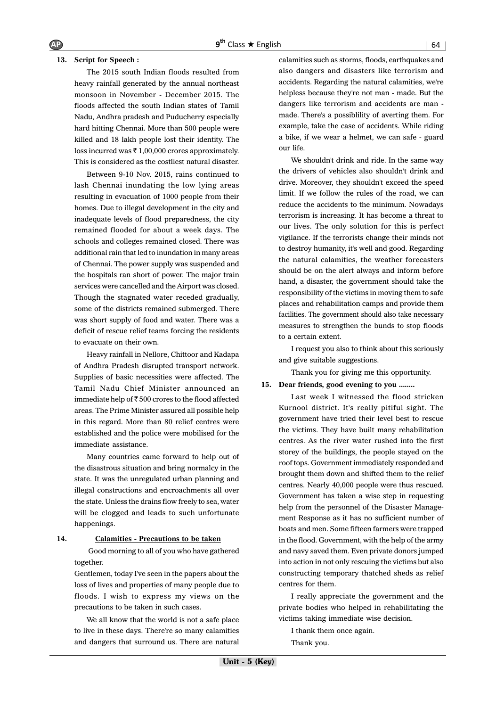#### **13. Script for Speech :**

The 2015 south Indian floods resulted from heavy rainfall generated by the annual northeast monsoon in November - December 2015. The floods affected the south Indian states of Tamil Nadu, Andhra pradesh and Puducherry especially hard hitting Chennai. More than 500 people were killed and 18 lakh people lost their identity. The loss incurred was  $\bar{\tau}$  1,00,000 crores approximately. This is considered as the costliest natural disaster.

Between 9-10 Nov. 2015, rains continued to lash Chennai inundating the low lying areas resulting in evacuation of 1000 people from their homes. Due to illegal development in the city and inadequate levels of flood preparedness, the city remained flooded for about a week days. The schools and colleges remained closed. There was additional rain that led to inundation in many areas of Chennai. The power supply was suspended and the hospitals ran short of power. The major train services were cancelled and the Airport was closed. Though the stagnated water receded gradually, some of the districts remained submerged. There was short supply of food and water. There was a deficit of rescue relief teams forcing the residents to evacuate on their own.

Heavy rainfall in Nellore, Chittoor and Kadapa of Andhra Pradesh disrupted transport network. Supplies of basic necessities were affected. The Tamil Nadu Chief Minister announced an immediate help of  $\overline{\epsilon}$  500 crores to the flood affected areas. The Prime Minister assured all possible help in this regard. More than 80 relief centres were established and the police were mobilised for the immediate assistance.

Many countries came forward to help out of the disastrous situation and bring normalcy in the state. It was the unregulated urban planning and illegal constructions and encroachments all over the state. Unless the drains flow freely to sea, water will be clogged and leads to such unfortunate happenings.

#### **14. Calamities - Precautions to be taken**

 Good morning to all of you who have gathered together.

Gentlemen, today I've seen in the papers about the loss of lives and properties of many people due to floods. I wish to express my views on the precautions to be taken in such cases.

We all know that the world is not a safe place to live in these days. There're so many calamities and dangers that surround us. There are natural calamities such as storms, floods, earthquakes and also dangers and disasters like terrorism and accidents. Regarding the natural calamities, we're helpless because they're not man - made. But the dangers like terrorism and accidents are man made. There's a possiblility of averting them. For example, take the case of accidents. While riding a bike, if we wear a helmet, we can safe - guard our life.

We shouldn't drink and ride. In the same way the drivers of vehicles also shouldn't drink and drive. Moreover, they shouldn't exceed the speed limit. If we follow the rules of the road, we can reduce the accidents to the minimum. Nowadays terrorism is increasing. It has become a threat to our lives. The only solution for this is perfect vigilance. If the terrorists change their minds not to destroy humanity, it's well and good. Regarding the natural calamities, the weather forecasters should be on the alert always and inform before hand, a disaster, the government should take the responsibility of the victims in moving them to safe places and rehabilitation camps and provide them facilities. The government should also take necessary measures to strengthen the bunds to stop floods to a certain extent.

I request you also to think about this seriously and give suitable suggestions.

Thank you for giving me this opportunity.

#### **15. Dear friends, good evening to you ........**

Last week I witnessed the flood stricken Kurnool district. It's really pitiful sight. The government have tried their level best to rescue the victims. They have built many rehabilitation centres. As the river water rushed into the first storey of the buildings, the people stayed on the roof tops. Government immediately responded and brought them down and shifted them to the relief centres. Nearly 40,000 people were thus rescued. Government has taken a wise step in requesting help from the personnel of the Disaster Management Response as it has no sufficient number of boats and men. Some fifteen farmers were trapped in the flood. Government, with the help of the army and navy saved them. Even private donors jumped into action in not only rescuing the victims but also constructing temporary thatched sheds as relief centres for them.

I really appreciate the government and the private bodies who helped in rehabilitating the victims taking immediate wise decision.

I thank them once again. Thank you.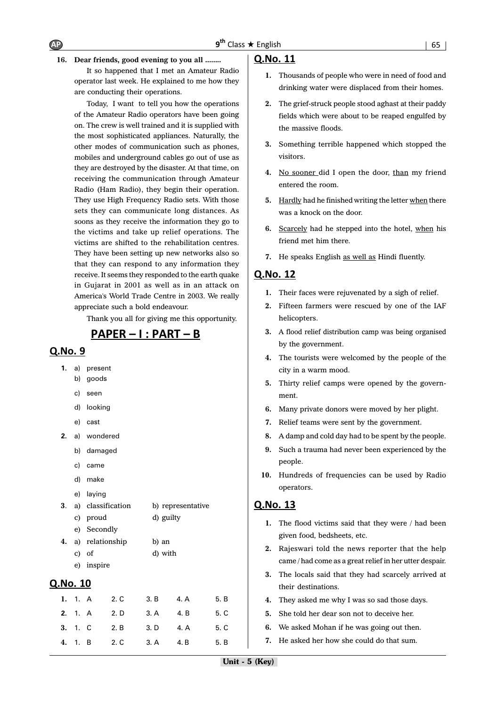

It so happened that I met an Amateur Radio operator last week. He explained to me how they are conducting their operations.

Today, I want to tell you how the operations of the Amateur Radio operators have been going on. The crew is well trained and it is supplied with the most sophisticated appliances. Naturally, the other modes of communication such as phones, mobiles and underground cables go out of use as they are destroyed by the disaster. At that time, on receiving the communication through Amateur Radio (Ham Radio), they begin their operation. They use High Frequency Radio sets. With those sets they can communicate long distances. As soons as they receive the information they go to the victims and take up relief operations. The victims are shifted to the rehabilitation centres. They have been setting up new networks also so that they can respond to any information they receive. It seems they responded to the earth quake in Gujarat in 2001 as well as in an attack on America's World Trade Centre in 2003. We really appreciate such a bold endeavour.

Thank you all for giving me this opportunity.

# <u> PAPER – I : PART – B</u>

#### $O.No.9$

| 1.              |         | a) present      |                   |           |                   |      |  |  |
|-----------------|---------|-----------------|-------------------|-----------|-------------------|------|--|--|
|                 | b)      | goods           |                   |           |                   |      |  |  |
|                 | c)      | seen            |                   |           |                   |      |  |  |
|                 |         | d) looking      |                   |           |                   |      |  |  |
|                 |         | e) cast         |                   |           |                   |      |  |  |
| 2.              |         | a) wondered     |                   |           |                   |      |  |  |
|                 |         | b) damaged      |                   |           |                   |      |  |  |
|                 | c)      | came            |                   |           |                   |      |  |  |
|                 |         | d) make         |                   |           |                   |      |  |  |
|                 |         | e) laying       |                   |           |                   |      |  |  |
| 3.              |         |                 | a) classification |           | b) representative |      |  |  |
|                 |         | c) proud        |                   | d) guilty |                   |      |  |  |
|                 |         | e) Secondly     |                   |           |                   |      |  |  |
| 4.              |         | a) relationship |                   | b) an     |                   |      |  |  |
|                 |         | c) of           |                   | d) with   |                   |      |  |  |
|                 |         | e) inspire      |                   |           |                   |      |  |  |
| <u>Q.No. 10</u> |         |                 |                   |           |                   |      |  |  |
| 1.              | 1. A    |                 | 2. C              | 3. B      | 4. A              | 5. B |  |  |
|                 | 2. 1. A |                 | 2. D              | 3. A      | 4. B              | 5. C |  |  |
|                 | 3.1C    |                 | 2. B              | 3. D      | 4. A              | 5. C |  |  |
| 4.              | 1.      | B               | 2. C              | 3. A      | 4. B              | 5. B |  |  |

#### Q.No. 11

- **1.** Thousands of people who were in need of food and drinking water were displaced from their homes.
- **2.** The grief-struck people stood aghast at their paddy fields which were about to be reaped engulfed by the massive floods.
- **3.** Something terrible happened which stopped the visitors.
- 4. No sooner did I open the door, than my friend entered the room.
- **5.** Hardly had he finished writing the letter when there was a knock on the door.
- **6.** Scarcely had he stepped into the hotel, when his friend met him there.
- **7.** He speaks English as well as Hindi fluently.

#### Q.No. 12

- **1.** Their faces were rejuvenated by a sigh of relief.
- **2.** Fifteen farmers were rescued by one of the IAF helicopters.
- **3.** A flood relief distribution camp was being organised by the government.
- **4.** The tourists were welcomed by the people of the city in a warm mood.
- **5.** Thirty relief camps were opened by the government.
- **6.** Many private donors were moved by her plight.
- **7.** Relief teams were sent by the government.
- **8.** A damp and cold day had to be spent by the people.
- **9.** Such a trauma had never been experienced by the people.
- **10.** Hundreds of frequencies can be used by Radio operators.

- **1.** The flood victims said that they were / had been given food, bedsheets, etc.
- **2.** Rajeswari told the news reporter that the help came / had come as a great relief in her utter despair.
- **3.** The locals said that they had scarcely arrived at their destinations.
- **4.** They asked me why I was so sad those days.
- **5.** She told her dear son not to deceive her.
- **6.** We asked Mohan if he was going out then.
- **7.** He asked her how she could do that sum.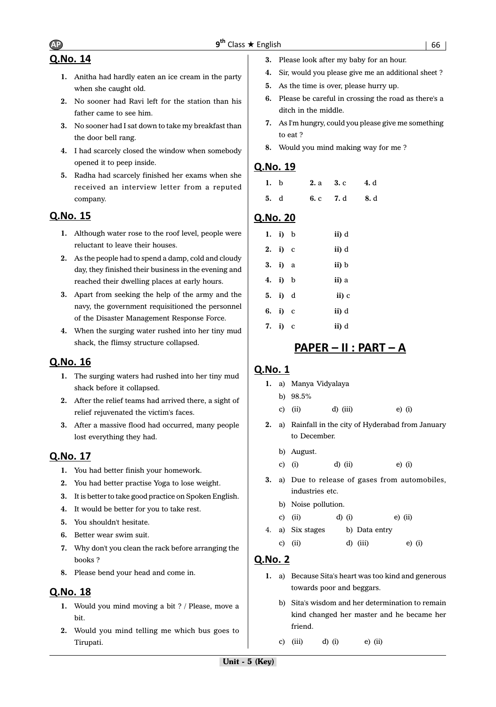# Q.No. 14

- **1.** Anitha had hardly eaten an ice cream in the party when she caught old.
- **2.** No sooner had Ravi left for the station than his father came to see him.
- **3.** No sooner had I sat down to take my breakfast than the door bell rang.
- **4.** I had scarcely closed the window when somebody opened it to peep inside.
- **5.** Radha had scarcely finished her exams when she received an interview letter from a reputed company.

# Q.No. 15

- **1.** Although water rose to the roof level, people were reluctant to leave their houses.
- **2.** As the people had to spend a damp, cold and cloudy day, they finished their business in the evening and reached their dwelling places at early hours.
- **3.** Apart from seeking the help of the army and the navy, the government requisitioned the personnel of the Disaster Management Response Force.
- **4.** When the surging water rushed into her tiny mud shack, the flimsy structure collapsed.

# Q.No. 16

- **1.** The surging waters had rushed into her tiny mud shack before it collapsed.
- **2.** After the relief teams had arrived there, a sight of relief rejuvenated the victim's faces.
- **3.** After a massive flood had occurred, many people lost everything they had.

# Q.No. 17

- **1.** You had better finish your homework.
- **2.** You had better practise Yoga to lose weight.
- **3.** It is better to take good practice on Spoken English.
- **4.** It would be better for you to take rest.
- **5.** You shouldn't hesitate.
- **6.** Better wear swim suit.
- **7.** Why don't you clean the rack before arranging the books ?
- **8.** Please bend your head and come in.

# Q.No. 18

- **1.** Would you mind moving a bit ? / Please, move a bit.
- **2.** Would you mind telling me which bus goes to Tirupati.
- **3.** Please look after my baby for an hour.
- **4.** Sir, would you please give me an additional sheet ?
- **5.** As the time is over, please hurry up.
- **6.** Please be careful in crossing the road as there's a ditch in the middle.
- **7.** As I'm hungry, could you please give me something to eat ?
- **8.** Would you mind making way for me ?

# Q.No. 19

| 1. b |  | 2. a 3. c 4. d |  |
|------|--|----------------|--|
| 5. d |  | 6. c 7. d 8. d |  |

# Q.No. 20

| 1. i) $b$ | ii) d |
|-----------|-------|
| 2. i) $c$ | ii) d |
| 3. i) a   | ii) b |
| 4. i) b   | ii) a |
| 5. i) d   | ii) c |
| 6. i) c   | ii) d |
| 7. i) $c$ | ii) d |

# <u> PAPER – II : PART – A</u>

# Q.No. 1

- **1.** a) Manya Vidyalaya
	- b) 98.5%
	- c) (ii)  $d$ ) (iii)  $e$ ) (i)
- **2.** a) Rainfall in the city of Hyderabad from January to December.
	- b) August.
	- c) (i) d) (ii) e) (i)
- **3.** a) Due to release of gases from automobiles, industries etc.
	- b) Noise pollution.
	- c) (ii) d) (i) e) (ii)
- 4. a) Six stages b) Data entry
	- c) (ii) d) (iii) e) (i)

- **1.** a) Because Sita's heart was too kind and generous towards poor and beggars.
	- b) Sita's wisdom and her determination to remain kind changed her master and he became her friend.
	- c) (iii)  $d$ ) (i)  $e$ ) (ii)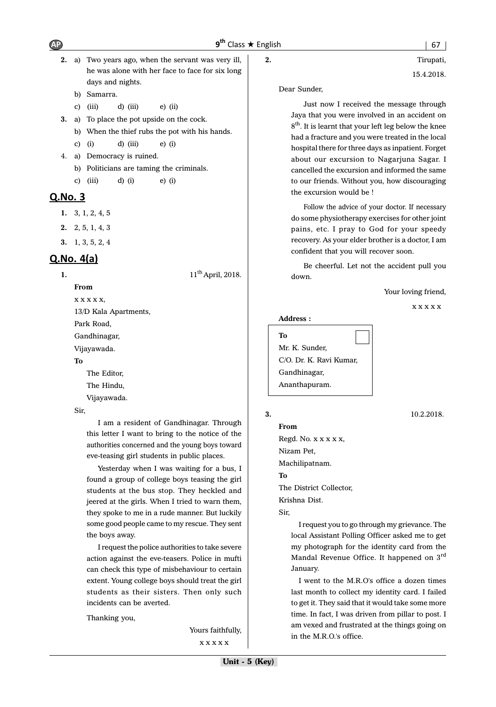- **2.** a) Two years ago, when the servant was very ill, he was alone with her face to face for six long days and nights.
	- b) Samarra.
	- c) (iii)  $d$ ) (iii)  $e$ ) (ii)
- **3.** a) To place the pot upside on the cock.
	- b) When the thief rubs the pot with his hands.
	- c) (i) d) (iii) e) (i)
- 4. a) Democracy is ruined.
	- b) Politicians are taming the criminals.
	- c) (iii) d) (i) e) (i)

# Q.No. 3

- **1.** 3, 1, 2, 4, 5
- **2.** 2, 5, 1, 4, 3
- **3.** 1, 3, 5, 2, 4

**From**

# $Q$ . No.  $4(a)$

**1.** 11<sup>th</sup> April, 2018.

 $X$   $X$   $X$   $X$   $X$ , 13/D Kala Apartments, Park Road, Gandhinagar, Vijayawada. **To** The Editor, The Hindu,

Vijayawada.

Sir,

I am a resident of Gandhinagar. Through this letter I want to bring to the notice of the authorities concerned and the young boys toward eve-teasing girl students in public places.

Yesterday when I was waiting for a bus, I found a group of college boys teasing the girl students at the bus stop. They heckled and jeered at the girls. When I tried to warn them, they spoke to me in a rude manner. But luckily some good people came to my rescue. They sent the boys away.

I request the police authorities to take severe action against the eve-teasers. Police in mufti can check this type of misbehaviour to certain extent. Young college boys should treat the girl students as their sisters. Then only such incidents can be averted.

Thanking you,

Yours faithfully, x x x x x

15.4.2018.

```
Dear Sunder,
```
Just now I received the message through Jaya that you were involved in an accident on 8<sup>th</sup>. It is learnt that your left leg below the knee had a fracture and you were treated in the local hospital there for three days as inpatient. Forget about our excursion to Nagarjuna Sagar. I cancelled the excursion and informed the same to our friends. Without you, how discouraging the excursion would be !

Follow the advice of your doctor. If necessary do some physiotherapy exercises for other joint pains, etc. I pray to God for your speedy recovery. As your elder brother is a doctor, I am confident that you will recover soon.

Be cheerful. Let not the accident pull you down.

Your loving friend,

x x x x x

#### **Address :**

**To** Mr. K. Sunder, C/O. Dr. K. Ravi Kumar, Gandhinagar, Ananthapuram.

# **3.** 10.2.2018.

**From** Regd. No. x x x x x, Nizam Pet, Machilipatnam. **To** The District Collector, Krishna Dist. Sir,

> I request you to go through my grievance. The local Assistant Polling Officer asked me to get my photograph for the identity card from the Mandal Revenue Office. It happened on 3rd January.

> I went to the M.R.O's office a dozen times last month to collect my identity card. I failed to get it. They said that it would take some more time. In fact, I was driven from pillar to post. I am vexed and frustrated at the things going on in the M.R.O.'s office.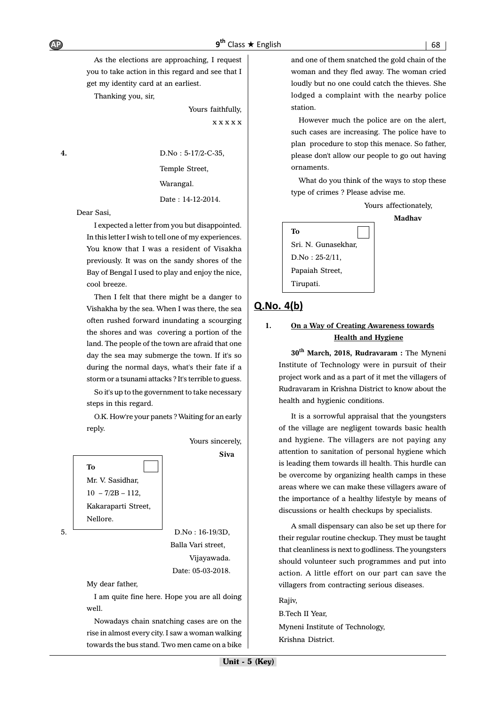As the elections are approaching, I request you to take action in this regard and see that I get my identity card at an earliest.

Thanking you, sir,

Yours faithfully, x x x x x

**4.** D.No : 5-17/2-C-35,

Temple Street,

Warangal.

Date : 14-12-2014.

Dear Sasi,

I expected a letter from you but disappointed. In this letter I wish to tell one of my experiences. You know that I was a resident of Visakha previously. It was on the sandy shores of the Bay of Bengal I used to play and enjoy the nice, cool breeze.

Then I felt that there might be a danger to Vishakha by the sea. When I was there, the sea often rushed forward inundating a scourging the shores and was covering a portion of the land. The people of the town are afraid that one day the sea may submerge the town. If it's so during the normal days, what's their fate if a storm or a tsunami attacks ? It's terrible to guess.

So it's up to the government to take necessary steps in this regard.

O.K. How're your panets ? Waiting for an early reply.



 Balla Vari street, Vijayawada. Date: 05-03-2018.

Yours sincerely, **Siva**

My dear father,

I am quite fine here. Hope you are all doing well.

Nowadays chain snatching cases are on the rise in almost every city. I saw a woman walking towards the bus stand. Two men came on a bike and one of them snatched the gold chain of the woman and they fled away. The woman cried loudly but no one could catch the thieves. She lodged a complaint with the nearby police station.

However much the police are on the alert, such cases are increasing. The police have to plan procedure to stop this menace. So father, please don't allow our people to go out having ornaments.

What do you think of the ways to stop these type of crimes ? Please advise me.

Yours affectionately,

**Madhav**



# $Q.No. 4(b)$

## **1. On a Way of Creating Awareness towards Health and Hygiene**

**30th March, 2018, Rudravaram :** The Myneni Institute of Technology were in pursuit of their project work and as a part of it met the villagers of Rudravaram in Krishna District to know about the health and hygienic conditions.

It is a sorrowful appraisal that the youngsters of the village are negligent towards basic health and hygiene. The villagers are not paying any attention to sanitation of personal hygiene which is leading them towards ill health. This hurdle can be overcome by organizing health camps in these areas where we can make these villagers aware of the importance of a healthy lifestyle by means of discussions or health checkups by specialists.

A small dispensary can also be set up there for their regular routine checkup. They must be taught that cleanliness is next to godliness. The youngsters should volunteer such programmes and put into action. A little effort on our part can save the villagers from contracting serious diseases.

Rajiv, B.Tech II Year, Myneni Institute of Technology, Krishna District.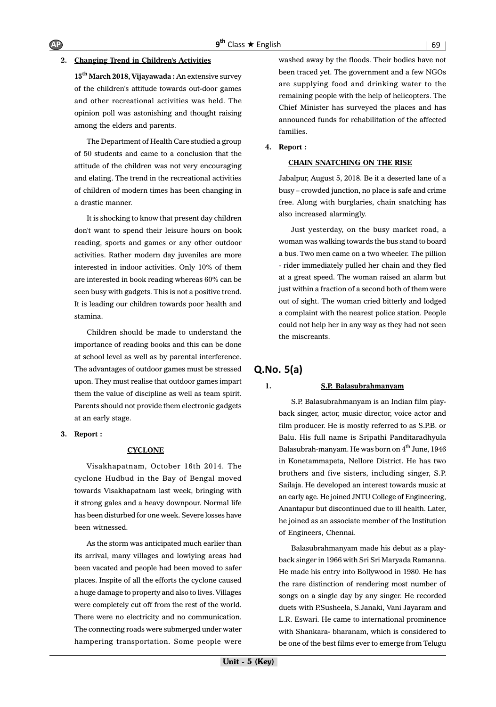#### **2. Changing Trend in Children's Activities**

**15th March 2018, Vijayawada :** An extensive survey of the children's attitude towards out-door games and other recreational activities was held. The opinion poll was astonishing and thought raising among the elders and parents.

The Department of Health Care studied a group of 50 students and came to a conclusion that the attitude of the children was not very encouraging and elating. The trend in the recreational activities of children of modern times has been changing in a drastic manner.

It is shocking to know that present day children don't want to spend their leisure hours on book reading, sports and games or any other outdoor activities. Rather modern day juveniles are more interested in indoor activities. Only 10% of them are interested in book reading whereas 60% can be seen busy with gadgets. This is not a positive trend. It is leading our children towards poor health and stamina.

Children should be made to understand the importance of reading books and this can be done at school level as well as by parental interference. The advantages of outdoor games must be stressed upon. They must realise that outdoor games impart them the value of discipline as well as team spirit. Parents should not provide them electronic gadgets at an early stage.

**3. Report :**

#### **CYCLONE**

Visakhapatnam, October 16th 2014. The cyclone Hudbud in the Bay of Bengal moved towards Visakhapatnam last week, bringing with it strong gales and a heavy downpour. Normal life has been disturbed for one week. Severe losses have been witnessed.

As the storm was anticipated much earlier than its arrival, many villages and lowlying areas had been vacated and people had been moved to safer places. Inspite of all the efforts the cyclone caused a huge damage to property and also to lives. Villages were completely cut off from the rest of the world. There were no electricity and no communication. The connecting roads were submerged under water hampering transportation. Some people were washed away by the floods. Their bodies have not been traced yet. The government and a few NGOs are supplying food and drinking water to the remaining people with the help of helicopters. The Chief Minister has surveyed the places and has announced funds for rehabilitation of the affected families.

#### **4. Report :**

#### **CHAIN SNATCHING ON THE RISE**

Jabalpur, August 5, 2018. Be it a deserted lane of a busy – crowded junction, no place is safe and crime free. Along with burglaries, chain snatching has also increased alarmingly.

Just yesterday, on the busy market road, a woman was walking towards the bus stand to board a bus. Two men came on a two wheeler. The pillion - rider immediately pulled her chain and they fled at a great speed. The woman raised an alarm but just within a fraction of a second both of them were out of sight. The woman cried bitterly and lodged a complaint with the nearest police station. People could not help her in any way as they had not seen the miscreants.

# $Q.No. 5(a)$

#### **1. S.P. Balasubrahmanyam**

S.P. Balasubrahmanyam is an Indian film playback singer, actor, music director, voice actor and film producer. He is mostly referred to as S.P.B. or Balu. His full name is Sripathi Panditaradhyula Balasubrah-manyam. He was born on  $4<sup>th</sup>$  June, 1946 in Konetammapeta, Nellore District. He has two brothers and five sisters, including singer, S.P. Sailaja. He developed an interest towards music at an early age. He joined JNTU College of Engineering, Anantapur but discontinued due to ill health. Later, he joined as an associate member of the Institution of Engineers, Chennai.

Balasubrahmanyam made his debut as a playback singer in 1966 with Sri Sri Maryada Ramanna. He made his entry into Bollywood in 1980. He has the rare distinction of rendering most number of songs on a single day by any singer. He recorded duets with P.Susheela, S.Janaki, Vani Jayaram and L.R. Eswari. He came to international prominence with Shankara- bharanam, which is considered to be one of the best films ever to emerge from Telugu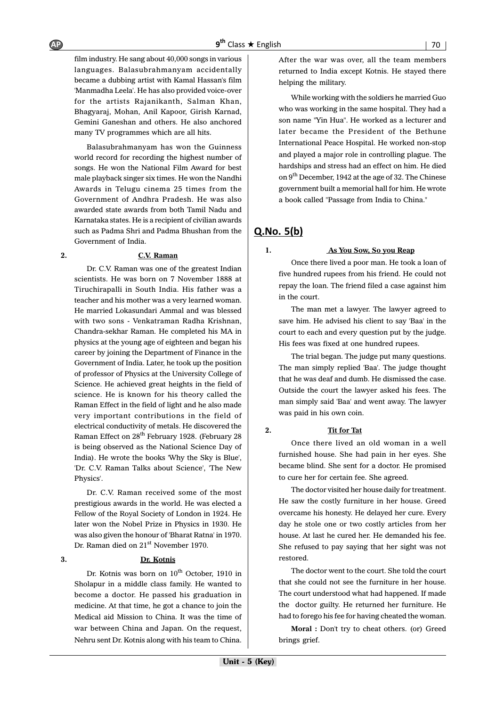film industry. He sang about 40,000 songs in various languages. Balasubrahmanyam accidentally became a dubbing artist with Kamal Hassan's film 'Manmadha Leela'. He has also provided voice-over for the artists Rajanikanth, Salman Khan, Bhagyaraj, Mohan, Anil Kapoor, Girish Karnad, Gemini Ganeshan and others. He also anchored many TV programmes which are all hits.

Balasubrahmanyam has won the Guinness world record for recording the highest number of songs. He won the National Film Award for best male playback singer six times. He won the Nandhi Awards in Telugu cinema 25 times from the Government of Andhra Pradesh. He was also awarded state awards from both Tamil Nadu and Karnataka states. He is a recipient of civilian awards such as Padma Shri and Padma Bhushan from the Government of India.

#### **2. C.V. Raman**

Dr. C.V. Raman was one of the greatest Indian scientists. He was born on 7 November 1888 at Tiruchirapalli in South India. His father was a teacher and his mother was a very learned woman. He married Lokasundari Ammal and was blessed with two sons - Venkatraman Radha Krishnan, Chandra-sekhar Raman. He completed his MA in physics at the young age of eighteen and began his career by joining the Department of Finance in the Government of India. Later, he took up the position of professor of Physics at the University College of Science. He achieved great heights in the field of science. He is known for his theory called the Raman Effect in the field of light and he also made very important contributions in the field of electrical conductivity of metals. He discovered the Raman Effect on 28<sup>th</sup> February 1928. (February 28 is being observed as the National Science Day of India). He wrote the books 'Why the Sky is Blue', 'Dr. C.V. Raman Talks about Science', 'The New Physics'.

Dr. C.V. Raman received some of the most prestigious awards in the world. He was elected a Fellow of the Royal Society of London in 1924. He later won the Nobel Prize in Physics in 1930. He was also given the honour of 'Bharat Ratna' in 1970. Dr. Raman died on 21<sup>st</sup> November 1970.

#### **3. Dr. Kotnis**

Dr. Kotnis was born on  $10^{th}$  October, 1910 in Sholapur in a middle class family. He wanted to become a doctor. He passed his graduation in medicine. At that time, he got a chance to join the Medical aid Mission to China. It was the time of war between China and Japan. On the request, Nehru sent Dr. Kotnis along with his team to China.

After the war was over, all the team members returned to India except Kotnis. He stayed there helping the military.

While working with the soldiers he married Guo who was working in the same hospital. They had a son name "Yin Hua". He worked as a lecturer and later became the President of the Bethune International Peace Hospital. He worked non-stop and played a major role in controlling plague. The hardships and stress had an effect on him. He died on 9<sup>th</sup> December, 1942 at the age of 32. The Chinese government built a memorial hall for him. He wrote a book called "Passage from India to China."

# **Q.No. 5(b)**

#### **1. As You Sow, So you Reap**

Once there lived a poor man. He took a loan of five hundred rupees from his friend. He could not repay the loan. The friend filed a case against him in the court.

The man met a lawyer. The lawyer agreed to save him. He advised his client to say 'Baa' in the court to each and every question put by the judge. His fees was fixed at one hundred rupees.

The trial began. The judge put many questions. The man simply replied 'Baa'. The judge thought that he was deaf and dumb. He dismissed the case. Outside the court the lawyer asked his fees. The man simply said 'Baa' and went away. The lawyer was paid in his own coin.

#### **2. Tit for Tat**

Once there lived an old woman in a well

furnished house. She had pain in her eyes. She became blind. She sent for a doctor. He promised to cure her for certain fee. She agreed.

The doctor visited her house daily for treatment. He saw the costly furniture in her house. Greed overcame his honesty. He delayed her cure. Every day he stole one or two costly articles from her house. At last he cured her. He demanded his fee. She refused to pay saying that her sight was not restored.

The doctor went to the court. She told the court that she could not see the furniture in her house. The court understood what had happened. If made the doctor guilty. He returned her furniture. He had to forego his fee for having cheated the woman.

**Moral :** Don't try to cheat others. (or) Greed brings grief.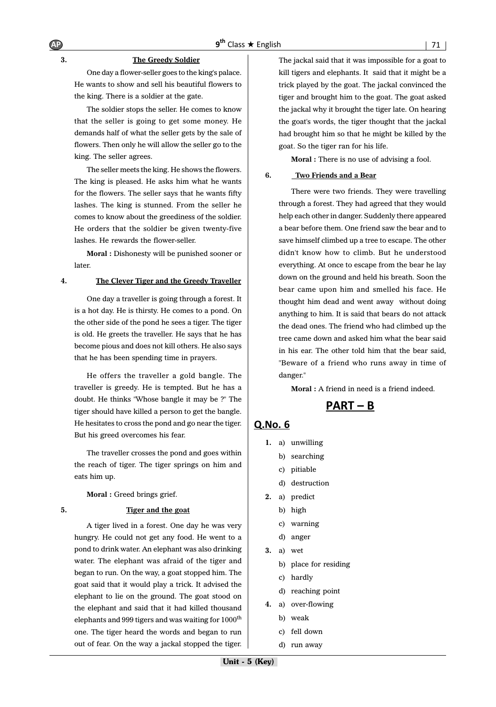#### **3. The Greedy Soldier**

One day a flower-seller goes to the king's palace. He wants to show and sell his beautiful flowers to the king. There is a soldier at the gate.

The soldier stops the seller. He comes to know that the seller is going to get some money. He demands half of what the seller gets by the sale of flowers. Then only he will allow the seller go to the king. The seller agrees.

The seller meets the king. He shows the flowers. The king is pleased. He asks him what he wants for the flowers. The seller says that he wants fifty lashes. The king is stunned. From the seller he comes to know about the greediness of the soldier. He orders that the soldier be given twenty-five lashes. He rewards the flower-seller.

**Moral :** Dishonesty will be punished sooner or **later** 

#### **4. The Clever Tiger and the Greedy Traveller**

One day a traveller is going through a forest. It is a hot day. He is thirsty. He comes to a pond. On the other side of the pond he sees a tiger. The tiger is old. He greets the traveller. He says that he has become pious and does not kill others. He also says that he has been spending time in prayers.

He offers the traveller a gold bangle. The traveller is greedy. He is tempted. But he has a doubt. He thinks "Whose bangle it may be ?" The tiger should have killed a person to get the bangle. He hesitates to cross the pond and go near the tiger. But his greed overcomes his fear.

The traveller crosses the pond and goes within the reach of tiger. The tiger springs on him and eats him up.

**Moral :** Greed brings grief.

#### **5. Tiger and the goat**

A tiger lived in a forest. One day he was very hungry. He could not get any food. He went to a pond to drink water. An elephant was also drinking water. The elephant was afraid of the tiger and began to run. On the way, a goat stopped him. The goat said that it would play a trick. It advised the elephant to lie on the ground. The goat stood on the elephant and said that it had killed thousand elephants and 999 tigers and was waiting for  $1000<sup>th</sup>$ one. The tiger heard the words and began to run out of fear. On the way a jackal stopped the tiger. The jackal said that it was impossible for a goat to kill tigers and elephants. It said that it might be a trick played by the goat. The jackal convinced the tiger and brought him to the goat. The goat asked the jackal why it brought the tiger late. On hearing the goat's words, the tiger thought that the jackal had brought him so that he might be killed by the goat. So the tiger ran for his life.

**Moral :** There is no use of advising a fool.

#### **6. Two Friends and a Bear**

There were two friends. They were travelling through a forest. They had agreed that they would help each other in danger. Suddenly there appeared a bear before them. One friend saw the bear and to save himself climbed up a tree to escape. The other didn't know how to climb. But he understood everything. At once to escape from the bear he lay down on the ground and held his breath. Soon the bear came upon him and smelled his face. He thought him dead and went away without doing anything to him. It is said that bears do not attack the dead ones. The friend who had climbed up the tree came down and asked him what the bear said in his ear. The other told him that the bear said, "Beware of a friend who runs away in time of danger."

**Moral :** A friend in need is a friend indeed.

 $PART - B$ 

- **1.** a) unwilling
	- b) searching
	- c) pitiable
	- d) destruction
- **2.** a) predict
	- b) high
	- c) warning
	- d) anger
- **3.** a) wet
	- b) place for residing
	- c) hardly
	- d) reaching point
- **4.** a) over-flowing
	- b) weak
	- c) fell down
	- d) run away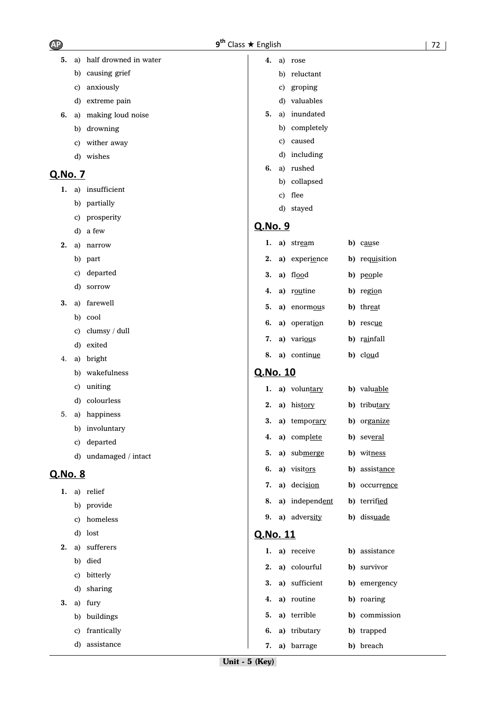| <b>AP</b> | $9^{\text{th}}$ |
|-----------|-----------------|
|-----------|-----------------|

| 5.      | a) | half drowned in water | 4.              | a) rose        |                   |
|---------|----|-----------------------|-----------------|----------------|-------------------|
|         | b) | causing grief         |                 | b) reluctant   |                   |
|         | C) | anxiously             |                 | c) groping     |                   |
|         | d) | extreme pain          |                 | d) valuables   |                   |
| 6.      | a) | making loud noise     | 5.              | a) inundated   |                   |
|         | b) | drowning              |                 | b) completely  |                   |
|         | C) | wither away           |                 | c) caused      |                   |
|         |    | d) wishes             |                 | d) including   |                   |
| Q.No. 7 |    |                       | 6.              | a) rushed      |                   |
| 1.      |    | a) insufficient       |                 | b) collapsed   |                   |
|         |    | b) partially          |                 | c) flee        |                   |
|         | C) | prosperity            |                 | d) stayed      |                   |
|         | d) | a few                 | <u>Q.No. 9</u>  |                |                   |
| 2.      | a) | narrow                | ı.              | a) stream      | b) cause          |
|         |    | b) part               | 2.              | a) experience  | b) requisition    |
|         | C) | departed              | 3.              | a) flood       | b) people         |
|         | d) | sorrow                | 4.              | a) routine     | b) region         |
| 3.      | a) | farewell              | 5.              | a) enormous    | <b>b</b> ) threat |
|         | b) | cool                  | 6.              | a) operation   | b) rescue         |
|         | C) | clumsy / dull         | 7.              | a) various     | b) rainfall       |
|         | d) | exited                |                 |                |                   |
| 4.      | a) | bright                | 8.              | a) continue    | $b)$ cloud        |
|         | b) | wakefulness           | <u>Q.No. 10</u> |                |                   |
|         | C) | uniting               | ı.              | a) voluntary   | b) valuable       |
|         | d) | colourless            | 2.              | a) history     | b) tributary      |
| 5.      | a) | happiness             | 3.              | a) temporary   | b) organize       |
|         | b) | involuntary           | 4.              | a) complete    | b) several        |
|         |    | c) departed           | 5.              | a) submerge    | b) witness        |
|         |    | d) undamaged / intact | 6.              | a) visitors    | b) assistance     |
| Q.No. 8 |    |                       |                 |                |                   |
| 1.      |    | a) relief             | 7.              | a) decision    | b) occurrence     |
|         |    | b) provide            | 8.              | a) independent | b) terrified      |
|         | C) | homeless              | 9.              | a) adversity   | b) dissuade       |
|         | d) | lost                  | Q.No. 11        |                |                   |
| 2.      | a) | sufferers             | 1.              | a) receive     | b) assistance     |
|         | b) | died                  | 2.              | a) colourful   | b) survivor       |
|         | C) | bitterly              | 3.              | a) sufficient  | b) emergency      |
|         | d) | sharing               | 4.              | a) routine     | b) roaring        |
| 3.      | a) | fury                  |                 |                |                   |
|         | b) | buildings             | 5.              | a) terrible    | b) commission     |
|         | C) | frantically           | 6.              | a) tributary   | b) trapped        |

**7. a)** barrage **b)** breach

d) assistance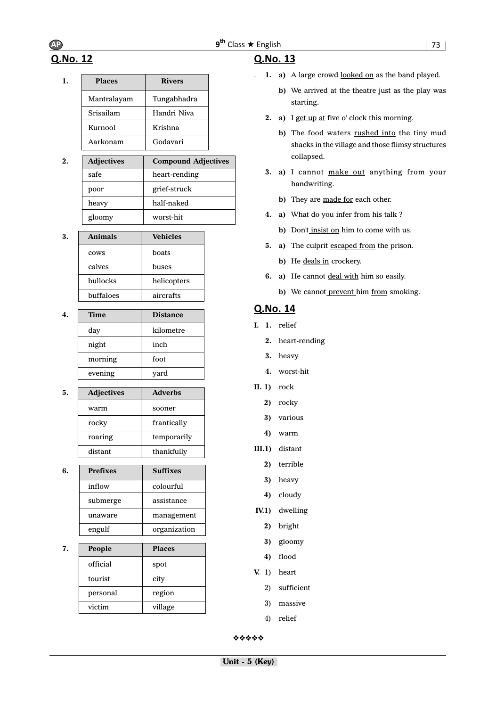# Q.No. 12

| <b>Places</b> | <b>Rivers</b> |
|---------------|---------------|
| Mantralayam   | Tungabhadra   |
| Srisailam     | Handri Niva   |
| Kurnool       | Krishna       |
| Aarkonam      | Godavari      |

| 2. | <b>Adjectives</b> | <b>Compound Adjectives</b> |
|----|-------------------|----------------------------|
|    | safe              | heart-rending              |
|    | poor              | grief-struck               |
|    | heavy             | half-naked                 |
|    | gloomy            | worst-hit                  |

| 3. | <b>Animals</b> | <b>Vehicles</b> |
|----|----------------|-----------------|
|    | cows           | boats           |
|    | calves         | buses           |
|    | bullocks       | helicopters     |
|    | buffaloes      | aircrafts       |

| <b>Time</b> | <b>Distance</b> |
|-------------|-----------------|
| day         | kilometre       |
| night       | inch            |
| morning     | foot            |
| evening     | yard            |

| 5. | <b>Adjectives</b> | <b>Adverbs</b> |
|----|-------------------|----------------|
|    | warm              | sooner         |
|    | rocky             | frantically    |
|    | roaring           | temporarily    |
|    | distant           | thankfully     |

| 6. | <b>Prefixes</b> | <b>Suffixes</b> |
|----|-----------------|-----------------|
|    | inflow          | colourful       |
|    | submerge        | assistance      |
|    | unaware         | management      |
|    | engulf          | organization    |

**7. People Places** official spot tourist city personal region victim | village

# Q.No. 13

- . **1. a)** A large crowd looked on as the band played.
	- **b**) We arrived at the theatre just as the play was starting.
	- **2. a)** I get up at five o' clock this morning.
		- **b**) The food waters rushed into the tiny mud shacks in the village and those flimsy structures collapsed.
	- **3. a)** I cannot make out anything from your handwriting.
		- **b)** They are made for each other.
	- **4. a)** What do you infer from his talk ?
		- **b**) Don't insist on him to come with us.
	- **5. a)** The culprit escaped from the prison.
		- **b)** He deals in crockery.
	- **6. a)** He cannot deal with him so easily.
		- **b**) We cannot prevent him from smoking.

# Q.No. 14

- **I. 1.** relief
	- **2.** heart-rending
	- **3.** heavy
	- **4.** worst-hit
- **II. 1)** rock
	- **2)** rocky
	- **3)** various
	- **4)** warm
- **III.1)** distant
	- **2)** terrible
	- **3)** heavy
	- **4)** cloudy
- **IV.1)** dwelling
	- **2)** bright
	- **3)** gloomy
	- **4)** flood
- **V.** 1) heart
	- 2) sufficient
	- 3) massive
	- 4) relief

❖❖❖❖❖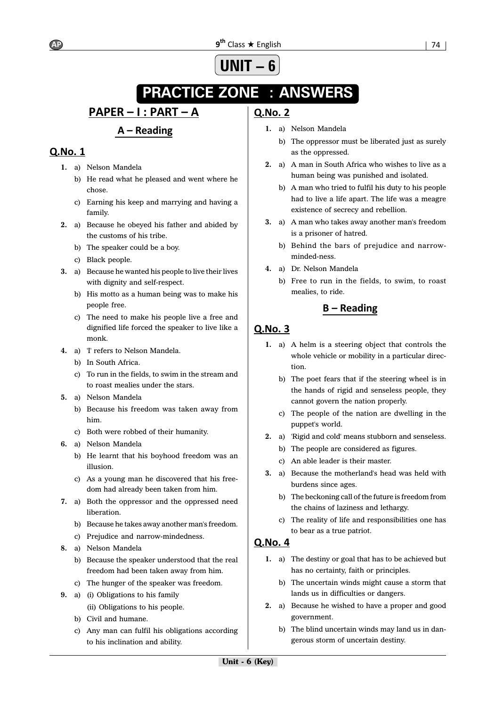#### 9<sup>th</sup> Class ★ Engli AP 9<sup>th</sup>

### 

# **UNIT – 6**

# **PRACTICE ZONE : ANSWERS**

# <u> PAPER – I : PART – A</u>

# $A - Reading$

# Q.No. 1

- **1.** a) Nelson Mandela
	- b) He read what he pleased and went where he chose.
	- c) Earning his keep and marrying and having a family.
- **2.** a) Because he obeyed his father and abided by the customs of his tribe.
	- b) The speaker could be a boy.
	- c) Black people.
- **3.** a) Because he wanted his people to live their lives with dignity and self-respect.
	- b) His motto as a human being was to make his people free.
	- c) The need to make his people live a free and dignified life forced the speaker to live like a monk.
- **4.** a) 'I' refers to Nelson Mandela.
	- b) In South Africa.
	- c) To run in the fields, to swim in the stream and to roast mealies under the stars.
- **5.** a) Nelson Mandela
	- b) Because his freedom was taken away from him.
	- c) Both were robbed of their humanity.
- **6.** a) Nelson Mandela
	- b) He learnt that his boyhood freedom was an illusion.
	- c) As a young man he discovered that his freedom had already been taken from him.
- **7.** a) Both the oppressor and the oppressed need liberation.
	- b) Because he takes away another man's freedom.
	- c) Prejudice and narrow-mindedness.
- **8.** a) Nelson Mandela
	- b) Because the speaker understood that the real freedom had been taken away from him.
	- c) The hunger of the speaker was freedom.
- **9.** a) (i) Obligations to his family (ii) Obligations to his people.
	- b) Civil and humane.
	- c) Any man can fulfil his obligations according to his inclination and ability.

# **O.No. 2**

- **1.** a) Nelson Mandela
	- b) The oppressor must be liberated just as surely as the oppressed.
- **2.** a) A man in South Africa who wishes to live as a human being was punished and isolated.
	- b) A man who tried to fulfil his duty to his people had to live a life apart. The life was a meagre existence of secrecy and rebellion.
- **3.** a) A man who takes away another man's freedom is a prisoner of hatred.
	- b) Behind the bars of prejudice and narrowminded-ness.
- **4.** a) Dr. Nelson Mandela
	- b) Free to run in the fields, to swim, to roast mealies, to ride.

# $B - Reading$

# Q.No. 3

- **1.** a) A helm is a steering object that controls the whole vehicle or mobility in a particular direction.
	- b) The poet fears that if the steering wheel is in the hands of rigid and senseless people, they cannot govern the nation properly.
	- c) The people of the nation are dwelling in the puppet's world.
- **2.** a) 'Rigid and cold' means stubborn and senseless.
	- b) The people are considered as figures.
	- c) An able leader is their master.
- **3.** a) Because the motherland's head was held with burdens since ages.
	- b) The beckoning call of the future is freedom from the chains of laziness and lethargy.
	- c) The reality of life and responsibilities one has to bear as a true patriot.

- **1.** a) The destiny or goal that has to be achieved but has no certainty, faith or principles.
	- b) The uncertain winds might cause a storm that lands us in difficulties or dangers.
- **2.** a) Because he wished to have a proper and good government.
	- b) The blind uncertain winds may land us in dangerous storm of uncertain destiny.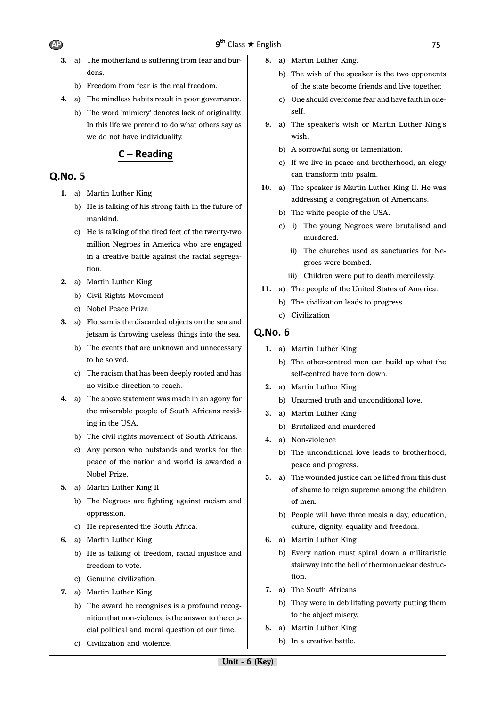- **3.** a) The motherland is suffering from fear and burdens.
	- b) Freedom from fear is the real freedom.
- **4.** a) The mindless habits result in poor governance.
	- b) The word 'mimicry' denotes lack of originality. In this life we pretend to do what others say as we do not have individuality.

# $C - Reading$

# **O.No. 5**

- **1.** a) Martin Luther King
	- b) He is talking of his strong faith in the future of mankind.
	- c) He is talking of the tired feet of the twenty-two million Negroes in America who are engaged in a creative battle against the racial segregation.
- **2.** a) Martin Luther King
	- b) Civil Rights Movement
	- c) Nobel Peace Prize
- **3.** a) Flotsam is the discarded objects on the sea and jetsam is throwing useless things into the sea.
	- b) The events that are unknown and unnecessary to be solved.
	- c) The racism that has been deeply rooted and has no visible direction to reach.
- **4.** a) The above statement was made in an agony for the miserable people of South Africans residing in the USA.
	- b) The civil rights movement of South Africans.
	- c) Any person who outstands and works for the peace of the nation and world is awarded a Nobel Prize.
- **5.** a) Martin Luther King II
	- b) The Negroes are fighting against racism and oppression.
	- c) He represented the South Africa.
- **6.** a) Martin Luther King
	- b) He is talking of freedom, racial injustice and freedom to vote.
	- c) Genuine civilization.
- **7.** a) Martin Luther King
	- b) The award he recognises is a profound recognition that non-violence is the answer to the crucial political and moral question of our time.
	- c) Civilization and violence.
- **8.** a) Martin Luther King.
	- b) The wish of the speaker is the two opponents of the state become friends and live together.
	- c) One should overcome fear and have faith in oneself.
- **9.** a) The speaker's wish or Martin Luther King's wish.
	- b) A sorrowful song or lamentation.
	- c) If we live in peace and brotherhood, an elegy can transform into psalm.
- **10.** a) The speaker is Martin Luther King II. He was addressing a congregation of Americans.
	- b) The white people of the USA.
	- c) i) The young Negroes were brutalised and murdered.
		- ii) The churches used as sanctuaries for Negroes were bombed.
		- iii) Children were put to death mercilessly.
- **11.** a) The people of the United States of America.
	- b) The civilization leads to progress.
	- c) Civilization

- **1.** a) Martin Luther King
	- b) The other-centred men can build up what the self-centred have torn down.
- **2.** a) Martin Luther King
	- b) Unarmed truth and unconditional love.
- **3.** a) Martin Luther King
	- b) Brutalized and murdered
- **4.** a) Non-violence
	- b) The unconditional love leads to brotherhood, peace and progress.
- **5.** a) The wounded justice can be lifted from this dust of shame to reign supreme among the children of men.
	- b) People will have three meals a day, education, culture, dignity, equality and freedom.
- **6.** a) Martin Luther King
	- b) Every nation must spiral down a militaristic stairway into the hell of thermonuclear destruction.
- **7.** a) The South Africans
	- b) They were in debilitating poverty putting them to the abject misery.
- **8.** a) Martin Luther King
	- b) In a creative battle.

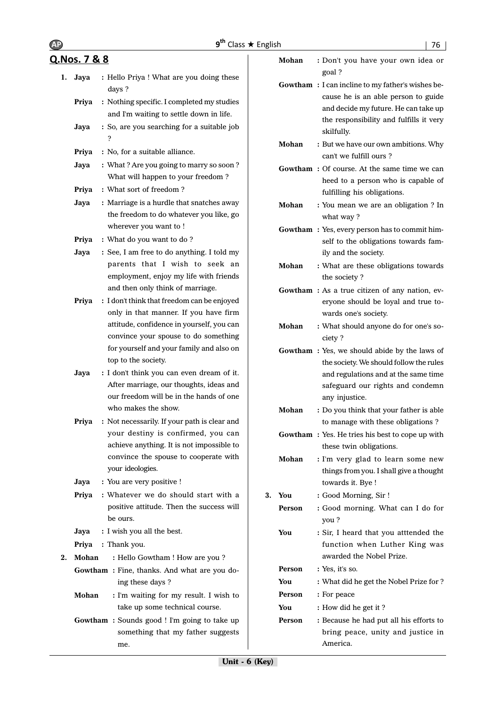|    |                         | $9^{th}$ Class $\star$ English                                                                                                |               | 76                                                                                                                                                                  |
|----|-------------------------|-------------------------------------------------------------------------------------------------------------------------------|---------------|---------------------------------------------------------------------------------------------------------------------------------------------------------------------|
|    | <u>Q.Nos. 7 &amp; 8</u> |                                                                                                                               | Mohan         | : Don't you have your own idea or                                                                                                                                   |
| 1. | Jaya                    | : Hello Priya ! What are you doing these<br>days ?                                                                            |               | goal?<br><b>Gowtham</b> : I can incline to my father's wishes be-<br>cause he is an able person to guide                                                            |
|    | Priya                   | : Nothing specific. I completed my studies<br>and I'm waiting to settle down in life.                                         |               | and decide my future. He can take up<br>the responsibility and fulfills it very                                                                                     |
|    | Jaya                    | : So, are you searching for a suitable job<br>?                                                                               |               | skilfully.                                                                                                                                                          |
|    | Priya                   | : No, for a suitable alliance.                                                                                                | Mohan         | : But we have our own ambitions. Why<br>can't we fulfill ours?                                                                                                      |
|    | Jaya<br>Priya           | : What? Are you going to marry so soon?<br>What will happen to your freedom?<br>: What sort of freedom?                       |               | <b>Gowtham</b> : Of course. At the same time we can<br>heed to a person who is capable of<br>fulfilling his obligations.                                            |
|    | Jaya                    | : Marriage is a hurdle that snatches away<br>the freedom to do whatever you like, go                                          | Mohan         | : You mean we are an obligation ? In<br>what way?                                                                                                                   |
|    | Priya                   | wherever you want to !<br>: What do you want to do?                                                                           |               | Gowtham: Yes, every person has to commit him-<br>self to the obligations towards fam-                                                                               |
|    | Jaya                    | : See, I am free to do anything. I told my<br>parents that I wish to seek an<br>employment, enjoy my life with friends        | Mohan         | ily and the society.<br>: What are these obligations towards<br>the society?                                                                                        |
|    | Priya                   | and then only think of marriage.<br>: I don't think that freedom can be enjoyed<br>only in that manner. If you have firm      |               | Gowtham: As a true citizen of any nation, ev-<br>eryone should be loyal and true to-<br>wards one's society.                                                        |
|    |                         | attitude, confidence in yourself, you can<br>convince your spouse to do something<br>for yourself and your family and also on | Mohan         | : What should anyone do for one's so-<br>ciety?                                                                                                                     |
|    | Jaya                    | top to the society.<br>: I don't think you can even dream of it.<br>After marriage, our thoughts, ideas and                   |               | Gowtham: Yes, we should abide by the laws of<br>the society. We should follow the rules<br>and regulations and at the same time<br>safeguard our rights and condemn |
|    |                         | our freedom will be in the hands of one<br>who makes the show.                                                                | Mohan         | any injustice.<br>: Do you think that your father is able                                                                                                           |
|    | Priya                   | : Not necessarily. If your path is clear and                                                                                  |               | to manage with these obligations?                                                                                                                                   |
|    |                         | your destiny is confirmed, you can<br>achieve anything. It is not impossible to                                               |               | <b>Gowtham</b> : Yes. He tries his best to cope up with<br>these twin obligations.                                                                                  |
|    | Jaya                    | convince the spouse to cooperate with<br>your ideologies.<br>: You are very positive !                                        | Mohan         | : I'm very glad to learn some new<br>things from you. I shall give a thought<br>towards it. Bye !                                                                   |
|    | Priya                   | : Whatever we do should start with a                                                                                          | 3. You        | : Good Morning, Sir!                                                                                                                                                |
|    |                         | positive attitude. Then the success will<br>be ours.                                                                          | Person        | : Good morning. What can I do for<br>you?                                                                                                                           |
|    | Jaya<br>Priya           | : I wish you all the best.<br>: Thank you.                                                                                    | You           | : Sir, I heard that you atttended the<br>function when Luther King was                                                                                              |
| 2. | Mohan                   | : Hello Gowtham ! How are you ?                                                                                               |               | awarded the Nobel Prize.                                                                                                                                            |
|    |                         | Gowtham: Fine, thanks. And what are you do-                                                                                   | Person        | : Yes, it's so.                                                                                                                                                     |
|    |                         | ing these days ?                                                                                                              | You<br>Person | : What did he get the Nobel Prize for ?<br>: For peace                                                                                                              |
|    | Mohan                   | : I'm waiting for my result. I wish to<br>take up some technical course.                                                      | You           | : How did he get it?                                                                                                                                                |
|    |                         | Gowtham: Sounds good ! I'm going to take up<br>something that my father suggests<br>me.                                       | Person        | : Because he had put all his efforts to<br>bring peace, unity and justice in<br>America.                                                                            |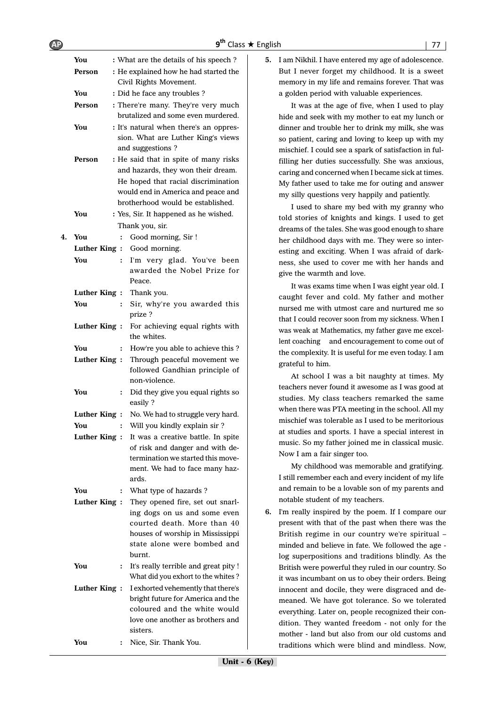|    | You          |                | : What are the details of his speech?                             |
|----|--------------|----------------|-------------------------------------------------------------------|
|    | Person       |                | : He explained how he had started the                             |
|    |              |                | Civil Rights Movement.                                            |
|    | You          |                | : Did he face any troubles?                                       |
|    | Person       |                | : There're many. They're very much                                |
|    |              |                | brutalized and some even murdered.                                |
|    | You          |                | : It's natural when there's an oppres-                            |
|    |              |                | sion. What are Luther King's views                                |
|    |              |                | and suggestions?                                                  |
|    | Person       |                | : He said that in spite of many risks                             |
|    |              |                | and hazards, they won their dream.                                |
|    |              |                | He hoped that racial discrimination                               |
|    |              |                | would end in America and peace and                                |
|    |              |                | brotherhood would be established.                                 |
|    | You          |                | : Yes, Sir. It happened as he wished.                             |
|    |              |                | Thank you, sir.                                                   |
| 4. | You          | $\ddot{\cdot}$ | Good morning, Sir !                                               |
|    | Luther King: |                | Good morning.                                                     |
|    | You          | $\ddot{\cdot}$ | I'm very glad. You've been                                        |
|    |              |                | awarded the Nobel Prize for                                       |
|    |              |                | Peace.                                                            |
|    | Luther King: |                | Thank you.                                                        |
|    | You          | $\ddot{\cdot}$ | Sir, why're you awarded this                                      |
|    |              |                | prize ?                                                           |
|    | Luther King: |                | For achieving equal rights with                                   |
|    |              |                | the whites.                                                       |
|    | You          | $\ddot{\cdot}$ | How're you able to achieve this ?                                 |
|    | Luther King: |                | Through peaceful movement we                                      |
|    |              |                | followed Gandhian principle of                                    |
|    |              |                | non-violence.                                                     |
|    | You          | $\ddot{\cdot}$ | Did they give you equal rights so                                 |
|    |              |                | easily?                                                           |
|    | Luther King: |                | No. We had to struggle very hard.                                 |
|    | You          | $\ddot{\cdot}$ | Will you kindly explain sir ?                                     |
|    | Luther King: |                | It was a creative battle. In spite                                |
|    |              |                | of risk and danger and with de-                                   |
|    |              |                | termination we started this move-                                 |
|    |              |                | ment. We had to face many haz-                                    |
|    |              |                | ards.                                                             |
|    | You          | :              | What type of hazards?                                             |
|    | Luther King: |                | They opened fire, set out snarl-                                  |
|    |              |                | ing dogs on us and some even                                      |
|    |              |                | courted death. More than 40                                       |
|    |              |                | houses of worship in Mississippi                                  |
|    |              |                | state alone were bombed and                                       |
|    |              |                | burnt.                                                            |
|    | You          | ፡              | It's really terrible and great pity !                             |
|    |              |                | What did you exhort to the whites?                                |
|    | Luther King: |                | I exhorted vehemently that there's                                |
|    |              |                | bright future for America and the<br>coloured and the white would |
|    |              |                | love one another as brothers and                                  |
|    |              |                | sisters.                                                          |
|    | You          |                | Nice, Sir. Thank You.                                             |
|    |              |                |                                                                   |

**5.** I am Nikhil. I have entered my age of adolescence. But I never forget my childhood. It is a sweet memory in my life and remains forever. That was a golden period with valuable experiences.

It was at the age of five, when I used to play hide and seek with my mother to eat my lunch or dinner and trouble her to drink my milk, she was so patient, caring and loving to keep up with my mischief. I could see a spark of satisfaction in fulfilling her duties successfully. She was anxious, caring and concerned when I became sick at times. My father used to take me for outing and answer my silly questions very happily and patiently.

I used to share my bed with my granny who told stories of knights and kings. I used to get dreams of the tales. She was good enough to share her childhood days with me. They were so interesting and exciting. When I was afraid of darkness, she used to cover me with her hands and give the warmth and love.

It was exams time when I was eight year old. I caught fever and cold. My father and mother nursed me with utmost care and nurtured me so that I could recover soon from my sickness. When I was weak at Mathematics, my father gave me excellent coaching and encouragement to come out of the complexity. It is useful for me even today. I am grateful to him.

At school I was a bit naughty at times. My teachers never found it awesome as I was good at studies. My class teachers remarked the same when there was PTA meeting in the school. All my mischief was tolerable as I used to be meritorious at studies and sports. I have a special interest in music. So my father joined me in classical music. Now I am a fair singer too.

My childhood was memorable and gratifying. I still remember each and every incident of my life and remain to be a lovable son of my parents and notable student of my teachers.

**6.** I'm really inspired by the poem. If I compare our present with that of the past when there was the British regime in our country we're spiritual – minded and believe in fate. We followed the age log superpositions and traditions blindly. As the British were powerful they ruled in our country. So it was incumbant on us to obey their orders. Being innocent and docile, they were disgraced and demeaned. We have got tolerance. So we tolerated everything. Later on, people recognized their condition. They wanted freedom - not only for the mother - land but also from our old customs and traditions which were blind and mindless. Now,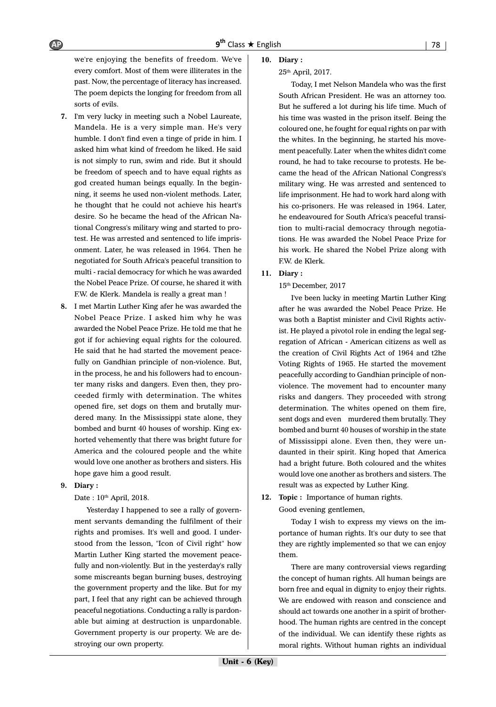we're enjoying the benefits of freedom. We've every comfort. Most of them were illiterates in the past. Now, the percentage of literacy has increased. The poem depicts the longing for freedom from all sorts of evils.

- **7.** I'm very lucky in meeting such a Nobel Laureate, Mandela. He is a very simple man. He's very humble. I don't find even a tinge of pride in him. I asked him what kind of freedom he liked. He said is not simply to run, swim and ride. But it should be freedom of speech and to have equal rights as god created human beings equally. In the beginning, it seems he used non-violent methods. Later, he thought that he could not achieve his heart's desire. So he became the head of the African National Congress's military wing and started to protest. He was arrested and sentenced to life imprisonment. Later, he was released in 1964. Then he negotiated for South Africa's peaceful transition to multi - racial democracy for which he was awarded the Nobel Peace Prize. Of course, he shared it with F.W. de Klerk. Mandela is really a great man !
- **8.** I met Martin Luther King afer he was awarded the Nobel Peace Prize. I asked him why he was awarded the Nobel Peace Prize. He told me that he got if for achieving equal rights for the coloured. He said that he had started the movement peacefully on Gandhian principle of non-violence. But, in the process, he and his followers had to encounter many risks and dangers. Even then, they proceeded firmly with determination. The whites opened fire, set dogs on them and brutally murdered many. In the Mississippi state alone, they bombed and burnt 40 houses of worship. King exhorted vehemently that there was bright future for America and the coloured people and the white would love one another as brothers and sisters. His hope gave him a good result.

### **9. Diary :**

Date: 10<sup>th</sup> April, 2018.

Yesterday I happened to see a rally of government servants demanding the fulfilment of their rights and promises. It's well and good. I understood from the lesson, "Icon of Civil right" how Martin Luther King started the movement peacefully and non-violently. But in the yesterday's rally some miscreants began burning buses, destroying the government property and the like. But for my part, I feel that any right can be achieved through peaceful negotiations. Conducting a rally is pardonable but aiming at destruction is unpardonable. Government property is our property. We are destroying our own property.

### **10. Diary :**

#### 25th April, 2017.

Today, I met Nelson Mandela who was the first South African President. He was an attorney too. But he suffered a lot during his life time. Much of his time was wasted in the prison itself. Being the coloured one, he fought for equal rights on par with the whites. In the beginning, he started his movement peacefully. Later when the whites didn't come round, he had to take recourse to protests. He became the head of the African National Congress's military wing. He was arrested and sentenced to life imprisonment. He had to work hard along with his co-prisoners. He was released in 1964. Later, he endeavoured for South Africa's peaceful transition to multi-racial democracy through negotiations. He was awarded the Nobel Peace Prize for his work. He shared the Nobel Prize along with F.W. de Klerk.

### **11. Diary :**

### 15th December, 2017

I've been lucky in meeting Martin Luther King after he was awarded the Nobel Peace Prize. He was both a Baptist minister and Civil Rights activist. He played a pivotol role in ending the legal segregation of African - American citizens as well as the creation of Civil Rights Act of 1964 and t2he Voting Rights of 1965. He started the movement peacefully according to Gandhian principle of nonviolence. The movement had to encounter many risks and dangers. They proceeded with strong determination. The whites opened on them fire, sent dogs and even murdered them brutally. They bombed and burnt 40 houses of worship in the state of Mississippi alone. Even then, they were undaunted in their spirit. King hoped that America had a bright future. Both coloured and the whites would love one another as brothers and sisters. The result was as expected by Luther King.

**12. Topic :** Importance of human rights. Good evening gentlemen,

> Today I wish to express my views on the importance of human rights. It's our duty to see that they are rightly implemented so that we can enjoy them.

> There are many controversial views regarding the concept of human rights. All human beings are born free and equal in dignity to enjoy their rights. We are endowed with reason and conscience and should act towards one another in a spirit of brotherhood. The human rights are centred in the concept of the individual. We can identify these rights as moral rights. Without human rights an individual

AP 9<sup>th</sup>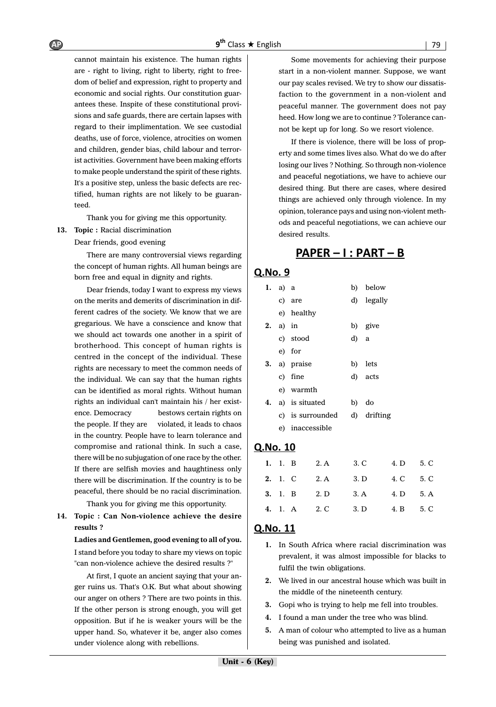cannot maintain his existence. The human rights are - right to living, right to liberty, right to freedom of belief and expression, right to property and economic and social rights. Our constitution guarantees these. Inspite of these constitutional provisions and safe guards, there are certain lapses with regard to their implimentation. We see custodial deaths, use of force, violence, atrocities on women and children, gender bias, child labour and terrorist activities. Government have been making efforts to make people understand the spirit of these rights. It's a positive step, unless the basic defects are rectified, human rights are not likely to be guaranteed.

Thank you for giving me this opportunity.

### 13. Topic : Racial discrimination

Dear friends, good evening

There are many controversial views regarding the concept of human rights. All human beings are born free and equal in dignity and rights.

Dear friends, today I want to express my views on the merits and demerits of discrimination in different cadres of the society. We know that we are gregarious. We have a conscience and know that we should act towards one another in a spirit of brotherhood. This concept of human rights is centred in the concept of the individual. These rights are necessary to meet the common needs of the individual. We can say that the human rights can be identified as moral rights. Without human rights an individual can't maintain his / her existence. Democracy bestows certain rights on the people. If they are violated, it leads to chaos in the country. People have to learn tolerance and compromise and rational think. In such a case, there will be no subjugation of one race by the other. If there are selfish movies and haughtiness only there will be discrimination. If the country is to be peaceful, there should be no racial discrimination.

Thank you for giving me this opportunity.

**14. Topic : Can Non-violence achieve the desire results ?**

**Ladies and Gentlemen, good evening to all of you.** I stand before you today to share my views on topic "can non-violence achieve the desired results ?"

At first, I quote an ancient saying that your anger ruins us. That's O.K. But what about showing our anger on others ? There are two points in this. If the other person is strong enough, you will get opposition. But if he is weaker yours will be the upper hand. So, whatever it be, anger also comes under violence along with rebellions.

Some movements for achieving their purpose start in a non-violent manner. Suppose, we want our pay scales revised. We try to show our dissatisfaction to the government in a non-violent and peaceful manner. The government does not pay heed. How long we are to continue ? Tolerance cannot be kept up for long. So we resort violence.

If there is violence, there will be loss of property and some times lives also. What do we do after losing our lives ? Nothing. So through non-violence and peaceful negotiations, we have to achieve our desired thing. But there are cases, where desired things are achieved only through violence. In my opinion, tolerance pays and using non-violent methods and peaceful negotiations, we can achieve our desired results.

# <u> PAPER – I : PART – B</u>

# Q.No. 9

| 1. | a) a |                  |    | b) below    |
|----|------|------------------|----|-------------|
|    |      | c) are           |    | d) legally  |
|    |      | e) healthy       |    |             |
| 2. |      | a) in            |    | b) give     |
|    |      | c) stood         | d) | a           |
|    |      | e) for           |    |             |
|    |      | 3. a) praise     |    | b) lets     |
|    |      | c) fine          |    | d) acts     |
|    |      | e) warmth        |    |             |
| 4. |      | a) is situated   |    | b) do       |
|    |      | c) is surrounded |    | d) drifting |
|    |      | e) inaccessible  |    |             |

# Q.No. 10

|  |  | 1. 1. B 2. A 3. C 4. D 5. C        |  |
|--|--|------------------------------------|--|
|  |  | 2. 1. C 2. A 3. D 4. C 5. C        |  |
|  |  | <b>3.</b> 1. B 2. D 3. A 4. D 5. A |  |
|  |  | 4. 1. A 2. C 3. D 4. B 5. C        |  |

- **1.** In South Africa where racial discrimination was prevalent, it was almost impossible for blacks to fulfil the twin obligations.
- **2.** We lived in our ancestral house which was built in the middle of the nineteenth century.
- **3.** Gopi who is trying to help me fell into troubles.
- **4.** I found a man under the tree who was blind.
- **5.** A man of colour who attempted to live as a human being was punished and isolated.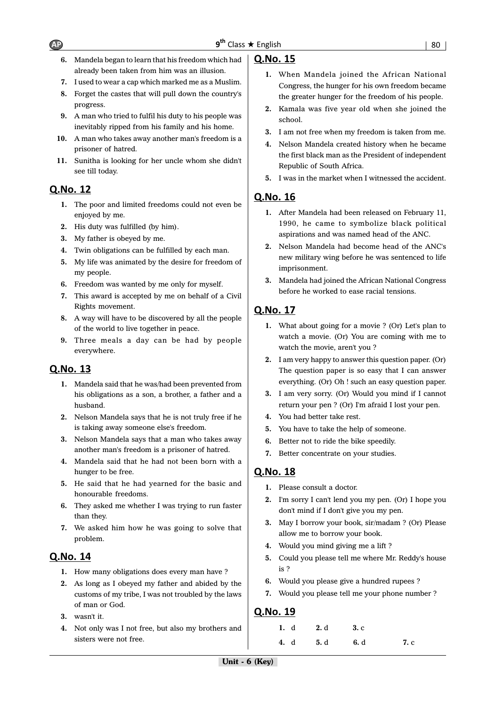- **6.** Mandela began to learn that his freedom which had already been taken from him was an illusion.
- **7.** I used to wear a cap which marked me as a Muslim.
- **8.** Forget the castes that will pull down the country's progress.
- **9.** A man who tried to fulfil his duty to his people was inevitably ripped from his family and his home.
- **10.** A man who takes away another man's freedom is a prisoner of hatred.
- **11.** Sunitha is looking for her uncle whom she didn't see till today.

# Q.No. 12

- **1.** The poor and limited freedoms could not even be enjoyed by me.
- **2.** His duty was fulfilled (by him).
- **3.** My father is obeyed by me.
- **4.** Twin obligations can be fulfilled by each man.
- **5.** My life was animated by the desire for freedom of my people.
- **6.** Freedom was wanted by me only for myself.
- **7.** This award is accepted by me on behalf of a Civil Rights movement.
- **8.** A way will have to be discovered by all the people of the world to live together in peace.
- **9.** Three meals a day can be had by people everywhere.

# Q.No. 13

- **1.** Mandela said that he was/had been prevented from his obligations as a son, a brother, a father and a husband.
- **2.** Nelson Mandela says that he is not truly free if he is taking away someone else's freedom.
- **3.** Nelson Mandela says that a man who takes away another man's freedom is a prisoner of hatred.
- **4.** Mandela said that he had not been born with a hunger to be free.
- **5.** He said that he had yearned for the basic and honourable freedoms.
- **6.** They asked me whether I was trying to run faster than they.
- **7.** We asked him how he was going to solve that problem.

# Q.No. 14

- **1.** How many obligations does every man have ?
- **2.** As long as I obeyed my father and abided by the customs of my tribe, I was not troubled by the laws of man or God.
- **3.** wasn't it.
- **4.** Not only was I not free, but also my brothers and sisters were not free.

# Q.No. 15

- **1.** When Mandela joined the African National Congress, the hunger for his own freedom became the greater hunger for the freedom of his people.
- **2.** Kamala was five year old when she joined the school.
- **3.** I am not free when my freedom is taken from me.
- **4.** Nelson Mandela created history when he became the first black man as the President of independent Republic of South Africa.
- **5.** I was in the market when I witnessed the accident.

# Q.No. 16

- **1.** After Mandela had been released on February 11, 1990, he came to symbolize black political aspirations and was named head of the ANC.
- **2.** Nelson Mandela had become head of the ANC's new military wing before he was sentenced to life imprisonment.
- **3.** Mandela had joined the African National Congress before he worked to ease racial tensions.

# Q.No. 17

- **1.** What about going for a movie ? (Or) Let's plan to watch a movie. (Or) You are coming with me to watch the movie, aren't you ?
- **2.** I am very happy to answer this question paper. (Or) The question paper is so easy that I can answer everything. (Or) Oh ! such an easy question paper.
- **3.** I am very sorry. (Or) Would you mind if I cannot return your pen ? (Or) I'm afraid I lost your pen.
- **4.** You had better take rest.
- **5.** You have to take the help of someone.
- **6.** Better not to ride the bike speedily.
- **7.** Better concentrate on your studies.

# Q.No. 18

- **1.** Please consult a doctor.
- **2.** I'm sorry I can't lend you my pen. (Or) I hope you don't mind if I don't give you my pen.
- **3.** May I borrow your book, sir/madam ? (Or) Please allow me to borrow your book.
- **4.** Would you mind giving me a lift ?
- **5.** Could you please tell me where Mr. Reddy's house is ?
- **6.** Would you please give a hundred rupees ?
- **7.** Would you please tell me your phone number ?

| 1. d 2. d 3. c |      |
|----------------|------|
| 4. d 5. d 6. d | 7. c |

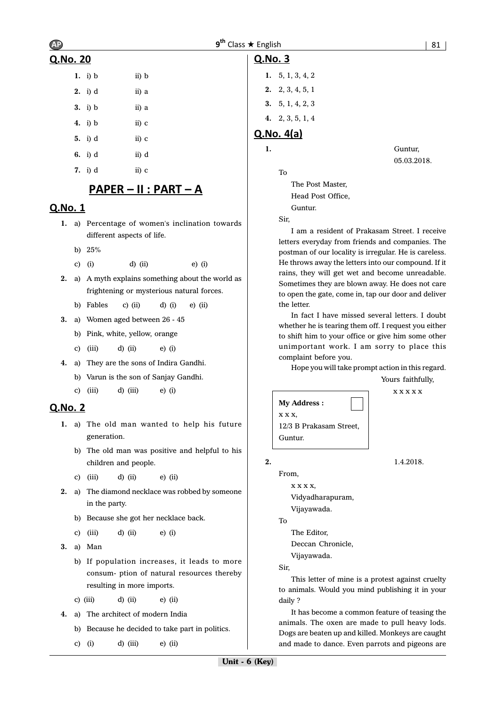# Q.No. 20

| 1. $i) b$          | ii) b |
|--------------------|-------|
| $2.$ i) d          | ii) a |
| $3.$ i) b          | ii) a |
| 4. i) b            | ii) c |
| $5. \quad i) \, d$ | ii) c |
| 6. i) d            | ii) d |
| 7. i) d            | ii) c |

# <u> PAPER – II : PART – A</u>

# Q.No. 1

- **1.** a) Percentage of women's inclination towards different aspects of life.
	- b) 25%
	- c) (i) d) (ii) e) (i)
- **2.** a) A myth explains something about the world as frightening or mysterious natural forces.
	- b) Fables c) (ii) d) (i) e) (ii)
- **3.** a) Women aged between 26 45
	- b) Pink, white, yellow, orange
	- c) (iii)  $d$ ) (ii)  $e$ ) (i)
- **4.** a) They are the sons of Indira Gandhi.
	- b) Varun is the son of Sanjay Gandhi.
	- c) (iii) d) (iii) e) (i)

# **Q.No. 2**

- **1.** a) The old man wanted to help his future generation.
	- b) The old man was positive and helpful to his children and people.
	- c) (iii) d) (ii) e) (ii)
- **2.** a) The diamond necklace was robbed by someone in the party.
	- b) Because she got her necklace back.
	- c) (iii) d) (ii) e) (i)
- **3.** a) Man
	- b) If population increases, it leads to more consum- ption of natural resources thereby resulting in more imports.
	- c) (iii)  $d$ ) (ii)  $e$ ) (ii)
- **4.** a) The architect of modern India
	- b) Because he decided to take part in politics.

c) (i) d) (iii) e) (ii)

# Q.No. 3

| 1. $5, 1, 3, 4, 2$ |
|--------------------|
| 2. 2, 3, 4, 5, 1   |
| 3. $5, 1, 4, 2, 3$ |
| 4. 2, 3, 5, 1, 4   |
|                    |

# $Q.No. 4(a)$

To

| ٠ |  |  |  |
|---|--|--|--|
|   |  |  |  |
|   |  |  |  |
|   |  |  |  |

**1.** Guntur, 05.03.2018.

> The Post Master, Head Post Office, Guntur.

Sir,

I am a resident of Prakasam Street. I receive letters everyday from friends and companies. The postman of our locality is irregular. He is careless. He throws away the letters into our compound. If it rains, they will get wet and become unreadable. Sometimes they are blown away. He does not care to open the gate, come in, tap our door and deliver the letter.

In fact I have missed several letters. I doubt whether he is tearing them off. I request you either to shift him to your office or give him some other unimportant work. I am sorry to place this complaint before you.

Hope you will take prompt action in this regard.

Yours faithfully, x x x x x

```
My Address :
x x x,
12/3 B Prakasam Street,
Guntur.
```
**2.** 1.4.2018.

From,

x x x x, Vidyadharapuram, Vijayawada.

To

The Editor,

Deccan Chronicle,

Vijayawada.

Sir,

This letter of mine is a protest against cruelty to animals. Would you mind publishing it in your daily ?

It has become a common feature of teasing the animals. The oxen are made to pull heavy lods. Dogs are beaten up and killed. Monkeys are caught and made to dance. Even parrots and pigeons are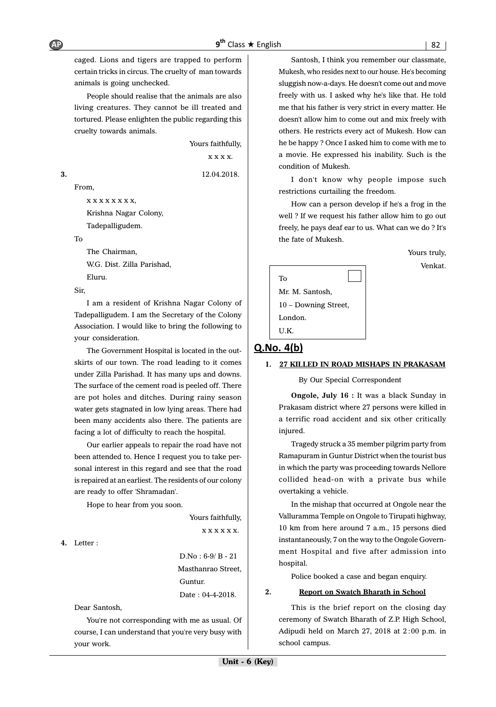caged. Lions and tigers are trapped to perform certain tricks in circus. The cruelty of man towards animals is going unchecked.

People should realise that the animals are also living creatures. They cannot be ill treated and tortured. Please enlighten the public regarding this cruelty towards animals.

Yours faithfully,

x x x x.

**3.** 12.04.2018.

From,

x x x x x x x x,

Krishna Nagar Colony,

Tadepalligudem.

To

The Chairman, W.G. Dist. Zilla Parishad, Eluru.

Sir,

I am a resident of Krishna Nagar Colony of Tadepalligudem. I am the Secretary of the Colony Association. I would like to bring the following to your consideration.

The Government Hospital is located in the outskirts of our town. The road leading to it comes under Zilla Parishad. It has many ups and downs. The surface of the cement road is peeled off. There are pot holes and ditches. During rainy season water gets stagnated in low lying areas. There had been many accidents also there. The patients are facing a lot of difficulty to reach the hospital.

Our earlier appeals to repair the road have not been attended to. Hence I request you to take personal interest in this regard and see that the road is repaired at an earliest. The residents of our colony are ready to offer 'Shramadan'.

Hope to hear from you soon.

Yours faithfully,

x x x x x x.

**4.** Letter :

D.No : 6-9/ B - 21 Masthanrao Street, Guntur. Date : 04-4-2018.

Dear Santosh,

You're not corresponding with me as usual. Of course, I can understand that you're very busy with your work.

Santosh, I think you remember our classmate, Mukesh, who resides next to our house. He's becoming sluggish now-a-days. He doesn't come out and move freely with us. I asked why he's like that. He told me that his father is very strict in every matter. He doesn't allow him to come out and mix freely with others. He restricts every act of Mukesh. How can he be happy ? Once I asked him to come with me to a movie. He expressed his inability. Such is the condition of Mukesh.

I don't know why people impose such restrictions curtailing the freedom.

How can a person develop if he's a frog in the well ? If we request his father allow him to go out freely, he pays deaf ear to us. What can we do ? It's the fate of Mukesh.

> Yours truly, Venkat.

| To                   |  |
|----------------------|--|
| Mr. M. Santosh,      |  |
| 10 - Downing Street, |  |
| London.              |  |
| U.K.                 |  |

# Q.No. 4(b)

### **1. 27 KILLED IN ROAD MISHAPS IN PRAKASAM**

By Our Special Correspondent

**Ongole, July 16 :** It was a black Sunday in Prakasam district where 27 persons were killed in a terrific road accident and six other critically injured.

Tragedy struck a 35 member pilgrim party from Ramapuram in Guntur District when the tourist bus in which the party was proceeding towards Nellore collided head-on with a private bus while overtaking a vehicle.

In the mishap that occurred at Ongole near the Valluramma Temple on Ongole to Tirupati highway, 10 km from here around 7 a.m., 15 persons died instantaneously, 7 on the way to the Ongole Government Hospital and five after admission into hospital.

Police booked a case and began enquiry.

### **2. Report on Swatch Bharath in School**

This is the brief report on the closing day ceremony of Swatch Bharath of Z.P. High School, Adipudi held on March 27, 2018 at 2 :00 p.m. in school campus.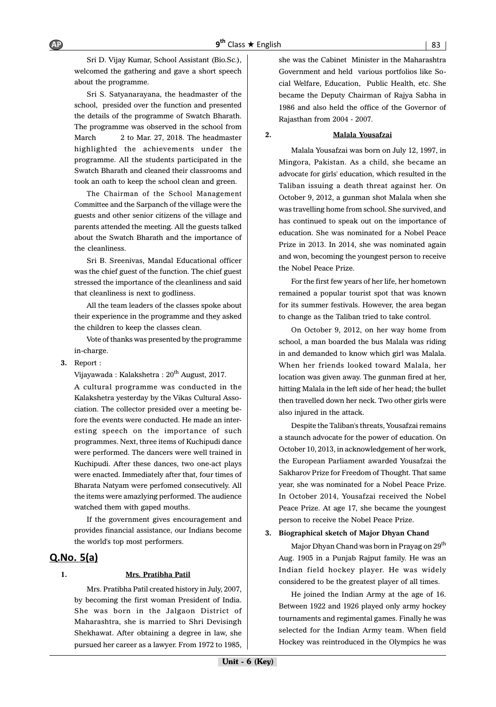Sri D. Vijay Kumar, School Assistant (Bio.Sc.), welcomed the gathering and gave a short speech about the programme.

Sri S. Satyanarayana, the headmaster of the school, presided over the function and presented the details of the programme of Swatch Bharath. The programme was observed in the school from March 2 to Mar. 27, 2018. The headmaster highlighted the achievements under the programme. All the students participated in the Swatch Bharath and cleaned their classrooms and took an oath to keep the school clean and green.

The Chairman of the School Management Committee and the Sarpanch of the village were the guests and other senior citizens of the village and parents attended the meeting. All the guests talked about the Swatch Bharath and the importance of the cleanliness.

Sri B. Sreenivas, Mandal Educational officer was the chief guest of the function. The chief guest stressed the importance of the cleanliness and said that cleanliness is next to godliness.

All the team leaders of the classes spoke about their experience in the programme and they asked the children to keep the classes clean.

Vote of thanks was presented by the programme in-charge.

**3.** Report :

Vijayawada : Kalakshetra :  $20^{th}$  August, 2017.

A cultural programme was conducted in the Kalakshetra yesterday by the Vikas Cultural Association. The collector presided over a meeting before the events were conducted. He made an interesting speech on the importance of such programmes. Next, three items of Kuchipudi dance were performed. The dancers were well trained in Kuchipudi. After these dances, two one-act plays were enacted. Immediately after that, four times of Bharata Natyam were perfomed consecutively. All the items were amazlying performed. The audience watched them with gaped mouths.

If the government gives encouragement and provides financial assistance, our Indians become the world's top most performers.

# $Q$ .No.  $5(a)$

# **1. Mrs. Pratibha Patil**

Mrs. Pratibha Patil created history in July, 2007, by becoming the first woman President of India. She was born in the Jalgaon District of Maharashtra, she is married to Shri Devisingh Shekhawat. After obtaining a degree in law, she pursued her career as a lawyer. From 1972 to 1985, she was the Cabinet Minister in the Maharashtra Government and held various portfolios like Social Welfare, Education, Public Health, etc. She became the Deputy Chairman of Rajya Sabha in 1986 and also held the office of the Governor of Rajasthan from 2004 - 2007.

### **2. Malala Yousafzai**

Malala Yousafzai was born on July 12, 1997, in Mingora, Pakistan. As a child, she became an advocate for girls' education, which resulted in the Taliban issuing a death threat against her. On October 9, 2012, a gunman shot Malala when she was travelling home from school. She survived, and has continued to speak out on the importance of education. She was nominated for a Nobel Peace Prize in 2013. In 2014, she was nominated again and won, becoming the youngest person to receive the Nobel Peace Prize.

For the first few years of her life, her hometown remained a popular tourist spot that was known for its summer festivals. However, the area began to change as the Taliban tried to take control.

On October 9, 2012, on her way home from school, a man boarded the bus Malala was riding in and demanded to know which girl was Malala. When her friends looked toward Malala, her location was given away. The gunman fired at her, hitting Malala in the left side of her head; the bullet then travelled down her neck. Two other girls were also injured in the attack.

Despite the Taliban's threats, Yousafzai remains a staunch advocate for the power of education. On October 10, 2013, in acknowledgement of her work, the European Parliament awarded Yousafzai the Sakharov Prize for Freedom of Thought. That same year, she was nominated for a Nobel Peace Prize. In October 2014, Yousafzai received the Nobel Peace Prize. At age 17, she became the youngest person to receive the Nobel Peace Prize.

### **3. Biographical sketch of Major Dhyan Chand**

Major Dhyan Chand was born in Prayag on 29<sup>th</sup> Aug. 1905 in a Punjab Rajput family. He was an Indian field hockey player. He was widely considered to be the greatest player of all times.

He joined the Indian Army at the age of 16. Between 1922 and 1926 played only army hockey tournaments and regimental games. Finally he was selected for the Indian Army team. When field Hockey was reintroduced in the Olympics he was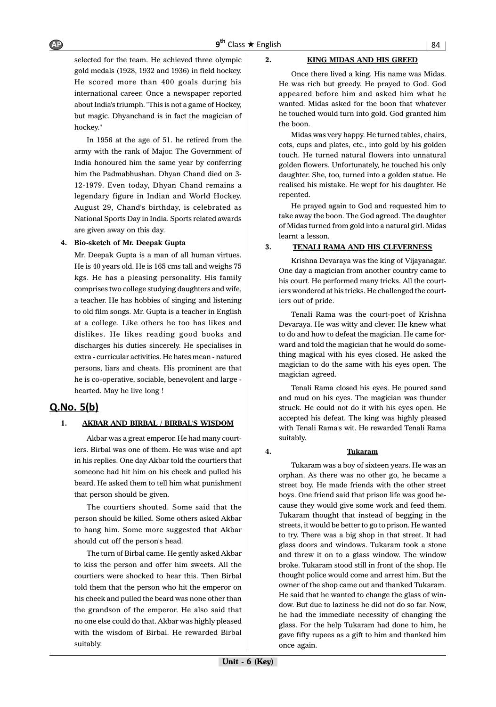selected for the team. He achieved three olympic gold medals (1928, 1932 and 1936) in field hockey. He scored more than 400 goals during his international career. Once a newspaper reported about India's triumph. "This is not a game of Hockey, but magic. Dhyanchand is in fact the magician of hockey."

In 1956 at the age of 51. he retired from the army with the rank of Major. The Government of India honoured him the same year by conferring him the Padmabhushan. Dhyan Chand died on 3- 12-1979. Even today, Dhyan Chand remains a legendary figure in Indian and World Hockey. August 29, Chand's birthday, is celebrated as National Sports Day in India. Sports related awards are given away on this day.

### **4. Bio-sketch of Mr. Deepak Gupta**

Mr. Deepak Gupta is a man of all human virtues. He is 40 years old. He is 165 cms tall and weighs 75 kgs. He has a pleasing personality. His family comprises two college studying daughters and wife, a teacher. He has hobbies of singing and listening to old film songs. Mr. Gupta is a teacher in English at a college. Like others he too has likes and dislikes. He likes reading good books and discharges his duties sincerely. He specialises in extra - curricular activities. He hates mean - natured persons, liars and cheats. His prominent are that he is co-operative, sociable, benevolent and large hearted. May he live long !

### $Q.No. 5(b)$

### **1. AKBAR AND BIRBAL / BIRBAL'S WISDOM**

Akbar was a great emperor. He had many courtiers. Birbal was one of them. He was wise and apt in his replies. One day Akbar told the courtiers that someone had hit him on his cheek and pulled his beard. He asked them to tell him what punishment that person should be given.

The courtiers shouted. Some said that the person should be killed. Some others asked Akbar to hang him. Some more suggested that Akbar should cut off the person's head.

The turn of Birbal came. He gently asked Akbar to kiss the person and offer him sweets. All the courtiers were shocked to hear this. Then Birbal told them that the person who hit the emperor on his cheek and pulled the beard was none other than the grandson of the emperor. He also said that no one else could do that. Akbar was highly pleased with the wisdom of Birbal. He rewarded Birbal suitably.

### **2. KING MIDAS AND HIS GREED**

Once there lived a king. His name was Midas. He was rich but greedy. He prayed to God. God appeared before him and asked him what he wanted. Midas asked for the boon that whatever he touched would turn into gold. God granted him the boon.

Midas was very happy. He turned tables, chairs, cots, cups and plates, etc., into gold by his golden touch. He turned natural flowers into unnatural golden flowers. Unfortunately, he touched his only daughter. She, too, turned into a golden statue. He realised his mistake. He wept for his daughter. He repented.

He prayed again to God and requested him to take away the boon. The God agreed. The daughter of Midas turned from gold into a natural girl. Midas learnt a lesson.

### **3. TENALI RAMA AND HIS CLEVERNESS**

Krishna Devaraya was the king of Vijayanagar. One day a magician from another country came to his court. He performed many tricks. All the courtiers wondered at his tricks. He challenged the courtiers out of pride.

Tenali Rama was the court-poet of Krishna Devaraya. He was witty and clever. He knew what to do and how to defeat the magician. He came forward and told the magician that he would do something magical with his eyes closed. He asked the magician to do the same with his eyes open. The magician agreed.

Tenali Rama closed his eyes. He poured sand and mud on his eyes. The magician was thunder struck. He could not do it with his eyes open. He accepted his defeat. The king was highly pleased with Tenali Rama's wit. He rewarded Tenali Rama suitably.

### **4. Tukaram**

Tukaram was a boy of sixteen years. He was an orphan. As there was no other go, he became a street boy. He made friends with the other street boys. One friend said that prison life was good because they would give some work and feed them. Tukaram thought that instead of begging in the streets, it would be better to go to prison. He wanted to try. There was a big shop in that street. It had glass doors and windows. Tukaram took a stone and threw it on to a glass window. The window broke. Tukaram stood still in front of the shop. He thought police would come and arrest him. But the owner of the shop came out and thanked Tukaram. He said that he wanted to change the glass of window. But due to laziness he did not do so far. Now, he had the immediate necessity of changing the glass. For the help Tukaram had done to him, he gave fifty rupees as a gift to him and thanked him once again.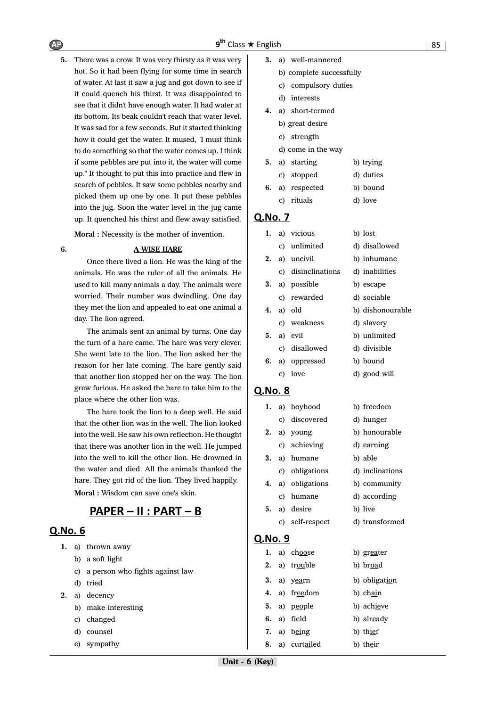**5.** There was a crow. It was very thirsty as it was very hot. So it had been flying for some time in search of water. At last it saw a jug and got down to see if it could quench his thirst. It was disappointed to see that it didn't have enough water. It had water at its bottom. Its beak couldn't reach that water level. It was sad for a few seconds. But it started thinking how it could get the water. It mused, "I must think to do something so that the water comes up. I think if some pebbles are put into it, the water will come up." It thought to put this into practice and flew in search of pebbles. It saw some pebbles nearby and picked them up one by one. It put these pebbles into the jug. Soon the water level in the jug came up. It quenched his thirst and flew away satisfied.

**Moral :** Necessity is the mother of invention.

### **6. A WISE HARE**

Once there lived a lion. He was the king of the animals. He was the ruler of all the animals. He used to kill many animals a day. The animals were worried. Their number was dwindling. One day they met the lion and appealed to eat one animal a day. The lion agreed.

The animals sent an animal by turns. One day the turn of a hare came. The hare was very clever. She went late to the lion. The lion asked her the reason for her late coming. The hare gently said that another lion stopped her on the way. The lion grew furious. He asked the hare to take him to the place where the other lion was.

The hare took the lion to a deep well. He said that the other lion was in the well. The lion looked into the well. He saw his own reflection. He thought that there was another lion in the well. He jumped into the well to kill the other lion. He drowned in the water and died. All the animals thanked the hare. They got rid of the lion. They lived happily.

**Moral :** Wisdom can save one's skin.

# <u> PAPER – II : PART – B</u>

### Q.No. 6

- **1.** a) thrown away
	- b) a soft light
	- c) a person who fights against law
	- d) tried
- **2.** a) decency
	- b) make interesting
	- c) changed
	- d) counsel
	- e) sympathy
- **3.** a) well-mannered
	- b) complete successfully
	- c) compulsory duties
	- d) interests
- **4.** a) short-termed
	- b) great desire
	- c) strength
	- d) come in the way

|  | 5. a) starting  | b) trying |
|--|-----------------|-----------|
|  | c) stopped      | d) duties |
|  | 6. a) respected | b) bound  |
|  | c) rituals      | d) love   |

### **O.No. 7**

| 1. |    | a) vicious         | b) lost          |
|----|----|--------------------|------------------|
|    |    | c) unlimited       | d) disallowed    |
| 2. |    | a) uncivil         | b) inhumane      |
|    |    | c) disinclinations | d) inabilities   |
|    |    | 3. a) possible     | b) escape        |
|    |    | c) rewarded        | d) sociable      |
|    |    | <b>4.</b> a) old   | b) dishonourable |
|    |    | c) weakness        | d) slavery       |
|    |    | $5. a)$ evil       | b) unlimited     |
|    |    | c) disallowed      | d) divisible     |
| 6. |    | a) oppressed       | b) bound         |
|    | C) | love               | d) good will     |
|    |    |                    |                  |

### Q.No. 8

| 1. |    | a) boyhood      | b) freedom      |
|----|----|-----------------|-----------------|
|    |    | c) discovered   | d) hunger       |
| 2. |    | a) young        | b) honourable   |
|    |    | c) achieving    | d) earning      |
| 3. |    | a) humane       | b) able         |
|    |    | c) obligations  | d) inclinations |
| 4. |    | a) obligations  | b) community    |
|    | C) | humane          | d) according    |
| 5. |    | a) desire       | b) live         |
|    |    | c) self-respect | d) transformed  |

|    | 1. a) choose  | b) greater    |
|----|---------------|---------------|
|    | 2. a) trouble | b) broad      |
| 3. | a) yearn      | b) obligation |
| 4. | a) freedom    | b) chain      |
|    | 5. a) people  | b) achieve    |
| 6. | a) field      | b) already    |
|    | 7. a) being   | b) thief      |
| 8. | a) curtailed  | b) their      |